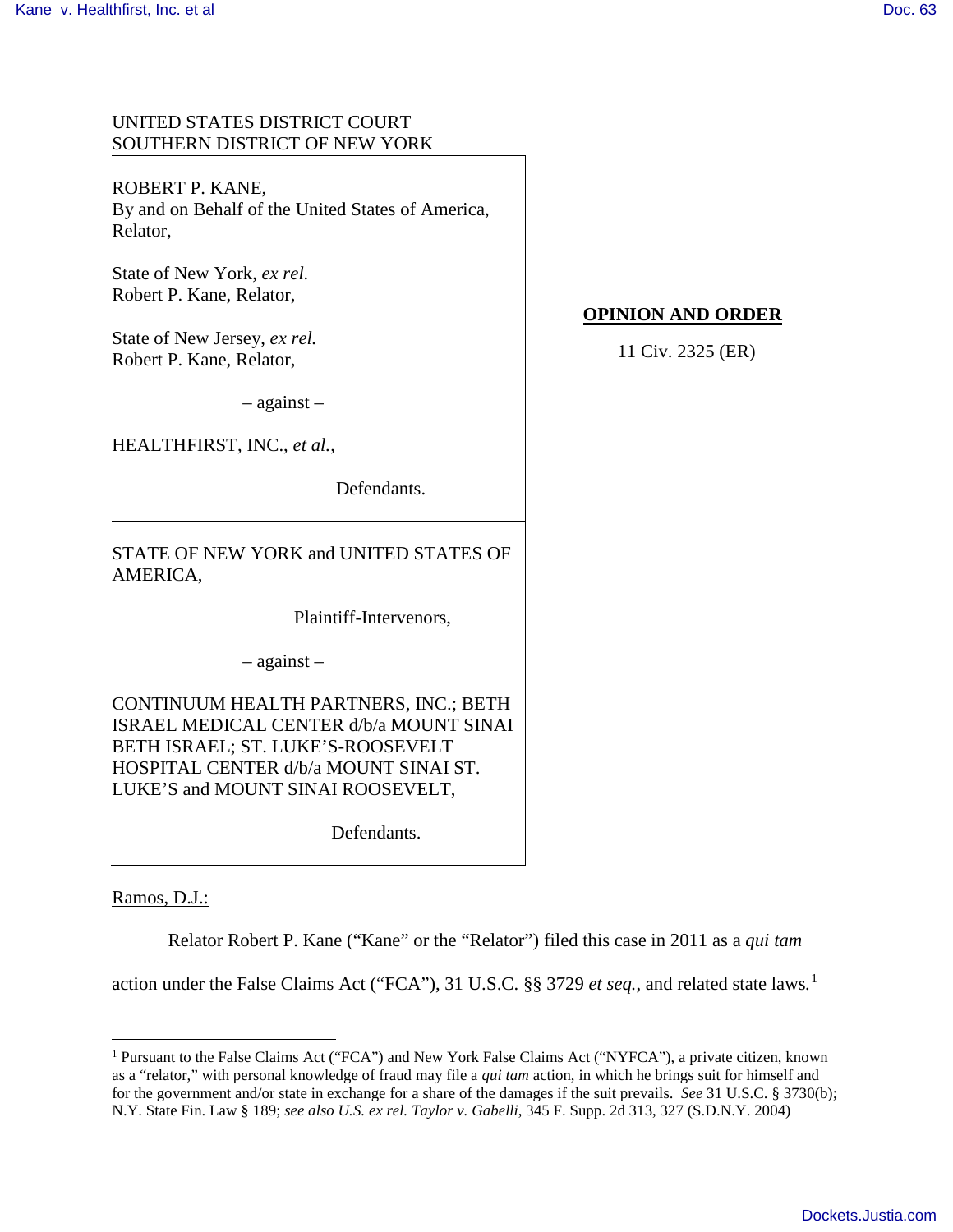# UNITED STATES DISTRICT COURT SOUTHERN DISTRICT OF NEW YORK

ROBERT P. KANE, By and on Behalf of the United States of America, Relator,

State of New York, *ex rel.* Robert P. Kane, Relator,

State of New Jersey, *ex rel.* Robert P. Kane, Relator,

– against –

HEALTHFIRST, INC., *et al.*,

Defendants.

STATE OF NEW YORK and UNITED STATES OF AMERICA,

Plaintiff-Intervenors,

– against –

CONTINUUM HEALTH PARTNERS, INC.; BETH ISRAEL MEDICAL CENTER d/b/a MOUNT SINAI BETH ISRAEL; ST. LUKE'S-ROOSEVELT HOSPITAL CENTER d/b/a MOUNT SINAI ST. LUKE'S and MOUNT SINAI ROOSEVELT,

Defendants.

Ramos, D.J.:

 $\overline{a}$ 

Relator Robert P. Kane ("Kane" or the "Relator") filed this case in 2011 as a *qui tam* 

action under the False Claims Act ("FCA"), 31 U.S.C. §§ 3729 *et seq.*, and related state laws*.* [1](#page-0-0) 

# **OPINION AND ORDER**

11 Civ. 2325 (ER)

<span id="page-0-0"></span><sup>1</sup> Pursuant to the False Claims Act ("FCA") and New York False Claims Act ("NYFCA"), a private citizen, known as a "relator," with personal knowledge of fraud may file a *qui tam* action, in which he brings suit for himself and for the government and/or state in exchange for a share of the damages if the suit prevails. *See* 31 U.S.C. § 3730(b); N.Y. State Fin. Law § 189; *see also U.S. ex rel. Taylor v. Gabelli*, 345 F. Supp. 2d 313, 327 (S.D.N.Y. 2004)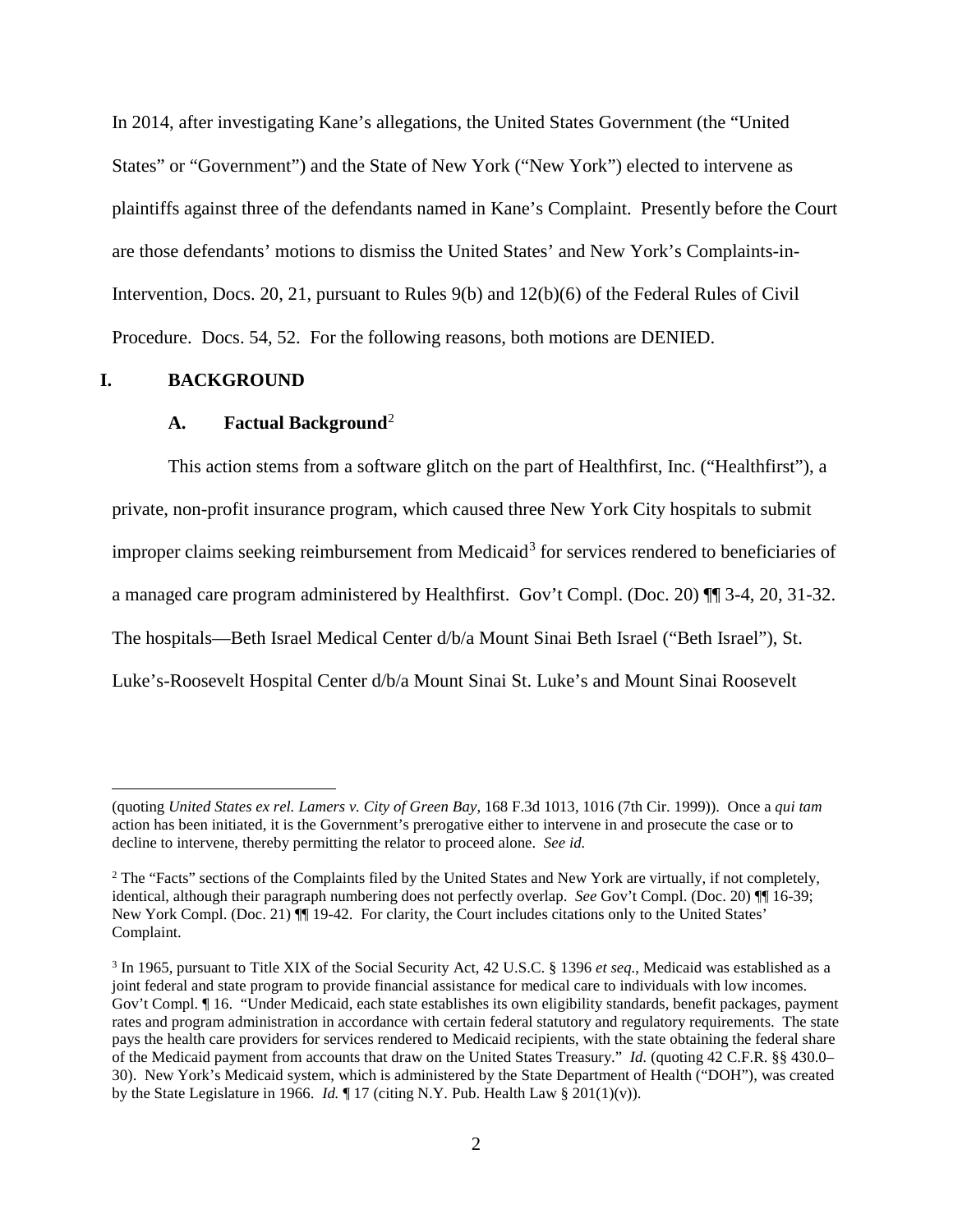In 2014, after investigating Kane's allegations, the United States Government (the "United States" or "Government") and the State of New York ("New York") elected to intervene as plaintiffs against three of the defendants named in Kane's Complaint. Presently before the Court are those defendants' motions to dismiss the United States' and New York's Complaints-in-Intervention, Docs. 20, 21, pursuant to Rules 9(b) and 12(b)(6) of the Federal Rules of Civil Procedure. Docs. 54, 52. For the following reasons, both motions are DENIED.

# **I. BACKGROUND**

-

# **A. Factual Background**[2](#page-1-0)

This action stems from a software glitch on the part of Healthfirst, Inc. ("Healthfirst"), a private, non-profit insurance program, which caused three New York City hospitals to submit improper claims seeking reimbursement from Medicaid<sup>[3](#page-1-1)</sup> for services rendered to beneficiaries of a managed care program administered by Healthfirst. Gov't Compl. (Doc. 20) ¶¶ 3-4, 20, 31-32. The hospitals—Beth Israel Medical Center d/b/a Mount Sinai Beth Israel ("Beth Israel"), St. Luke's-Roosevelt Hospital Center d/b/a Mount Sinai St. Luke's and Mount Sinai Roosevelt

<sup>(</sup>quoting *United States ex rel. Lamers v. City of Green Bay*, 168 F.3d 1013, 1016 (7th Cir. 1999)). Once a *qui tam* action has been initiated, it is the Government's prerogative either to intervene in and prosecute the case or to decline to intervene, thereby permitting the relator to proceed alone. *See id.*

<span id="page-1-0"></span><sup>&</sup>lt;sup>2</sup> The "Facts" sections of the Complaints filed by the United States and New York are virtually, if not completely, identical, although their paragraph numbering does not perfectly overlap. *See* Gov't Compl. (Doc. 20) ¶¶ 16-39; New York Compl. (Doc. 21)  $\llbracket \cdot \rrbracket$  19-42. For clarity, the Court includes citations only to the United States' Complaint.

<span id="page-1-1"></span><sup>3</sup> In 1965, pursuant to Title XIX of the Social Security Act, 42 U.S.C. § 1396 *et seq.*, Medicaid was established as a joint federal and state program to provide financial assistance for medical care to individuals with low incomes. Gov't Compl. ¶ 16. "Under Medicaid, each state establishes its own eligibility standards, benefit packages, payment rates and program administration in accordance with certain federal statutory and regulatory requirements. The state pays the health care providers for services rendered to Medicaid recipients, with the state obtaining the federal share of the Medicaid payment from accounts that draw on the United States Treasury." *Id.* (quoting 42 C.F.R. §§ 430.0– 30). New York's Medicaid system, which is administered by the State Department of Health ("DOH"), was created by the State Legislature in 1966. *Id.* ¶ 17 (citing N.Y. Pub. Health Law § 201(1)(v)).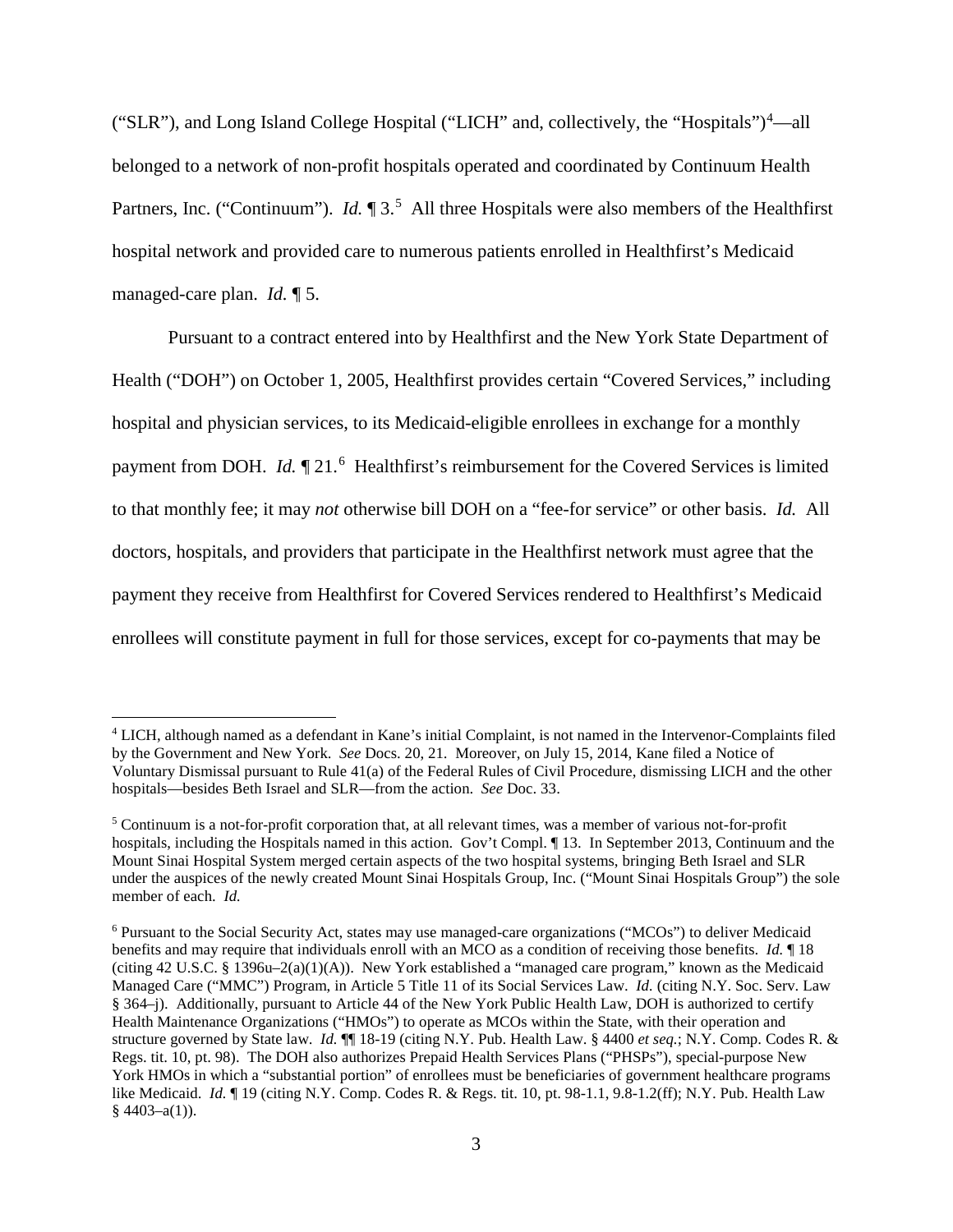("SLR"), and Long Island College Hospital ("LICH" and, collectively, the "Hospitals")<sup>[4](#page-2-0)</sup>—all belonged to a network of non-profit hospitals operated and coordinated by Continuum Health Partners, Inc. ("Continuum"). *Id.*  $\P 3.5$  $\P 3.5$  All three Hospitals were also members of the Healthfirst hospital network and provided care to numerous patients enrolled in Healthfirst's Medicaid managed-care plan. *Id.* ¶ 5.

 Pursuant to a contract entered into by Healthfirst and the New York State Department of Health ("DOH") on October 1, 2005, Healthfirst provides certain "Covered Services," including hospital and physician services, to its Medicaid-eligible enrollees in exchange for a monthly payment from DOH. *Id.*  $\P$  21.<sup>[6](#page-2-2)</sup> Healthfirst's reimbursement for the Covered Services is limited to that monthly fee; it may *not* otherwise bill DOH on a "fee-for service" or other basis. *Id.* All doctors, hospitals, and providers that participate in the Healthfirst network must agree that the payment they receive from Healthfirst for Covered Services rendered to Healthfirst's Medicaid enrollees will constitute payment in full for those services, except for co-payments that may be

 $\overline{a}$ 

<span id="page-2-0"></span><sup>4</sup> LICH, although named as a defendant in Kane's initial Complaint, is not named in the Intervenor-Complaints filed by the Government and New York. *See* Docs. 20, 21. Moreover, on July 15, 2014, Kane filed a Notice of Voluntary Dismissal pursuant to Rule 41(a) of the Federal Rules of Civil Procedure, dismissing LICH and the other hospitals—besides Beth Israel and SLR—from the action. *See* Doc. 33.

<span id="page-2-1"></span> $5$  Continuum is a not-for-profit corporation that, at all relevant times, was a member of various not-for-profit hospitals, including the Hospitals named in this action. Gov't Compl. ¶ 13. In September 2013, Continuum and the Mount Sinai Hospital System merged certain aspects of the two hospital systems, bringing Beth Israel and SLR under the auspices of the newly created Mount Sinai Hospitals Group, Inc. ("Mount Sinai Hospitals Group") the sole member of each. *Id.* 

<span id="page-2-2"></span><sup>6</sup> Pursuant to the Social Security Act, states may use managed-care organizations ("MCOs") to deliver Medicaid benefits and may require that individuals enroll with an MCO as a condition of receiving those benefits. *Id.* ¶ 18 (citing 42 U.S.C. § 1396u–2(a)(1)(A)). New York established a "managed care program," known as the Medicaid Managed Care ("MMC") Program, in Article 5 Title 11 of its Social Services Law. *Id.* (citing N.Y. Soc. Serv. Law § 364–j). Additionally, pursuant to Article 44 of the New York Public Health Law, DOH is authorized to certify Health Maintenance Organizations ("HMOs") to operate as MCOs within the State, with their operation and structure governed by State law. *Id.* ¶¶ 18-19 (citing N.Y. Pub. Health Law. § 4400 *et seq.*; N.Y. Comp. Codes R. & Regs. tit. 10, pt. 98). The DOH also authorizes Prepaid Health Services Plans ("PHSPs"), special-purpose New York HMOs in which a "substantial portion" of enrollees must be beneficiaries of government healthcare programs like Medicaid. *Id.* ¶ 19 (citing N.Y. Comp. Codes R. & Regs. tit. 10, pt. 98-1.1, 9.8-1.2(ff); N.Y. Pub. Health Law  $§$  4403-a(1)).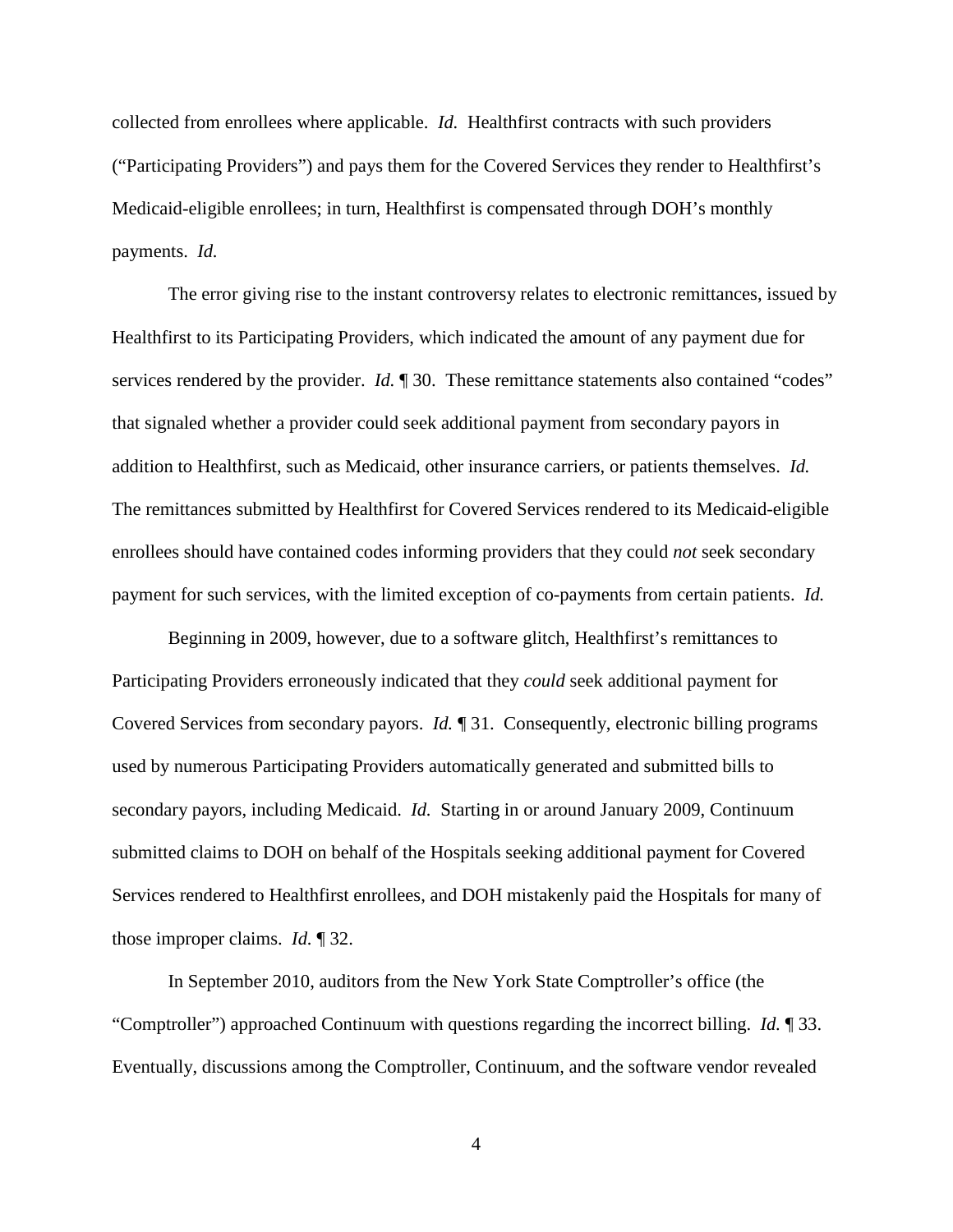collected from enrollees where applicable. *Id.* Healthfirst contracts with such providers ("Participating Providers") and pays them for the Covered Services they render to Healthfirst's Medicaid-eligible enrollees; in turn, Healthfirst is compensated through DOH's monthly payments. *Id.*

The error giving rise to the instant controversy relates to electronic remittances, issued by Healthfirst to its Participating Providers, which indicated the amount of any payment due for services rendered by the provider. *Id.* 1 30. These remittance statements also contained "codes" that signaled whether a provider could seek additional payment from secondary payors in addition to Healthfirst, such as Medicaid, other insurance carriers, or patients themselves. *Id.* The remittances submitted by Healthfirst for Covered Services rendered to its Medicaid-eligible enrollees should have contained codes informing providers that they could *not* seek secondary payment for such services, with the limited exception of co-payments from certain patients. *Id.*

Beginning in 2009, however, due to a software glitch, Healthfirst's remittances to Participating Providers erroneously indicated that they *could* seek additional payment for Covered Services from secondary payors. *Id.* ¶ 31. Consequently, electronic billing programs used by numerous Participating Providers automatically generated and submitted bills to secondary payors, including Medicaid. *Id.* Starting in or around January 2009, Continuum submitted claims to DOH on behalf of the Hospitals seeking additional payment for Covered Services rendered to Healthfirst enrollees, and DOH mistakenly paid the Hospitals for many of those improper claims. *Id.* ¶ 32.

In September 2010, auditors from the New York State Comptroller's office (the "Comptroller") approached Continuum with questions regarding the incorrect billing. *Id.* ¶ 33. Eventually, discussions among the Comptroller, Continuum, and the software vendor revealed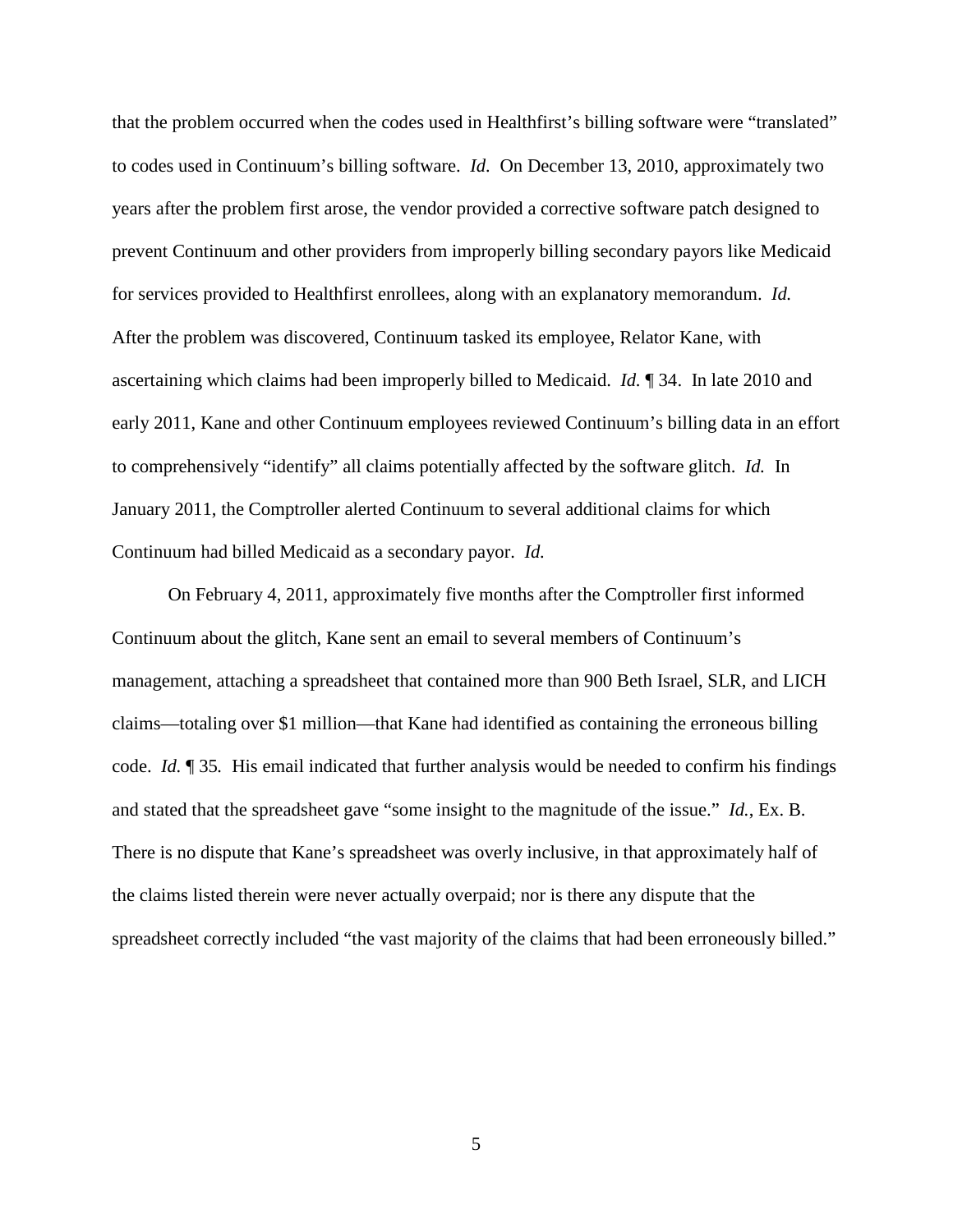that the problem occurred when the codes used in Healthfirst's billing software were "translated" to codes used in Continuum's billing software. *Id.* On December 13, 2010, approximately two years after the problem first arose, the vendor provided a corrective software patch designed to prevent Continuum and other providers from improperly billing secondary payors like Medicaid for services provided to Healthfirst enrollees, along with an explanatory memorandum. *Id.* After the problem was discovered, Continuum tasked its employee, Relator Kane, with ascertaining which claims had been improperly billed to Medicaid. *Id.* ¶ 34. In late 2010 and early 2011, Kane and other Continuum employees reviewed Continuum's billing data in an effort to comprehensively "identify" all claims potentially affected by the software glitch. *Id.* In January 2011, the Comptroller alerted Continuum to several additional claims for which Continuum had billed Medicaid as a secondary payor. *Id.*

On February 4, 2011, approximately five months after the Comptroller first informed Continuum about the glitch, Kane sent an email to several members of Continuum's management, attaching a spreadsheet that contained more than 900 Beth Israel, SLR, and LICH claims—totaling over \$1 million—that Kane had identified as containing the erroneous billing code. *Id.* ¶ 35*.* His email indicated that further analysis would be needed to confirm his findings and stated that the spreadsheet gave "some insight to the magnitude of the issue." *Id.*, Ex. B. There is no dispute that Kane's spreadsheet was overly inclusive, in that approximately half of the claims listed therein were never actually overpaid; nor is there any dispute that the spreadsheet correctly included "the vast majority of the claims that had been erroneously billed."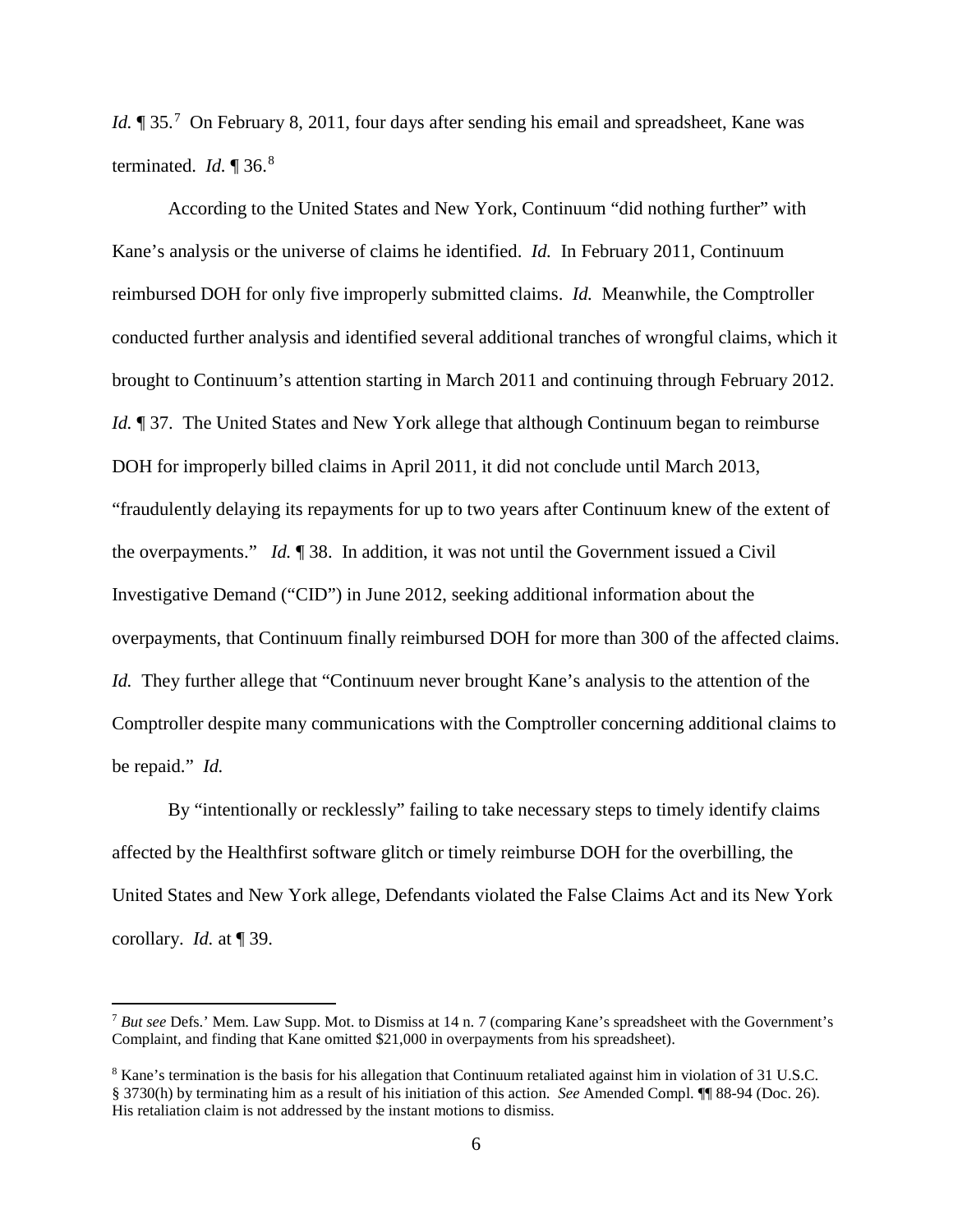Id. ¶ 35.<sup>[7](#page-5-0)</sup> On February 8, 2011, four days after sending his email and spreadsheet, Kane was terminated. *Id.* ¶ 36.[8](#page-5-1)

According to the United States and New York, Continuum "did nothing further" with Kane's analysis or the universe of claims he identified. *Id.* In February 2011, Continuum reimbursed DOH for only five improperly submitted claims. *Id.* Meanwhile, the Comptroller conducted further analysis and identified several additional tranches of wrongful claims, which it brought to Continuum's attention starting in March 2011 and continuing through February 2012. *Id.* 137. The United States and New York allege that although Continuum began to reimburse DOH for improperly billed claims in April 2011, it did not conclude until March 2013, "fraudulently delaying its repayments for up to two years after Continuum knew of the extent of the overpayments." *Id.* ¶ 38. In addition, it was not until the Government issued a Civil Investigative Demand ("CID") in June 2012, seeking additional information about the overpayments, that Continuum finally reimbursed DOH for more than 300 of the affected claims. *Id.* They further allege that "Continuum never brought Kane's analysis to the attention of the Comptroller despite many communications with the Comptroller concerning additional claims to be repaid." *Id.* 

By "intentionally or recklessly" failing to take necessary steps to timely identify claims affected by the Healthfirst software glitch or timely reimburse DOH for the overbilling, the United States and New York allege, Defendants violated the False Claims Act and its New York corollary. *Id.* at ¶ 39.

 $\overline{a}$ 

<span id="page-5-0"></span><sup>7</sup> *But see* Defs.' Mem. Law Supp. Mot. to Dismiss at 14 n. 7 (comparing Kane's spreadsheet with the Government's Complaint, and finding that Kane omitted \$21,000 in overpayments from his spreadsheet).

<span id="page-5-1"></span><sup>8</sup> Kane's termination is the basis for his allegation that Continuum retaliated against him in violation of 31 U.S.C. § 3730(h) by terminating him as a result of his initiation of this action. *See* Amended Compl. ¶¶ 88-94 (Doc. 26). His retaliation claim is not addressed by the instant motions to dismiss.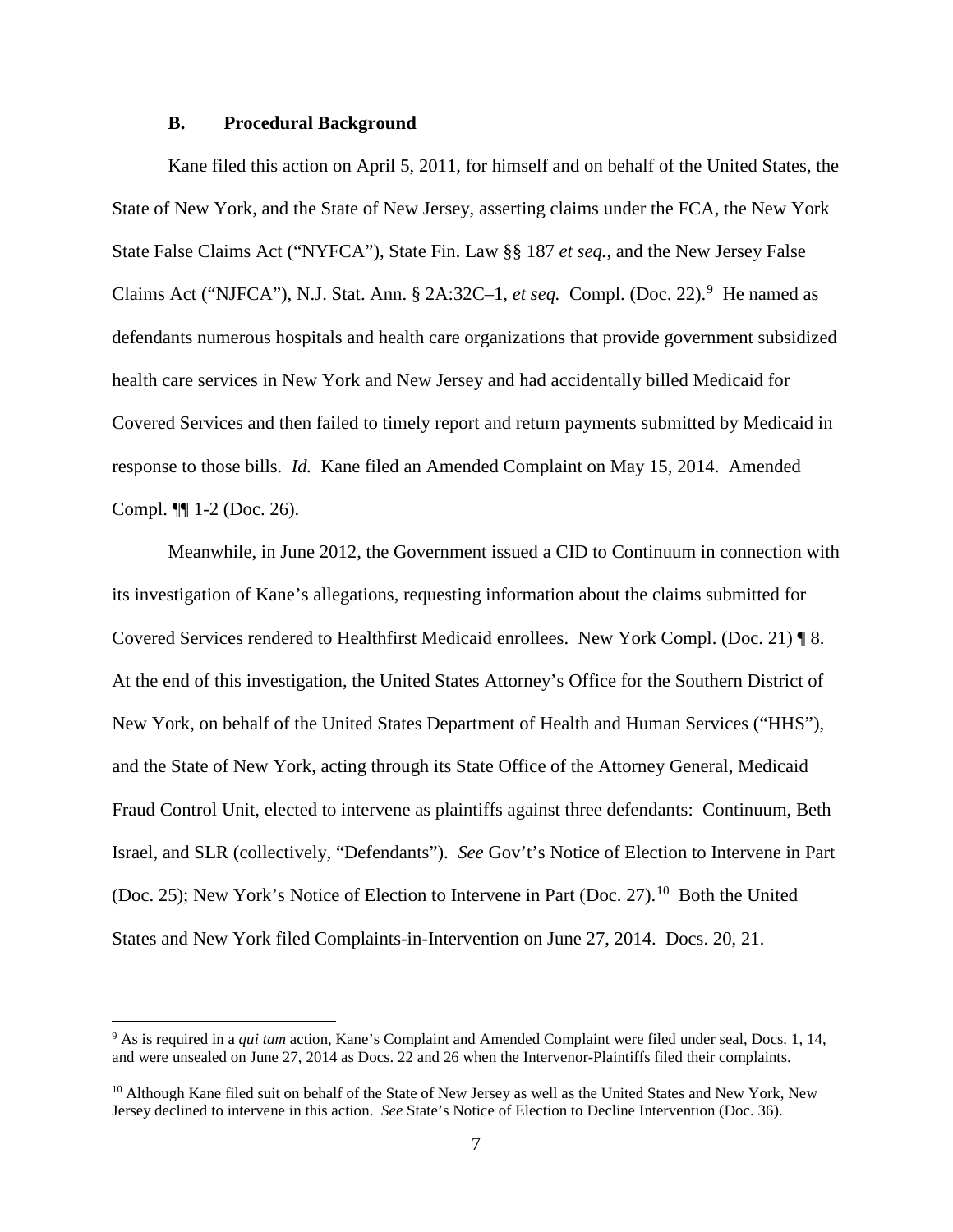#### **B. Procedural Background**

 $\overline{a}$ 

Kane filed this action on April 5, 2011, for himself and on behalf of the United States, the State of New York, and the State of New Jersey, asserting claims under the FCA, the New York State False Claims Act ("NYFCA"), State Fin. Law §§ 187 *et seq.*, and the New Jersey False Claims Act ("NJFCA"), N.J. Stat. Ann. § 2A:32C-1, et seq. Compl. (Doc. 22).<sup>[9](#page-6-0)</sup> He named as defendants numerous hospitals and health care organizations that provide government subsidized health care services in New York and New Jersey and had accidentally billed Medicaid for Covered Services and then failed to timely report and return payments submitted by Medicaid in response to those bills. *Id.* Kane filed an Amended Complaint on May 15, 2014. Amended Compl. ¶¶ 1-2 (Doc. 26).

Meanwhile, in June 2012, the Government issued a CID to Continuum in connection with its investigation of Kane's allegations, requesting information about the claims submitted for Covered Services rendered to Healthfirst Medicaid enrollees. New York Compl. (Doc. 21) ¶ 8. At the end of this investigation, the United States Attorney's Office for the Southern District of New York, on behalf of the United States Department of Health and Human Services ("HHS"), and the State of New York, acting through its State Office of the Attorney General, Medicaid Fraud Control Unit, elected to intervene as plaintiffs against three defendants: Continuum, Beth Israel, and SLR (collectively, "Defendants"). *See* Gov't's Notice of Election to Intervene in Part (Doc. 25); New York's Notice of Election to Intervene in Part (Doc. 27).<sup>[10](#page-6-1)</sup> Both the United States and New York filed Complaints-in-Intervention on June 27, 2014. Docs. 20, 21.

<span id="page-6-0"></span><sup>9</sup> As is required in a *qui tam* action, Kane's Complaint and Amended Complaint were filed under seal, Docs. 1, 14, and were unsealed on June 27, 2014 as Docs. 22 and 26 when the Intervenor-Plaintiffs filed their complaints.

<span id="page-6-1"></span><sup>&</sup>lt;sup>10</sup> Although Kane filed suit on behalf of the State of New Jersey as well as the United States and New York, New Jersey declined to intervene in this action. *See* State's Notice of Election to Decline Intervention (Doc. 36).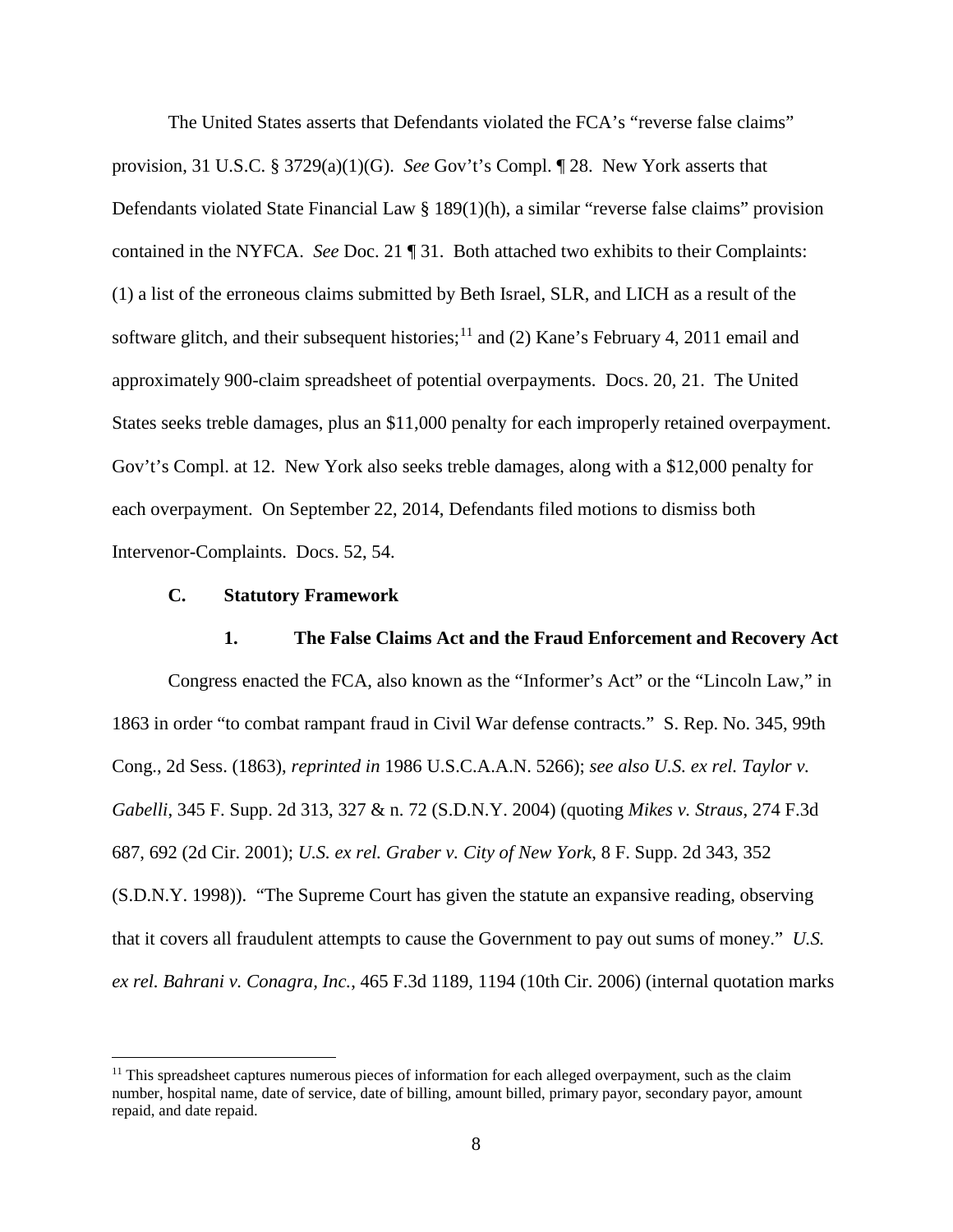The United States asserts that Defendants violated the FCA's "reverse false claims" provision, 31 U.S.C. § 3729(a)(1)(G). *See* Gov't's Compl. ¶ 28. New York asserts that Defendants violated State Financial Law § 189(1)(h), a similar "reverse false claims" provision contained in the NYFCA. *See* Doc. 21 ¶ 31. Both attached two exhibits to their Complaints: (1) a list of the erroneous claims submitted by Beth Israel, SLR, and LICH as a result of the software glitch, and their subsequent histories;<sup>[11](#page-7-0)</sup> and (2) Kane's February 4, 2011 email and approximately 900-claim spreadsheet of potential overpayments. Docs. 20, 21. The United States seeks treble damages, plus an \$11,000 penalty for each improperly retained overpayment. Gov't's Compl. at 12. New York also seeks treble damages, along with a \$12,000 penalty for each overpayment. On September 22, 2014, Defendants filed motions to dismiss both Intervenor-Complaints. Docs. 52, 54.

#### **C. Statutory Framework**

<u>.</u>

**1. The False Claims Act and the Fraud Enforcement and Recovery Act** Congress enacted the FCA, also known as the "Informer's Act" or the "Lincoln Law," in 1863 in order "to combat rampant fraud in Civil War defense contracts." S. Rep. No. 345, 99th Cong., 2d Sess. (1863), *reprinted in* 1986 U.S.C.A.A.N. 5266); *see also U.S. ex rel. Taylor v. Gabelli*, 345 F. Supp. 2d 313, 327 & n. 72 (S.D.N.Y. 2004) (quoting *Mikes v. Straus*, 274 F.3d 687, 692 (2d Cir. 2001); *U.S. ex rel. Graber v. City of New York*, 8 F. Supp. 2d 343, 352 (S.D.N.Y. 1998)). "The Supreme Court has given the statute an expansive reading, observing that it covers all fraudulent attempts to cause the Government to pay out sums of money." *U.S. ex rel. Bahrani v. Conagra, Inc.*, 465 F.3d 1189, 1194 (10th Cir. 2006) (internal quotation marks

<span id="page-7-0"></span> $11$  This spreadsheet captures numerous pieces of information for each alleged overpayment, such as the claim number, hospital name, date of service, date of billing, amount billed, primary payor, secondary payor, amount repaid, and date repaid.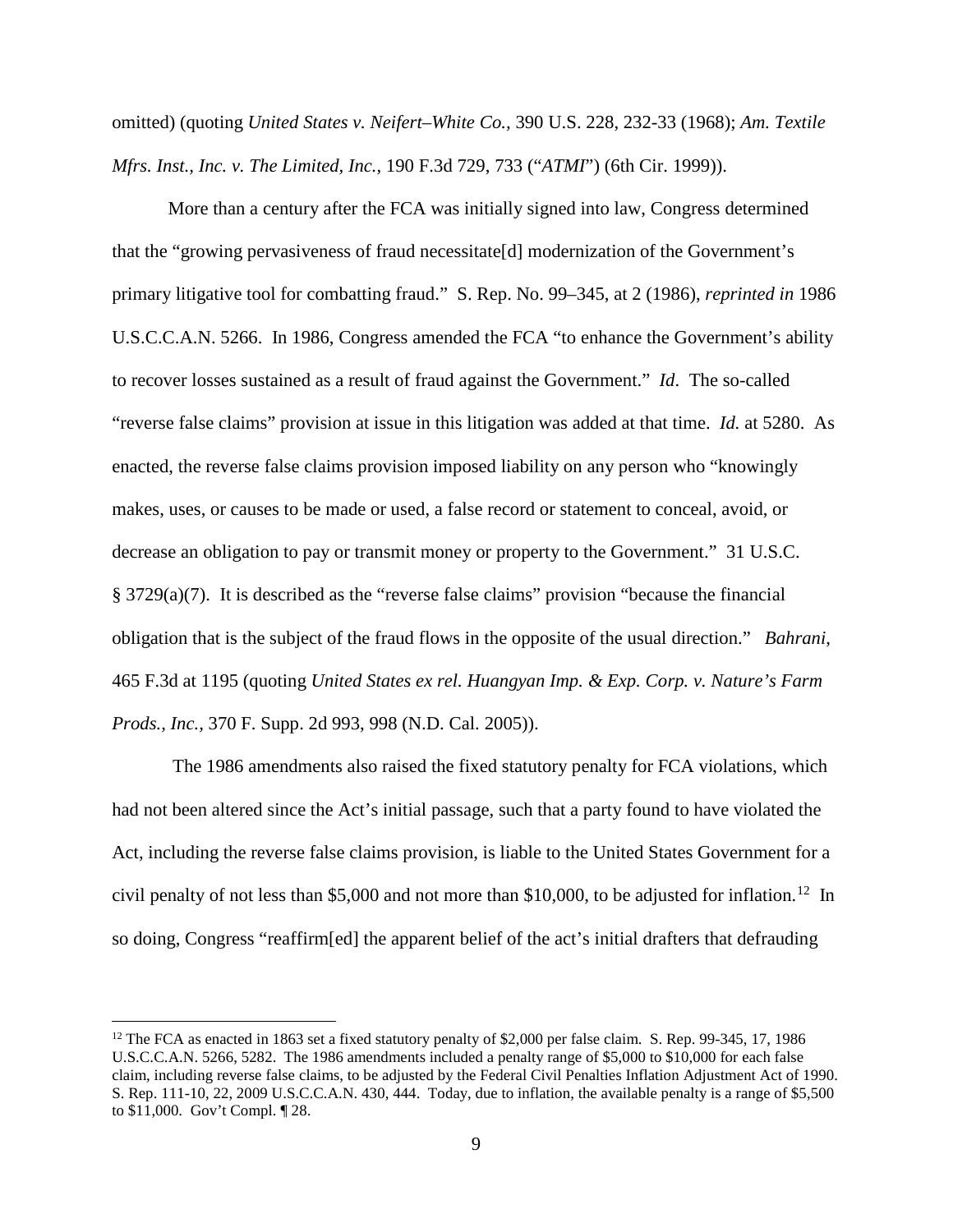omitted) (quoting *United States v. Neifert–White Co.,* 390 U.S. 228, 232-33 (1968); *Am. Textile Mfrs. Inst., Inc. v. The Limited, Inc.*, 190 F.3d 729, 733 ("*ATMI*") (6th Cir. 1999)).

More than a century after the FCA was initially signed into law, Congress determined that the "growing pervasiveness of fraud necessitate[d] modernization of the Government's primary litigative tool for combatting fraud." S. Rep. No. 99–345, at 2 (1986), *reprinted in* 1986 U.S.C.C.A.N. 5266. In 1986, Congress amended the FCA "to enhance the Government's ability to recover losses sustained as a result of fraud against the Government." *Id*. The so-called "reverse false claims" provision at issue in this litigation was added at that time. *Id.* at 5280. As enacted, the reverse false claims provision imposed liability on any person who "knowingly makes, uses, or causes to be made or used, a false record or statement to conceal, avoid, or decrease an obligation to pay or transmit money or property to the Government." 31 U.S.C. § 3729(a)(7). It is described as the "reverse false claims" provision "because the financial obligation that is the subject of the fraud flows in the opposite of the usual direction." *Bahrani*, 465 F.3d at 1195 (quoting *United States ex rel. Huangyan Imp. & Exp. Corp. v. Nature's Farm Prods., Inc.,* 370 F. Supp. 2d 993, 998 (N.D. Cal. 2005)).

The 1986 amendments also raised the fixed statutory penalty for FCA violations, which had not been altered since the Act's initial passage, such that a party found to have violated the Act, including the reverse false claims provision, is liable to the United States Government for a civil penalty of not less than \$5,000 and not more than \$10,000, to be adjusted for inflation.<sup>[12](#page-8-0)</sup> In so doing, Congress "reaffirm[ed] the apparent belief of the act's initial drafters that defrauding

 $\overline{a}$ 

<span id="page-8-0"></span><sup>&</sup>lt;sup>12</sup> The FCA as enacted in 1863 set a fixed statutory penalty of \$2,000 per false claim. S. Rep. 99-345, 17, 1986 U.S.C.C.A.N. 5266, 5282. The 1986 amendments included a penalty range of \$5,000 to \$10,000 for each false claim, including reverse false claims, to be adjusted by the Federal Civil Penalties Inflation Adjustment Act of 1990. S. Rep. 111-10, 22, 2009 U.S.C.C.A.N. 430, 444. Today, due to inflation, the available penalty is a range of \$5,500 to \$11,000. Gov't Compl. ¶ 28.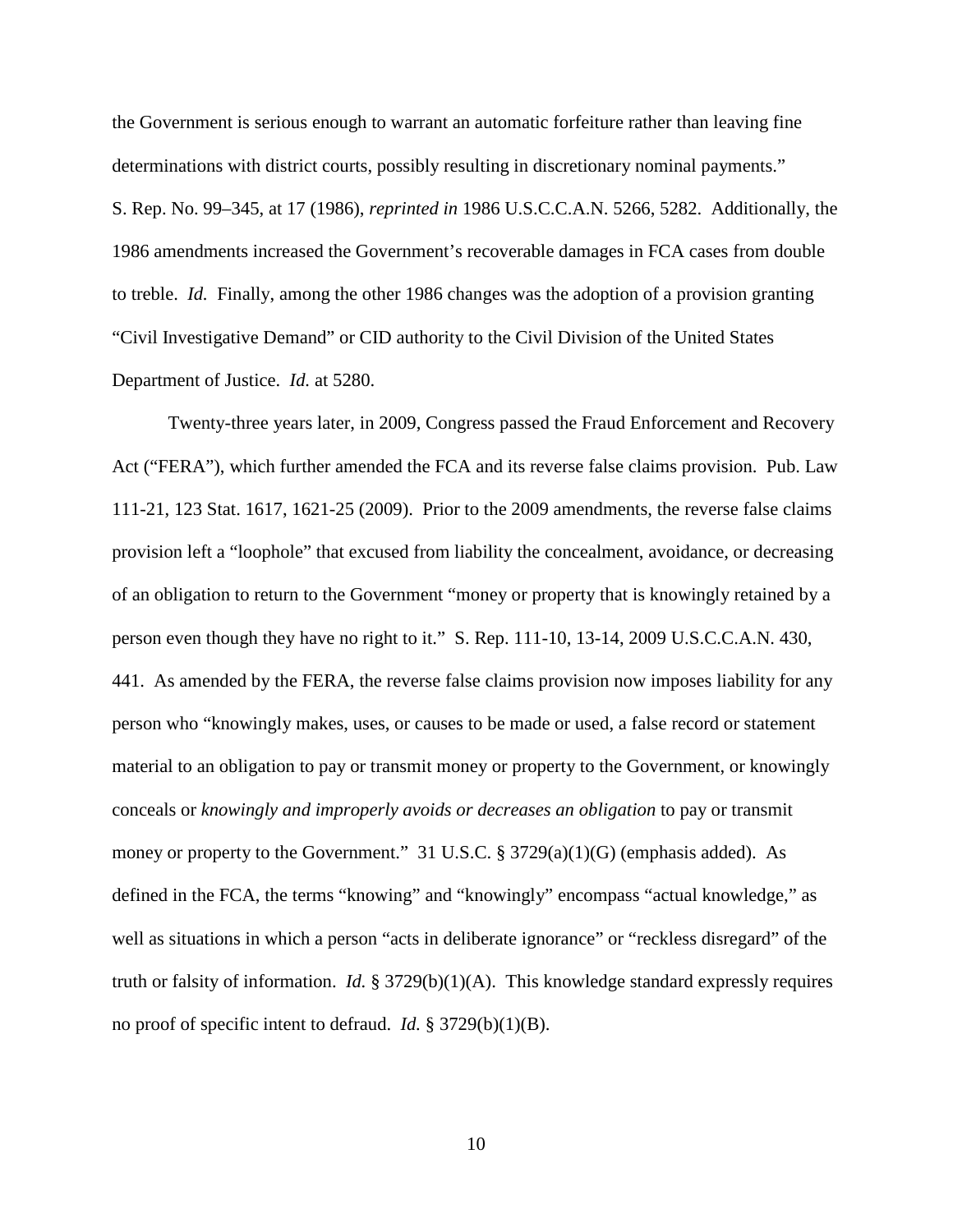the Government is serious enough to warrant an automatic forfeiture rather than leaving fine determinations with district courts, possibly resulting in discretionary nominal payments." S. Rep. No. 99–345, at 17 (1986), *reprinted in* 1986 U.S.C.C.A.N. 5266, 5282. Additionally, the 1986 amendments increased the Government's recoverable damages in FCA cases from double to treble. *Id.* Finally, among the other 1986 changes was the adoption of a provision granting "Civil Investigative Demand" or CID authority to the Civil Division of the United States Department of Justice. *Id.* at 5280.

Twenty-three years later, in 2009, Congress passed the Fraud Enforcement and Recovery Act ("FERA"), which further amended the FCA and its reverse false claims provision. Pub. Law 111-21, 123 Stat. 1617, 1621-25 (2009). Prior to the 2009 amendments, the reverse false claims provision left a "loophole" that excused from liability the concealment, avoidance, or decreasing of an obligation to return to the Government "money or property that is knowingly retained by a person even though they have no right to it." S. Rep. 111-10, 13-14, 2009 U.S.C.C.A.N. 430, 441. As amended by the FERA, the reverse false claims provision now imposes liability for any person who "knowingly makes, uses, or causes to be made or used, a false record or statement material to an obligation to pay or transmit money or property to the Government, or knowingly conceals or *knowingly and improperly avoids or decreases an obligation* to pay or transmit money or property to the Government." 31 U.S.C. § 3729(a)(1)(G) (emphasis added). As defined in the FCA, the terms "knowing" and "knowingly" encompass "actual knowledge," as well as situations in which a person "acts in deliberate ignorance" or "reckless disregard" of the truth or falsity of information. *Id.* § 3729(b)(1)(A). This knowledge standard expressly requires no proof of specific intent to defraud. *Id.* § 3729(b)(1)(B).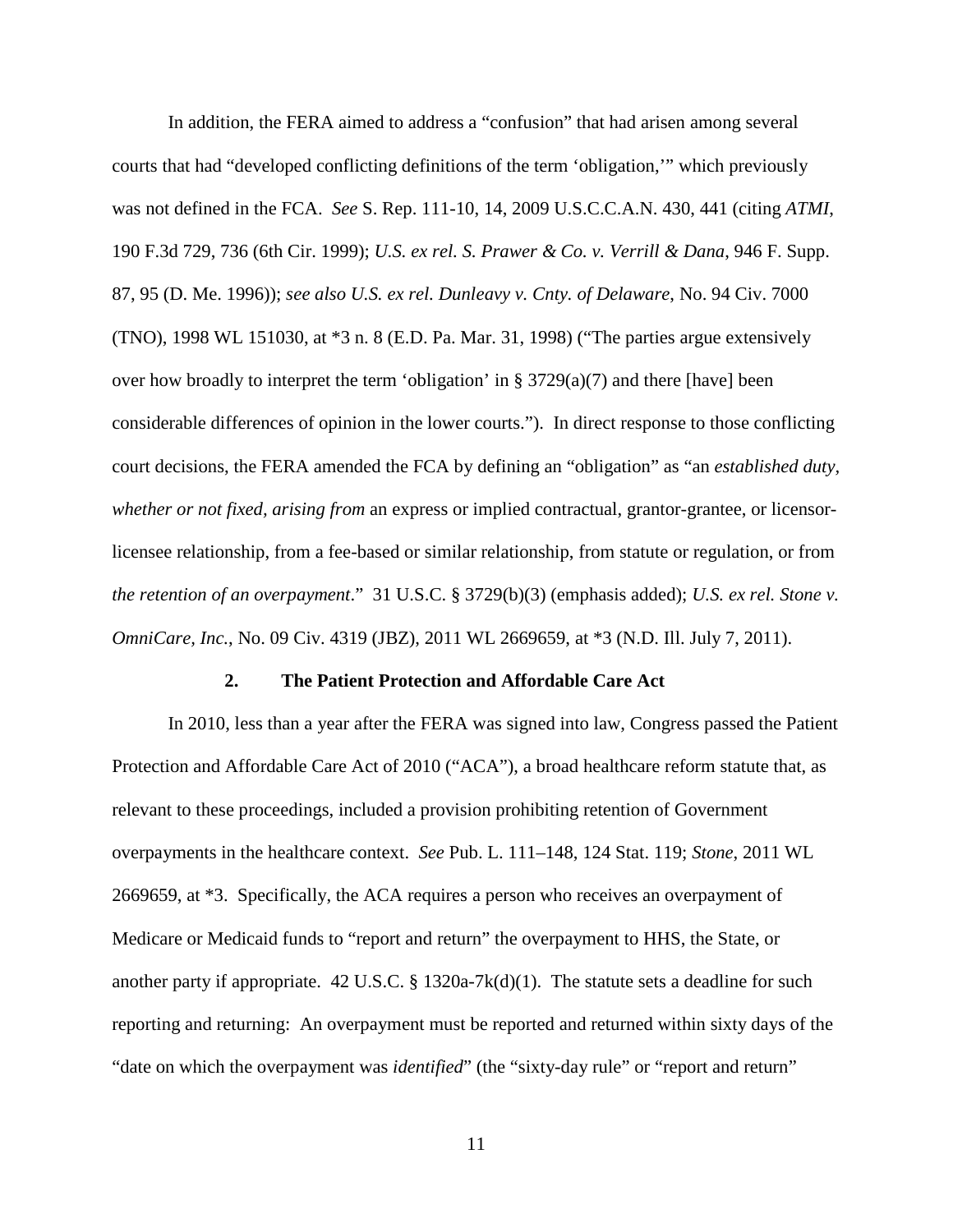In addition, the FERA aimed to address a "confusion" that had arisen among several courts that had "developed conflicting definitions of the term 'obligation,'" which previously was not defined in the FCA. *See* S. Rep. 111-10, 14, 2009 U.S.C.C.A.N. 430, 441 (citing *ATMI*, 190 F.3d 729, 736 (6th Cir. 1999); *U.S. ex rel. S. Prawer & Co. v. Verrill & Dana*, 946 F. Supp. 87, 95 (D. Me. 1996)); *see also U.S. ex rel. Dunleavy v. Cnty. of Delaware*, No. 94 Civ. 7000 (TNO), 1998 WL 151030, at \*3 n. 8 (E.D. Pa. Mar. 31, 1998) ("The parties argue extensively over how broadly to interpret the term 'obligation' in § 3729(a)(7) and there [have] been considerable differences of opinion in the lower courts."). In direct response to those conflicting court decisions, the FERA amended the FCA by defining an "obligation" as "an *established duty, whether or not fixed, arising from* an express or implied contractual, grantor-grantee, or licensorlicensee relationship, from a fee-based or similar relationship, from statute or regulation, or from *the retention of an overpayment*." 31 U.S.C. § 3729(b)(3) (emphasis added); *U.S. ex rel. Stone v. OmniCare, Inc.*, No. 09 Civ. 4319 (JBZ), 2011 WL 2669659, at \*3 (N.D. Ill. July 7, 2011).

#### **2. The Patient Protection and Affordable Care Act**

In 2010, less than a year after the FERA was signed into law, Congress passed the Patient Protection and Affordable Care Act of 2010 ("ACA"), a broad healthcare reform statute that, as relevant to these proceedings, included a provision prohibiting retention of Government overpayments in the healthcare context. *See* Pub. L. 111–148, 124 Stat. 119; *Stone*, 2011 WL 2669659, at \*3. Specifically, the ACA requires a person who receives an overpayment of Medicare or Medicaid funds to "report and return" the overpayment to HHS, the State, or another party if appropriate.  $42 \text{ U.S.C.}$  § 1320a-7k(d)(1). The statute sets a deadline for such reporting and returning: An overpayment must be reported and returned within sixty days of the "date on which the overpayment was *identified*" (the "sixty-day rule" or "report and return"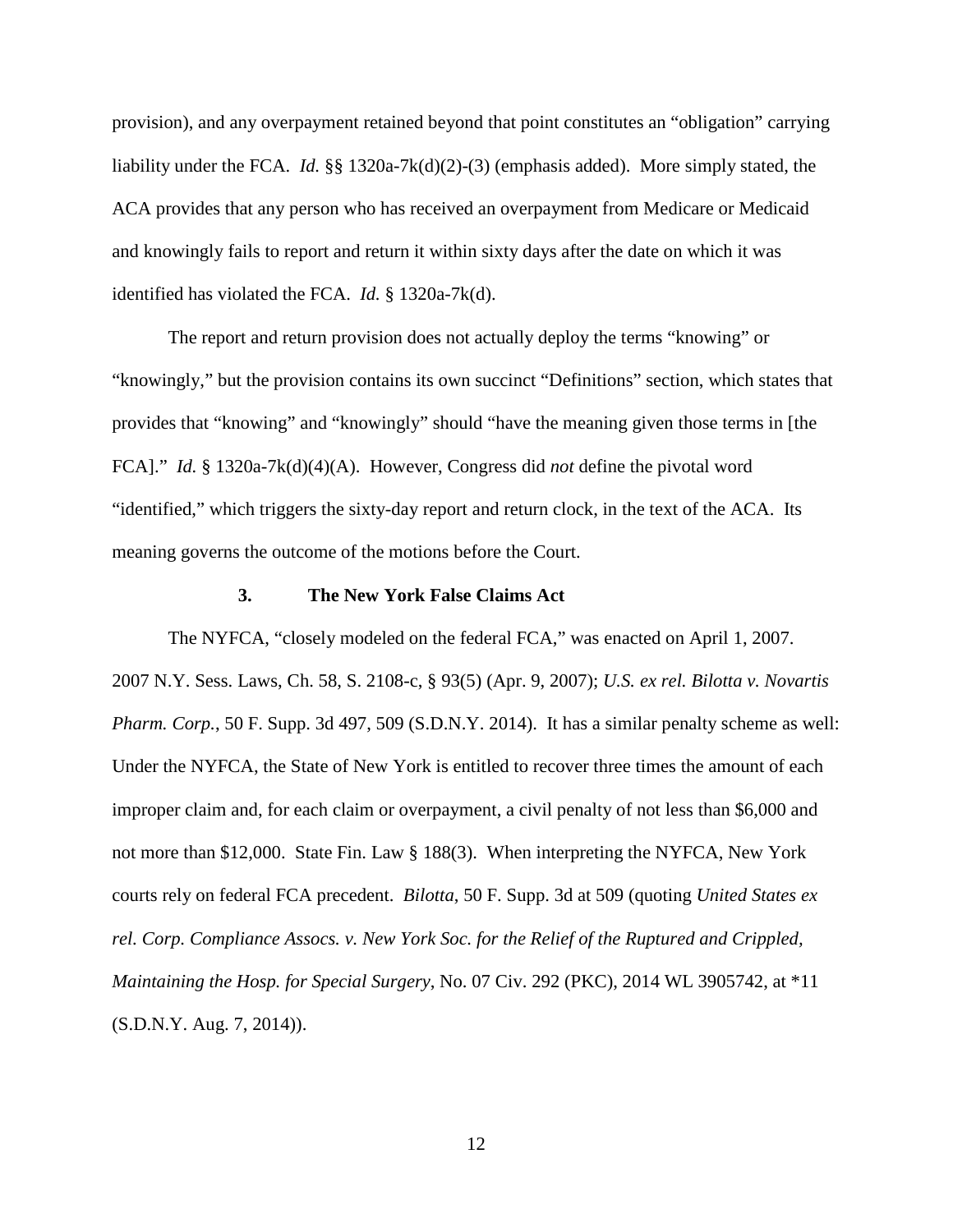provision), and any overpayment retained beyond that point constitutes an "obligation" carrying liability under the FCA. *Id.* §§ 1320a-7k(d)(2)-(3) (emphasis added). More simply stated, the ACA provides that any person who has received an overpayment from Medicare or Medicaid and knowingly fails to report and return it within sixty days after the date on which it was identified has violated the FCA. *Id.* § 1320a-7k(d).

The report and return provision does not actually deploy the terms "knowing" or "knowingly," but the provision contains its own succinct "Definitions" section, which states that provides that "knowing" and "knowingly" should "have the meaning given those terms in [the FCA]." *Id.* § 1320a-7k(d)(4)(A). However, Congress did *not* define the pivotal word "identified," which triggers the sixty-day report and return clock, in the text of the ACA. Its meaning governs the outcome of the motions before the Court.

#### **3. The New York False Claims Act**

The NYFCA, "closely modeled on the federal FCA," was enacted on April 1, 2007. 2007 N.Y. Sess. Laws, Ch. 58, S. 2108-c, § 93(5) (Apr. 9, 2007); *U.S. ex rel. Bilotta v. Novartis Pharm. Corp.*, 50 F. Supp. 3d 497, 509 (S.D.N.Y. 2014). It has a similar penalty scheme as well: Under the NYFCA, the State of New York is entitled to recover three times the amount of each improper claim and, for each claim or overpayment, a civil penalty of not less than \$6,000 and not more than \$12,000. State Fin. Law § 188(3). When interpreting the NYFCA, New York courts rely on federal FCA precedent. *Bilotta*, 50 F. Supp. 3d at 509 (quoting *United States ex rel. Corp. Compliance Assocs. v. New York Soc. for the Relief of the Ruptured and Crippled, Maintaining the Hosp. for Special Surgery*, No. 07 Civ. 292 (PKC), 2014 WL 3905742, at \*11 (S.D.N.Y. Aug. 7, 2014)).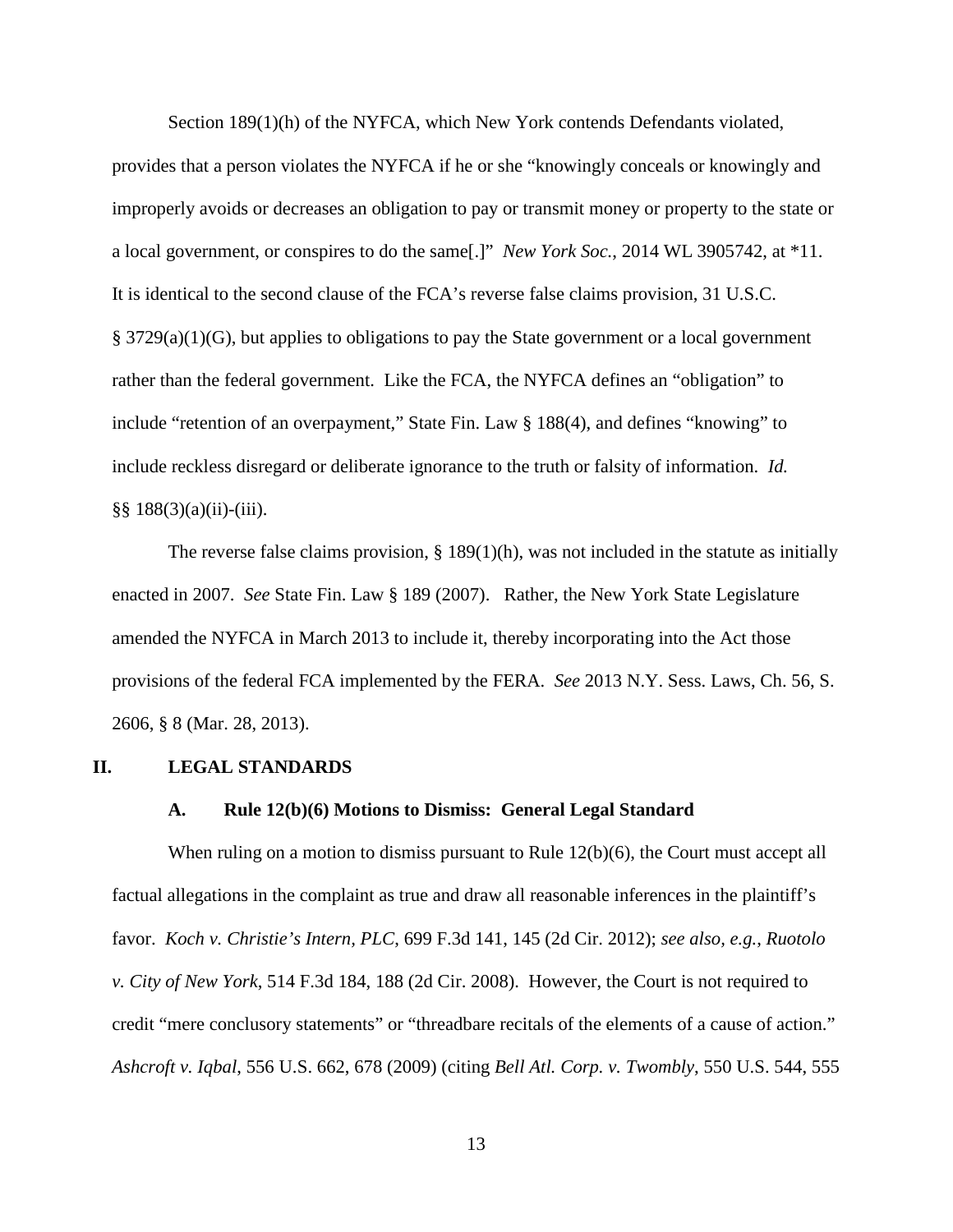Section 189(1)(h) of the NYFCA, which New York contends Defendants violated,

provides that a person violates the NYFCA if he or she "knowingly conceals or knowingly and improperly avoids or decreases an obligation to pay or transmit money or property to the state or a local government, or conspires to do the same[.]" *New York Soc.*, 2014 WL 3905742, at \*11. It is identical to the second clause of the FCA's reverse false claims provision, 31 U.S.C. § 3729(a)(1)(G), but applies to obligations to pay the State government or a local government rather than the federal government. Like the FCA, the NYFCA defines an "obligation" to include "retention of an overpayment," State Fin. Law § 188(4), and defines "knowing" to include reckless disregard or deliberate ignorance to the truth or falsity of information. *Id.*  $§$ § 188(3)(a)(ii)-(iii).

The reverse false claims provision,  $\S$  189(1)(h), was not included in the statute as initially enacted in 2007. *See* State Fin. Law § 189 (2007). Rather, the New York State Legislature amended the NYFCA in March 2013 to include it, thereby incorporating into the Act those provisions of the federal FCA implemented by the FERA. *See* 2013 N.Y. Sess. Laws, Ch. 56, S. 2606, § 8 (Mar. 28, 2013).

#### **II. LEGAL STANDARDS**

#### **A. Rule 12(b)(6) Motions to Dismiss: General Legal Standard**

When ruling on a motion to dismiss pursuant to Rule 12(b)(6), the Court must accept all factual allegations in the complaint as true and draw all reasonable inferences in the plaintiff's favor. *Koch v. Christie's Intern, PLC*, 699 F.3d 141, 145 (2d Cir. 2012); *see also, e.g.*, *Ruotolo v. City of New York*, 514 F.3d 184, 188 (2d Cir. 2008). However, the Court is not required to credit "mere conclusory statements" or "threadbare recitals of the elements of a cause of action." *Ashcroft v. Iqbal*, 556 U.S. 662, 678 (2009) (citing *Bell Atl. Corp. v. Twombly*, 550 U.S. 544, 555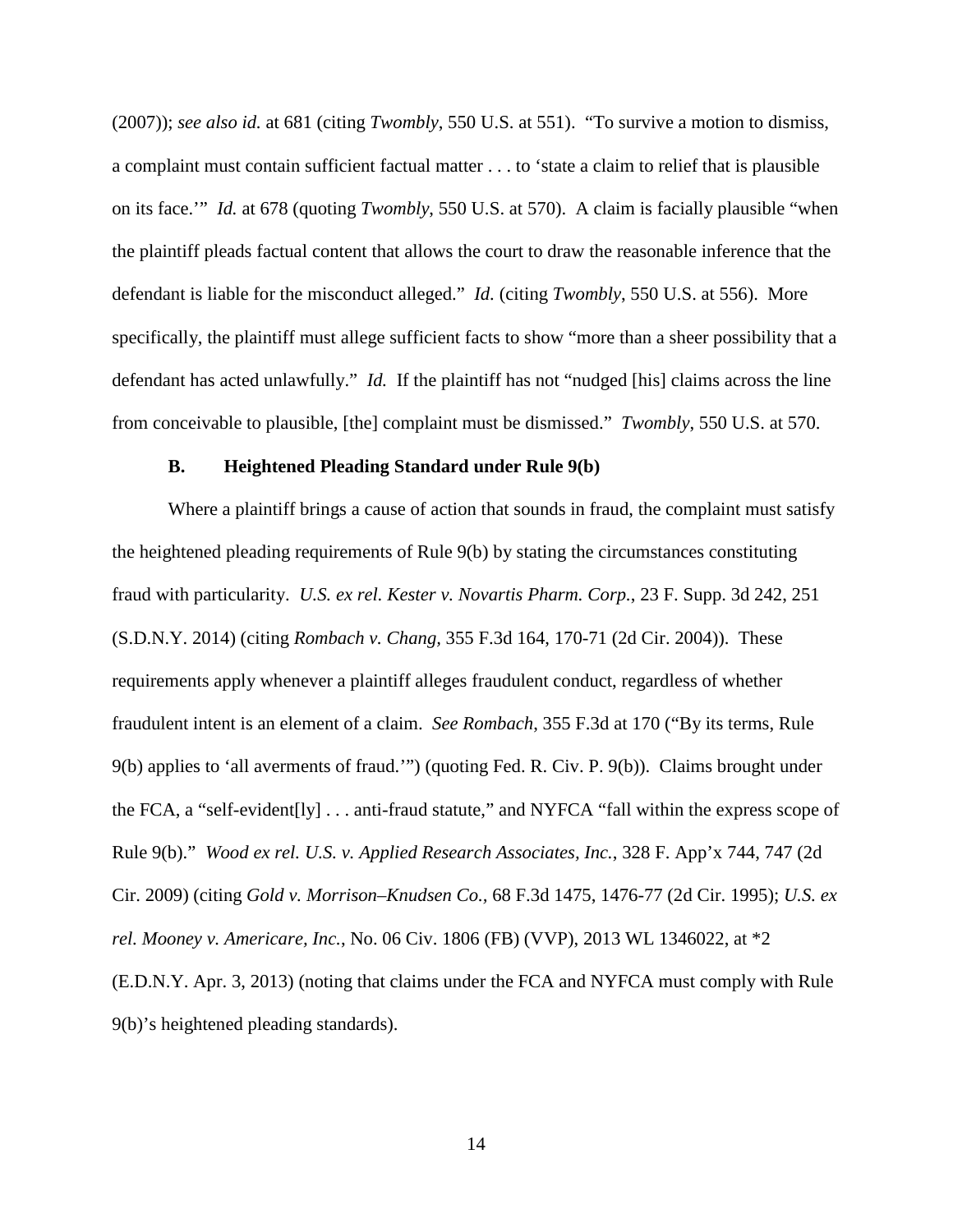(2007)); *see also id.* at 681 (citing *Twombly*, 550 U.S. at 551). "To survive a motion to dismiss, a complaint must contain sufficient factual matter . . . to 'state a claim to relief that is plausible on its face.'" *Id.* at 678 (quoting *Twombly*, 550 U.S. at 570). A claim is facially plausible "when the plaintiff pleads factual content that allows the court to draw the reasonable inference that the defendant is liable for the misconduct alleged." *Id.* (citing *Twombly*, 550 U.S. at 556). More specifically, the plaintiff must allege sufficient facts to show "more than a sheer possibility that a defendant has acted unlawfully." *Id.* If the plaintiff has not "nudged [his] claims across the line from conceivable to plausible, [the] complaint must be dismissed." *Twombly*, 550 U.S. at 570.

#### **B. Heightened Pleading Standard under Rule 9(b)**

Where a plaintiff brings a cause of action that sounds in fraud, the complaint must satisfy the heightened pleading requirements of Rule 9(b) by stating the circumstances constituting fraud with particularity. *U.S. ex rel. Kester v. Novartis Pharm. Corp.*, 23 F. Supp. 3d 242, 251 (S.D.N.Y. 2014) (citing *Rombach v. Chang,* 355 F.3d 164, 170-71 (2d Cir. 2004)). These requirements apply whenever a plaintiff alleges fraudulent conduct, regardless of whether fraudulent intent is an element of a claim. *See Rombach*, 355 F.3d at 170 ("By its terms, Rule 9(b) applies to 'all averments of fraud.'") (quoting Fed. R. Civ. P. 9(b)). Claims brought under the FCA, a "self-evident[ly] . . . anti-fraud statute," and NYFCA "fall within the express scope of Rule 9(b)." *Wood ex rel. U.S. v. Applied Research Associates, Inc.*, 328 F. App'x 744, 747 (2d Cir. 2009) (citing *Gold v. Morrison–Knudsen Co.,* 68 F.3d 1475, 1476-77 (2d Cir. 1995); *U.S. ex rel. Mooney v. Americare, Inc.*, No. 06 Civ. 1806 (FB) (VVP), 2013 WL 1346022, at \*2 (E.D.N.Y. Apr. 3, 2013) (noting that claims under the FCA and NYFCA must comply with Rule 9(b)'s heightened pleading standards).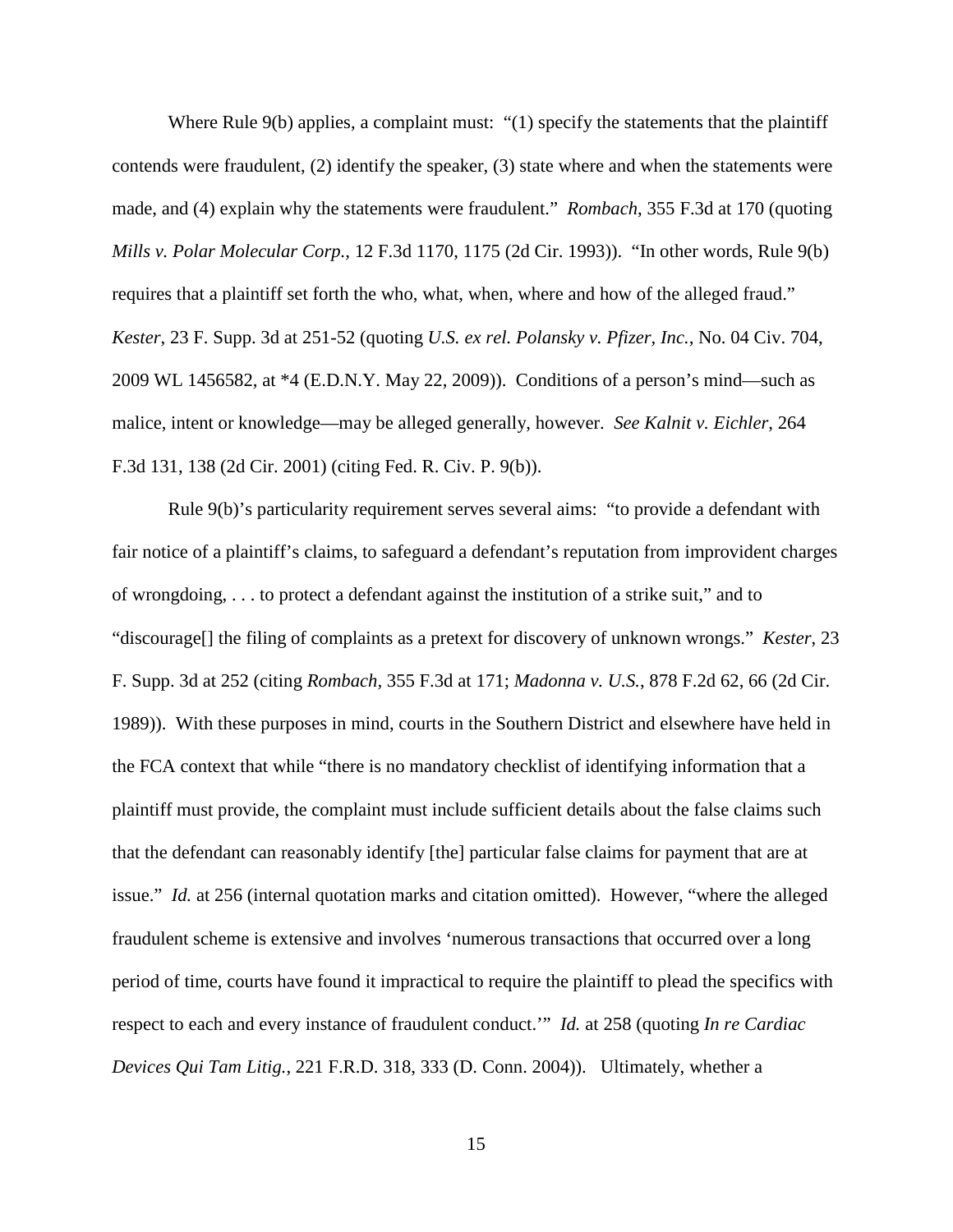Where Rule 9(b) applies, a complaint must: "(1) specify the statements that the plaintiff contends were fraudulent, (2) identify the speaker, (3) state where and when the statements were made, and (4) explain why the statements were fraudulent." *Rombach*, 355 F.3d at 170 (quoting *Mills v. Polar Molecular Corp.,* 12 F.3d 1170, 1175 (2d Cir. 1993)). "In other words, Rule 9(b) requires that a plaintiff set forth the who, what, when, where and how of the alleged fraud." *Kester*, 23 F. Supp. 3d at 251-52 (quoting *U.S. ex rel. Polansky v. Pfizer, Inc.,* No. 04 Civ. 704, 2009 WL 1456582, at \*4 (E.D.N.Y. May 22, 2009)). Conditions of a person's mind—such as malice, intent or knowledge—may be alleged generally, however. *See Kalnit v. Eichler*, 264 F.3d 131, 138 (2d Cir. 2001) (citing Fed. R. Civ. P. 9(b)).

Rule 9(b)'s particularity requirement serves several aims: "to provide a defendant with fair notice of a plaintiff's claims, to safeguard a defendant's reputation from improvident charges of wrongdoing, . . . to protect a defendant against the institution of a strike suit," and to "discourage[] the filing of complaints as a pretext for discovery of unknown wrongs." *Kester*, 23 F. Supp. 3d at 252 (citing *Rombach,* 355 F.3d at 171; *Madonna v. U.S.*, 878 F.2d 62, 66 (2d Cir. 1989)). With these purposes in mind, courts in the Southern District and elsewhere have held in the FCA context that while "there is no mandatory checklist of identifying information that a plaintiff must provide, the complaint must include sufficient details about the false claims such that the defendant can reasonably identify [the] particular false claims for payment that are at issue." *Id.* at 256 (internal quotation marks and citation omitted). However, "where the alleged fraudulent scheme is extensive and involves 'numerous transactions that occurred over a long period of time, courts have found it impractical to require the plaintiff to plead the specifics with respect to each and every instance of fraudulent conduct.'" *Id.* at 258 (quoting *In re Cardiac Devices Qui Tam Litig.*, 221 F.R.D. 318, 333 (D. Conn. 2004)). Ultimately, whether a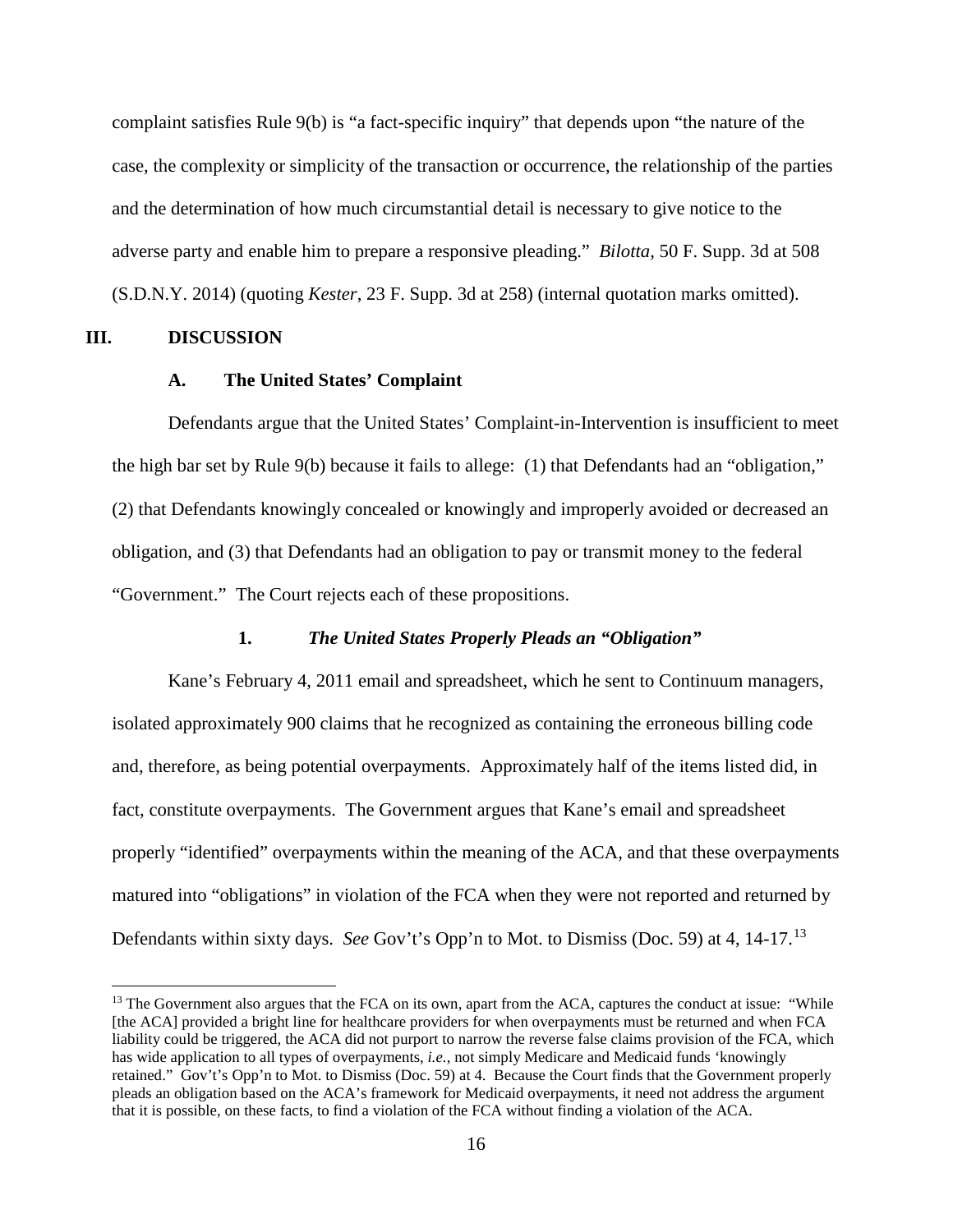complaint satisfies Rule 9(b) is "a fact-specific inquiry" that depends upon "the nature of the case, the complexity or simplicity of the transaction or occurrence, the relationship of the parties and the determination of how much circumstantial detail is necessary to give notice to the adverse party and enable him to prepare a responsive pleading." *Bilotta*, 50 F. Supp. 3d at 508 (S.D.N.Y. 2014) (quoting *Kester*, 23 F. Supp. 3d at 258) (internal quotation marks omitted).

#### **III. DISCUSSION**

 $\overline{a}$ 

#### **A. The United States' Complaint**

Defendants argue that the United States' Complaint-in-Intervention is insufficient to meet the high bar set by Rule 9(b) because it fails to allege: (1) that Defendants had an "obligation," (2) that Defendants knowingly concealed or knowingly and improperly avoided or decreased an obligation, and (3) that Defendants had an obligation to pay or transmit money to the federal "Government." The Court rejects each of these propositions.

### **1.** *The United States Properly Pleads an "Obligation"*

Kane's February 4, 2011 email and spreadsheet, which he sent to Continuum managers, isolated approximately 900 claims that he recognized as containing the erroneous billing code and, therefore, as being potential overpayments. Approximately half of the items listed did, in fact, constitute overpayments. The Government argues that Kane's email and spreadsheet properly "identified" overpayments within the meaning of the ACA, and that these overpayments matured into "obligations" in violation of the FCA when they were not reported and returned by Defendants within sixty days. *See* Gov't's Opp'n to Mot. to Dismiss (Doc. 59) at 4, 14-17.[13](#page-15-0)

<span id="page-15-0"></span><sup>&</sup>lt;sup>13</sup> The Government also argues that the FCA on its own, apart from the ACA, captures the conduct at issue: "While [the ACA] provided a bright line for healthcare providers for when overpayments must be returned and when FCA liability could be triggered, the ACA did not purport to narrow the reverse false claims provision of the FCA, which has wide application to all types of overpayments, *i.e.*, not simply Medicare and Medicaid funds 'knowingly retained." Gov't's Opp'n to Mot. to Dismiss (Doc. 59) at 4. Because the Court finds that the Government properly pleads an obligation based on the ACA's framework for Medicaid overpayments, it need not address the argument that it is possible, on these facts, to find a violation of the FCA without finding a violation of the ACA.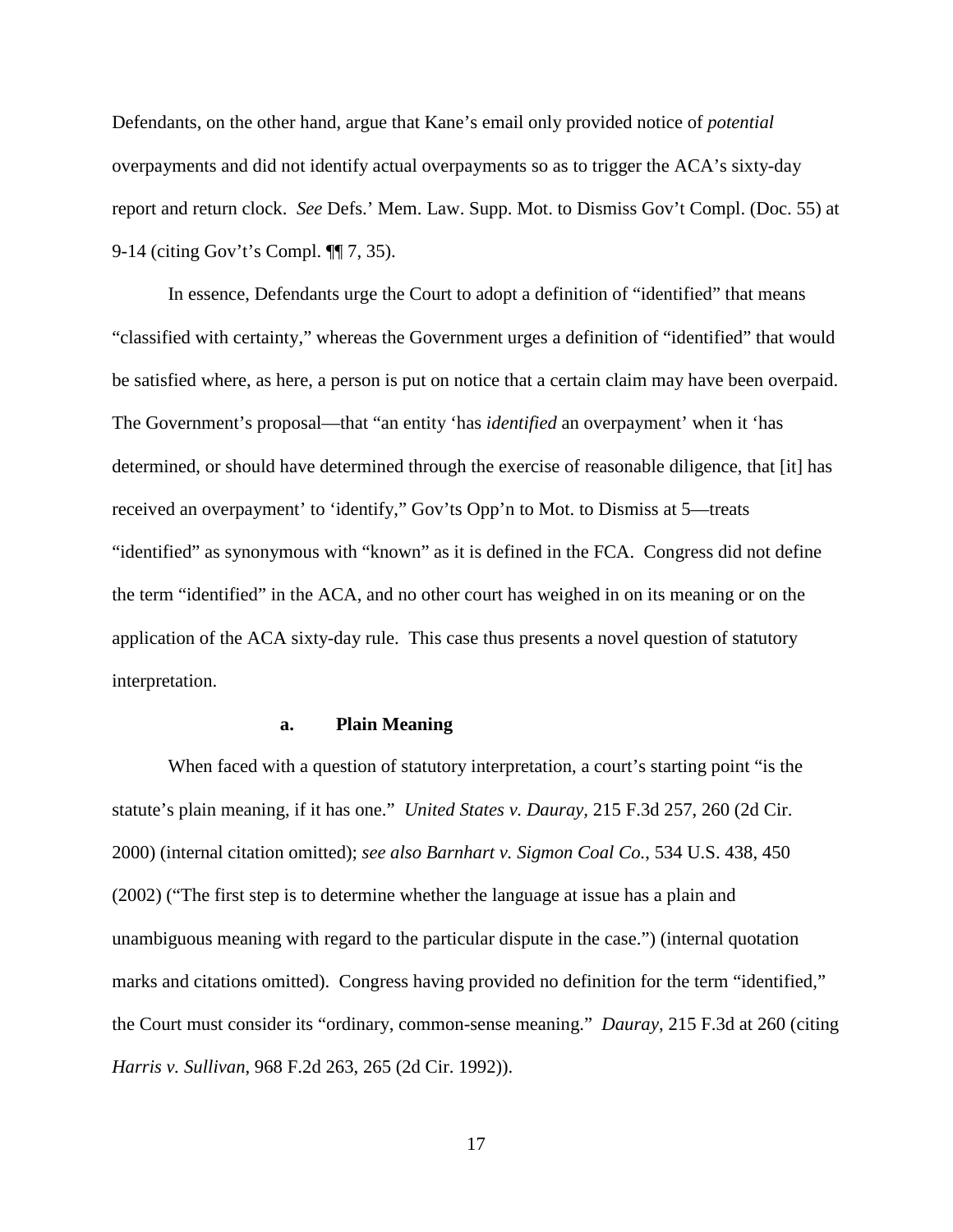Defendants, on the other hand, argue that Kane's email only provided notice of *potential*  overpayments and did not identify actual overpayments so as to trigger the ACA's sixty-day report and return clock. *See* Defs.' Mem. Law. Supp. Mot. to Dismiss Gov't Compl. (Doc. 55) at 9-14 (citing Gov't's Compl. ¶¶ 7, 35).

In essence, Defendants urge the Court to adopt a definition of "identified" that means "classified with certainty," whereas the Government urges a definition of "identified" that would be satisfied where, as here, a person is put on notice that a certain claim may have been overpaid. The Government's proposal—that "an entity 'has *identified* an overpayment' when it 'has determined, or should have determined through the exercise of reasonable diligence, that [it] has received an overpayment' to 'identify," Gov'ts Opp'n to Mot. to Dismiss at 5—treats "identified" as synonymous with "known" as it is defined in the FCA. Congress did not define the term "identified" in the ACA, and no other court has weighed in on its meaning or on the application of the ACA sixty-day rule. This case thus presents a novel question of statutory interpretation.

#### **a. Plain Meaning**

When faced with a question of statutory interpretation, a court's starting point "is the statute's plain meaning, if it has one." *United States v. Dauray,* 215 F.3d 257, 260 (2d Cir. 2000) (internal citation omitted); *see also Barnhart v. Sigmon Coal Co.*, 534 U.S. 438, 450 (2002) ("The first step is to determine whether the language at issue has a plain and unambiguous meaning with regard to the particular dispute in the case.") (internal quotation marks and citations omitted). Congress having provided no definition for the term "identified," the Court must consider its "ordinary, common-sense meaning." *Dauray*, 215 F.3d at 260 (citing *Harris v. Sullivan*, 968 F.2d 263, 265 (2d Cir. 1992)).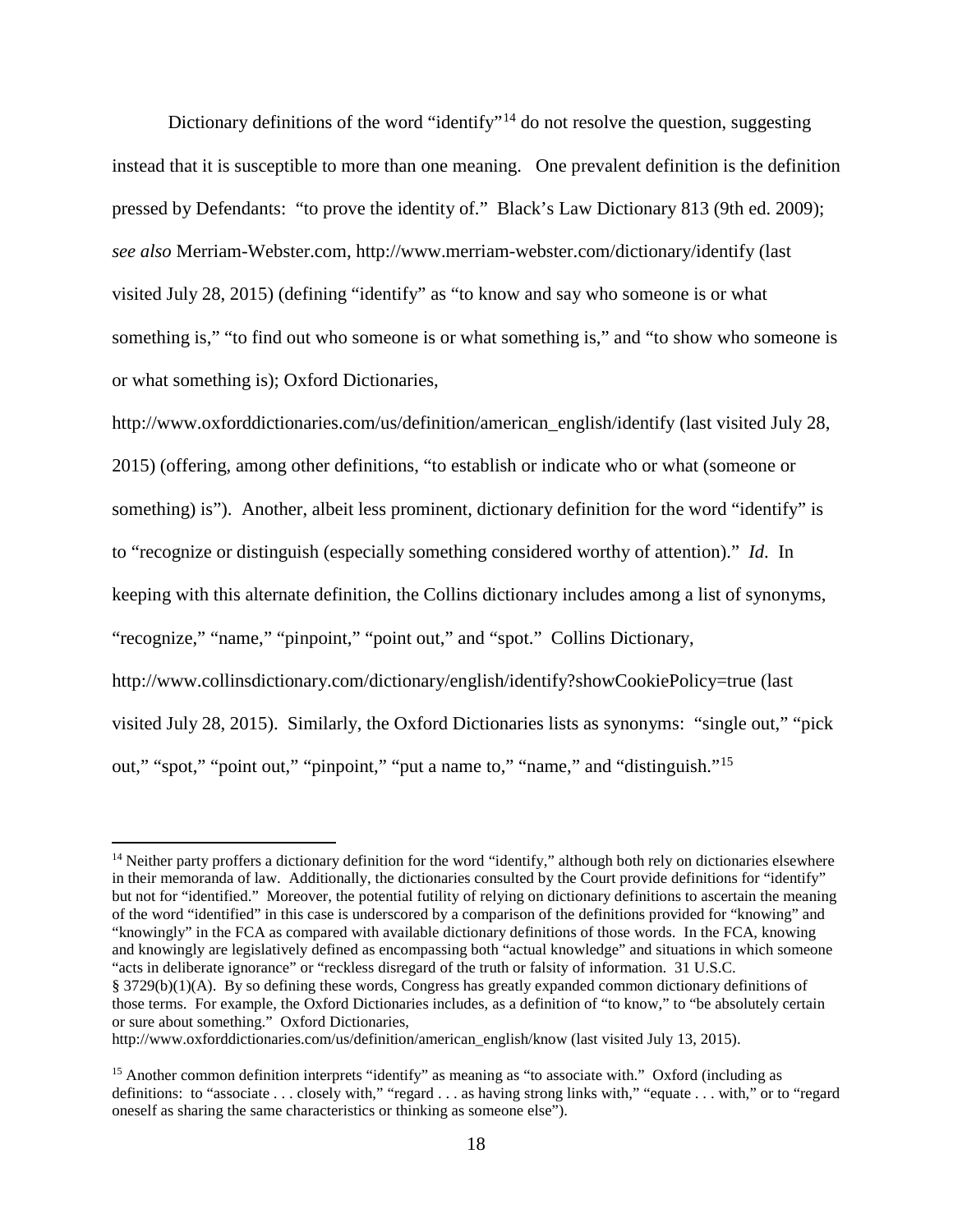Dictionary definitions of the word "identify"<sup>[14](#page-17-0)</sup> do not resolve the question, suggesting instead that it is susceptible to more than one meaning. One prevalent definition is the definition pressed by Defendants: "to prove the identity of." Black's Law Dictionary 813 (9th ed. 2009); *see also* Merriam*-*Webster.com, http://www.merriam-webster.com/dictionary/identify (last visited July 28, 2015) (defining "identify" as "to know and say who someone is or what something is," "to find out who someone is or what something is," and "to show who someone is or what something is); Oxford Dictionaries,

http://www.oxforddictionaries.com/us/definition/american\_english/identify (last visited July 28, 2015) (offering, among other definitions, "to establish or indicate who or what (someone or something) is"). Another, albeit less prominent, dictionary definition for the word "identify" is to "recognize or distinguish (especially something considered worthy of attention)." *Id*. In keeping with this alternate definition, the Collins dictionary includes among a list of synonyms, "recognize," "name," "pinpoint," "point out," and "spot." Collins Dictionary, http://www.collinsdictionary.com/dictionary/english/identify?showCookiePolicy=true (last visited July 28, 2015). Similarly, the Oxford Dictionaries lists as synonyms: "single out," "pick out," "spot," "point out," "pinpoint," "put a name to," "name," and "distinguish."<sup>[15](#page-17-1)</sup>

<u>.</u>

<span id="page-17-0"></span><sup>&</sup>lt;sup>14</sup> Neither party proffers a dictionary definition for the word "identify," although both rely on dictionaries elsewhere in their memoranda of law. Additionally, the dictionaries consulted by the Court provide definitions for "identify" but not for "identified." Moreover, the potential futility of relying on dictionary definitions to ascertain the meaning of the word "identified" in this case is underscored by a comparison of the definitions provided for "knowing" and "knowingly" in the FCA as compared with available dictionary definitions of those words. In the FCA, knowing and knowingly are legislatively defined as encompassing both "actual knowledge" and situations in which someone "acts in deliberate ignorance" or "reckless disregard of the truth or falsity of information. 31 U.S.C. § 3729(b)(1)(A). By so defining these words, Congress has greatly expanded common dictionary definitions of those terms. For example, the Oxford Dictionaries includes, as a definition of "to know," to "be absolutely certain or sure about something." Oxford Dictionaries,

http://www.oxforddictionaries.com/us/definition/american\_english/know (last visited July 13, 2015).

<span id="page-17-1"></span><sup>&</sup>lt;sup>15</sup> Another common definition interprets "identify" as meaning as "to associate with." Oxford (including as definitions: to "associate . . . closely with," "regard . . . as having strong links with," "equate . . . with," or to "regard oneself as sharing the same characteristics or thinking as someone else").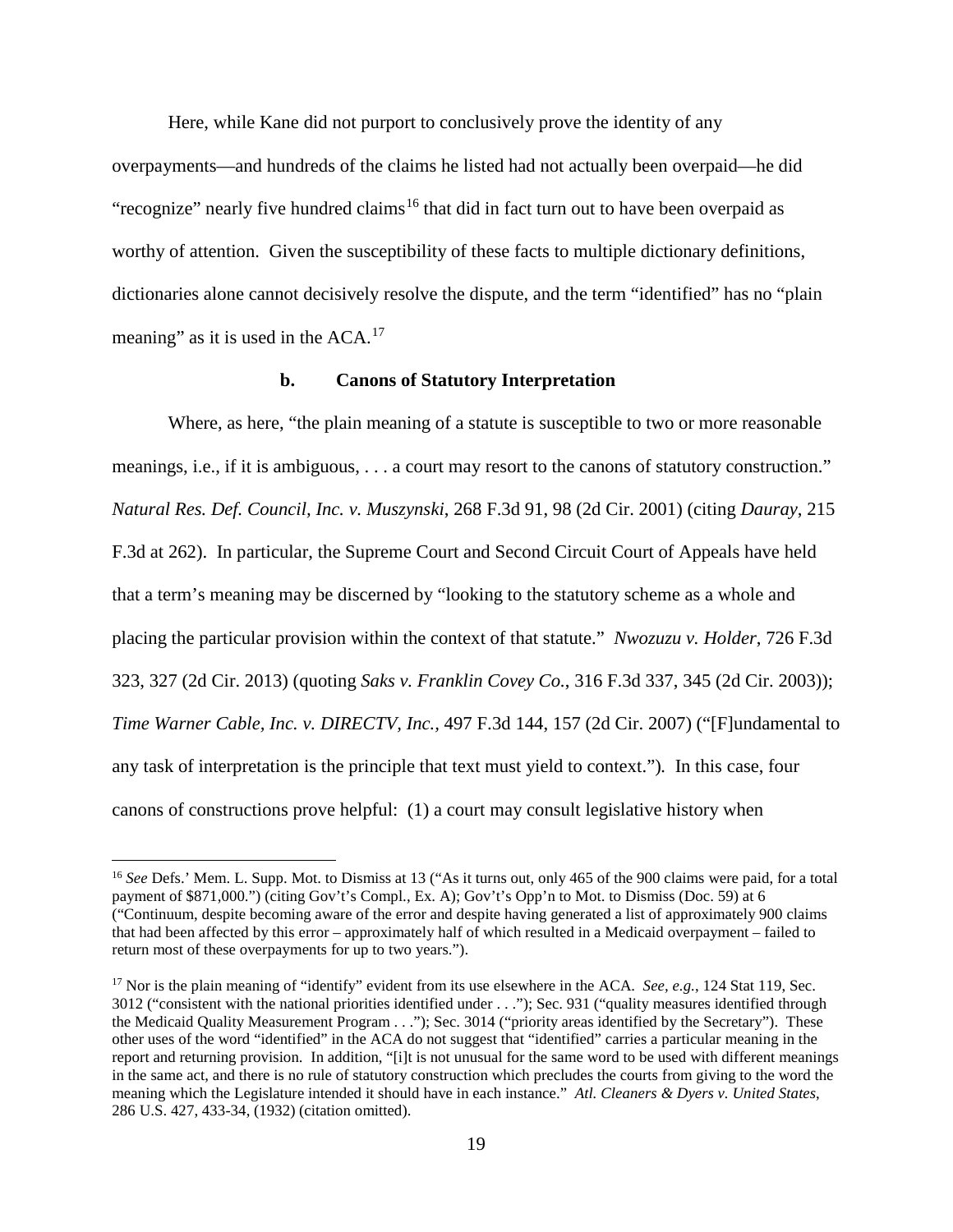Here, while Kane did not purport to conclusively prove the identity of any overpayments—and hundreds of the claims he listed had not actually been overpaid—he did "recognize" nearly five hundred claims<sup>[16](#page-18-0)</sup> that did in fact turn out to have been overpaid as worthy of attention. Given the susceptibility of these facts to multiple dictionary definitions, dictionaries alone cannot decisively resolve the dispute, and the term "identified" has no "plain meaning" as it is used in the  $ACA$ .<sup>[17](#page-18-1)</sup>

#### **b. Canons of Statutory Interpretation**

Where, as here, "the plain meaning of a statute is susceptible to two or more reasonable meanings, i.e., if it is ambiguous, . . . a court may resort to the canons of statutory construction." *Natural Res. Def. Council, Inc. v. Muszynski*, 268 F.3d 91, 98 (2d Cir. 2001) (citing *Dauray*, 215 F.3d at 262). In particular, the Supreme Court and Second Circuit Court of Appeals have held that a term's meaning may be discerned by "looking to the statutory scheme as a whole and placing the particular provision within the context of that statute." *Nwozuzu v. Holder*, 726 F.3d 323, 327 (2d Cir. 2013) (quoting *Saks v. Franklin Covey Co.*, 316 F.3d 337, 345 (2d Cir. 2003)); *Time Warner Cable, Inc. v. DIRECTV, Inc.,* 497 F.3d 144, 157 (2d Cir. 2007) ("[F]undamental to any task of interpretation is the principle that text must yield to context.")*.* In this case, four canons of constructions prove helpful: (1) a court may consult legislative history when

 $\overline{a}$ 

<span id="page-18-0"></span><sup>16</sup> *See* Defs.' Mem. L. Supp. Mot. to Dismiss at 13 ("As it turns out, only 465 of the 900 claims were paid, for a total payment of \$871,000.") (citing Gov't's Compl., Ex. A); Gov't's Opp'n to Mot. to Dismiss (Doc. 59) at 6 ("Continuum, despite becoming aware of the error and despite having generated a list of approximately 900 claims that had been affected by this error – approximately half of which resulted in a Medicaid overpayment – failed to return most of these overpayments for up to two years.").

<span id="page-18-1"></span><sup>&</sup>lt;sup>17</sup> Nor is the plain meaning of "identify" evident from its use elsewhere in the ACA. *See, e.g.*, 124 Stat 119, Sec. 3012 ("consistent with the national priorities identified under . . ."); Sec. 931 ("quality measures identified through the Medicaid Quality Measurement Program . . ."); Sec. 3014 ("priority areas identified by the Secretary"). These other uses of the word "identified" in the ACA do not suggest that "identified" carries a particular meaning in the report and returning provision. In addition, "[i]t is not unusual for the same word to be used with different meanings in the same act, and there is no rule of statutory construction which precludes the courts from giving to the word the meaning which the Legislature intended it should have in each instance." *Atl. Cleaners & Dyers v. United States*, 286 U.S. 427, 433-34, (1932) (citation omitted).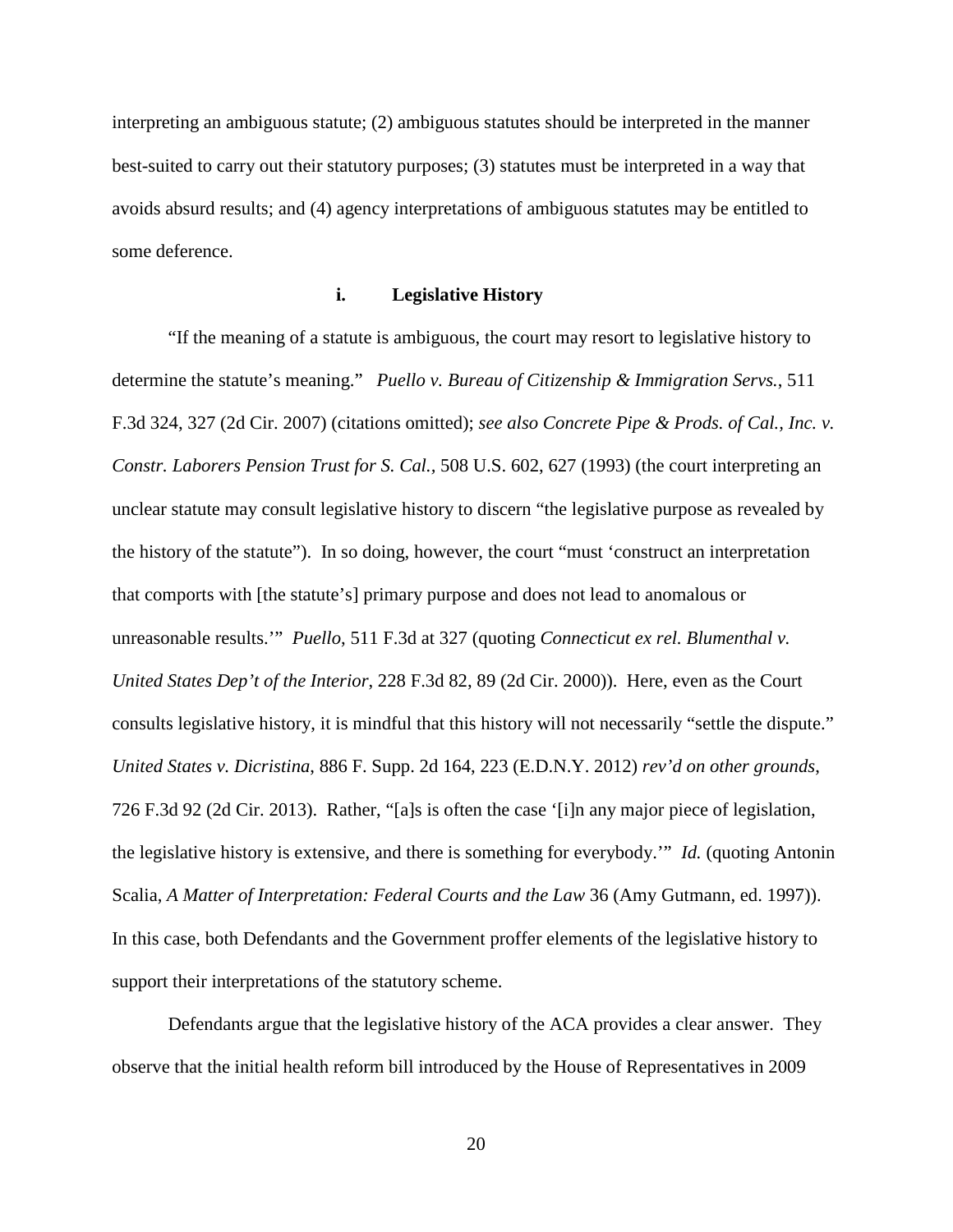interpreting an ambiguous statute; (2) ambiguous statutes should be interpreted in the manner best-suited to carry out their statutory purposes; (3) statutes must be interpreted in a way that avoids absurd results; and (4) agency interpretations of ambiguous statutes may be entitled to some deference.

## **i. Legislative History**

"If the meaning of a statute is ambiguous, the court may resort to legislative history to determine the statute's meaning." *Puello v. Bureau of Citizenship & Immigration Servs.*, 511 F.3d 324, 327 (2d Cir. 2007) (citations omitted); *see also Concrete Pipe & Prods. of Cal., Inc. v. Constr. Laborers Pension Trust for S. Cal.,* 508 U.S. 602, 627 (1993) (the court interpreting an unclear statute may consult legislative history to discern "the legislative purpose as revealed by the history of the statute"). In so doing, however, the court "must 'construct an interpretation that comports with [the statute's] primary purpose and does not lead to anomalous or unreasonable results.'" *Puello*, 511 F.3d at 327 (quoting *Connecticut ex rel. Blumenthal v. United States Dep't of the Interior*, 228 F.3d 82, 89 (2d Cir. 2000)). Here, even as the Court consults legislative history, it is mindful that this history will not necessarily "settle the dispute." *United States v. Dicristina*, 886 F. Supp. 2d 164, 223 (E.D.N.Y. 2012) *rev'd on other grounds*, 726 F.3d 92 (2d Cir. 2013). Rather, "[a]s is often the case '[i]n any major piece of legislation, the legislative history is extensive, and there is something for everybody.'" *Id.* (quoting Antonin Scalia, *A Matter of Interpretation: Federal Courts and the Law* 36 (Amy Gutmann, ed. 1997)). In this case, both Defendants and the Government proffer elements of the legislative history to support their interpretations of the statutory scheme.

Defendants argue that the legislative history of the ACA provides a clear answer. They observe that the initial health reform bill introduced by the House of Representatives in 2009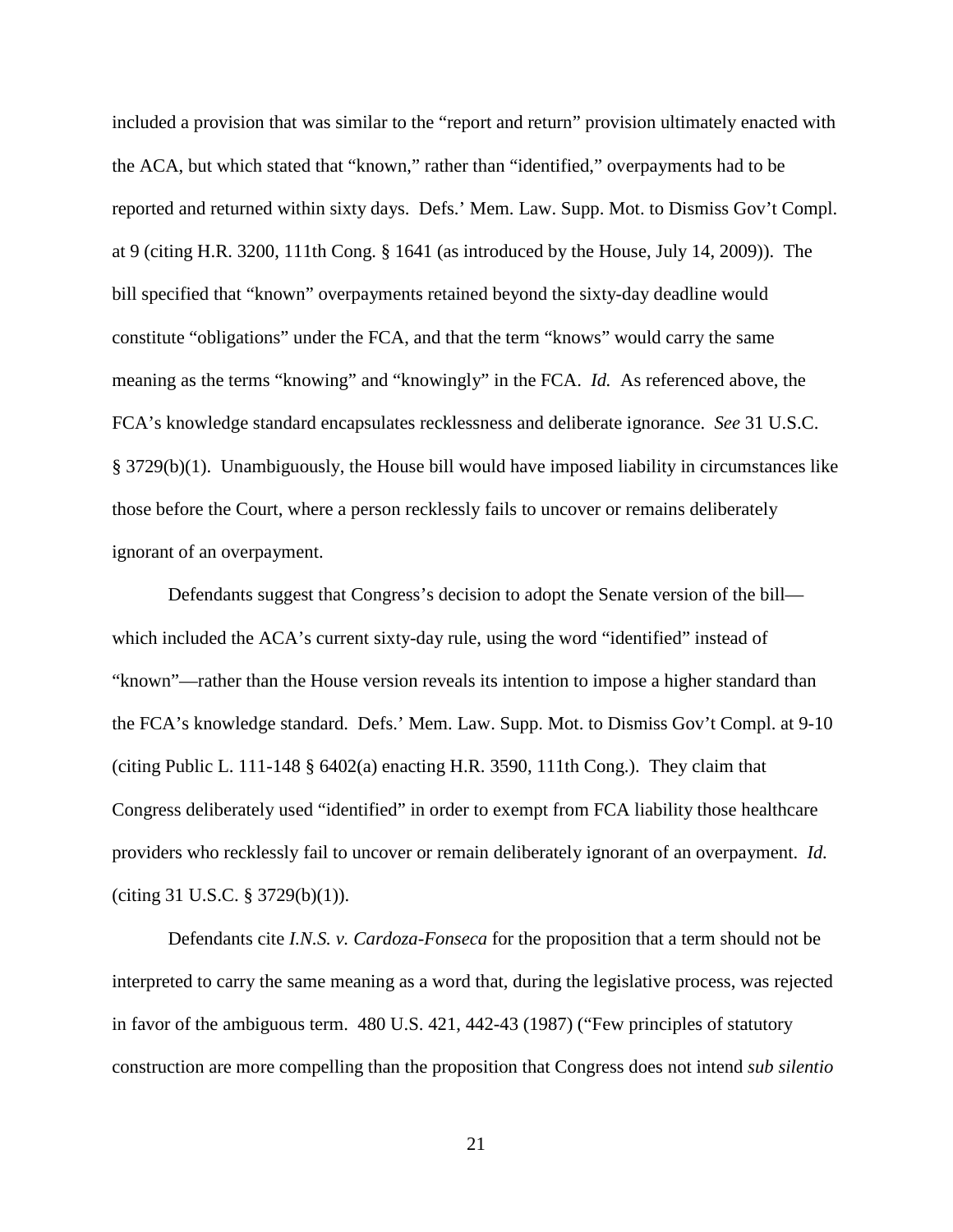included a provision that was similar to the "report and return" provision ultimately enacted with the ACA, but which stated that "known," rather than "identified," overpayments had to be reported and returned within sixty days. Defs.' Mem. Law. Supp. Mot. to Dismiss Gov't Compl. at 9 (citing H.R. 3200, 111th Cong. § 1641 (as introduced by the House, July 14, 2009)). The bill specified that "known" overpayments retained beyond the sixty-day deadline would constitute "obligations" under the FCA, and that the term "knows" would carry the same meaning as the terms "knowing" and "knowingly" in the FCA. *Id.* As referenced above, the FCA's knowledge standard encapsulates recklessness and deliberate ignorance. *See* 31 U.S.C. § 3729(b)(1). Unambiguously, the House bill would have imposed liability in circumstances like those before the Court, where a person recklessly fails to uncover or remains deliberately ignorant of an overpayment.

Defendants suggest that Congress's decision to adopt the Senate version of the bill which included the ACA's current sixty-day rule, using the word "identified" instead of "known"—rather than the House version reveals its intention to impose a higher standard than the FCA's knowledge standard. Defs.' Mem. Law. Supp. Mot. to Dismiss Gov't Compl. at 9-10 (citing Public L. 111-148 § 6402(a) enacting H.R. 3590, 111th Cong.). They claim that Congress deliberately used "identified" in order to exempt from FCA liability those healthcare providers who recklessly fail to uncover or remain deliberately ignorant of an overpayment. *Id.* (citing 31 U.S.C. § 3729(b)(1)).

Defendants cite *I.N.S. v. Cardoza-Fonseca* for the proposition that a term should not be interpreted to carry the same meaning as a word that, during the legislative process, was rejected in favor of the ambiguous term. 480 U.S. 421, 442-43 (1987) ("Few principles of statutory construction are more compelling than the proposition that Congress does not intend *sub silentio*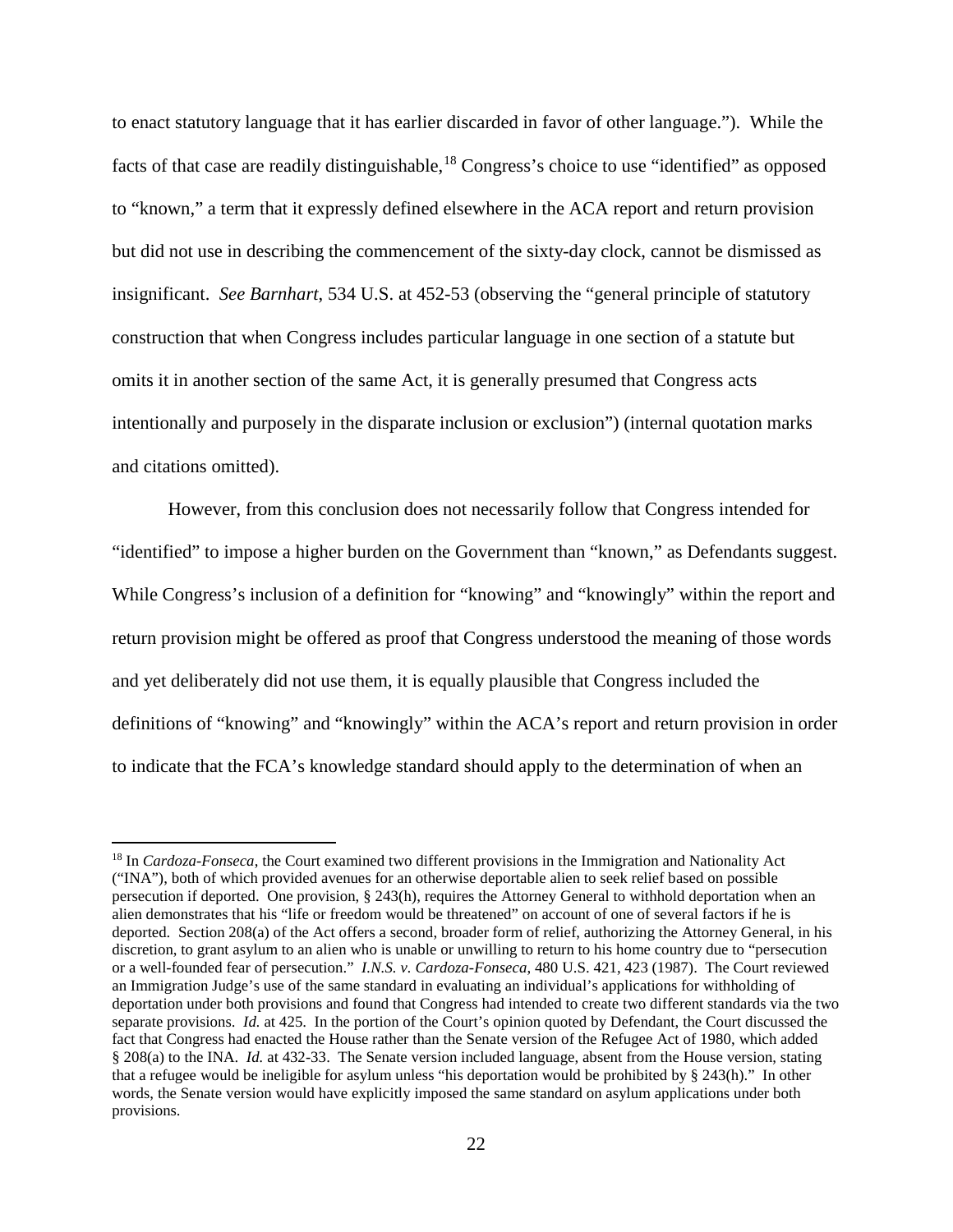to enact statutory language that it has earlier discarded in favor of other language."). While the facts of that case are readily distinguishable,<sup>[18](#page-21-0)</sup> Congress's choice to use "identified" as opposed to "known," a term that it expressly defined elsewhere in the ACA report and return provision but did not use in describing the commencement of the sixty-day clock, cannot be dismissed as insignificant. *See Barnhart*, 534 U.S. at 452-53 (observing the "general principle of statutory construction that when Congress includes particular language in one section of a statute but omits it in another section of the same Act, it is generally presumed that Congress acts intentionally and purposely in the disparate inclusion or exclusion") (internal quotation marks and citations omitted).

However, from this conclusion does not necessarily follow that Congress intended for "identified" to impose a higher burden on the Government than "known," as Defendants suggest. While Congress's inclusion of a definition for "knowing" and "knowingly" within the report and return provision might be offered as proof that Congress understood the meaning of those words and yet deliberately did not use them, it is equally plausible that Congress included the definitions of "knowing" and "knowingly" within the ACA's report and return provision in order to indicate that the FCA's knowledge standard should apply to the determination of when an

 $\overline{a}$ 

<span id="page-21-0"></span><sup>18</sup> In *Cardoza-Fonseca*, the Court examined two different provisions in the Immigration and Nationality Act ("INA"), both of which provided avenues for an otherwise deportable alien to seek relief based on possible persecution if deported. One provision, § 243(h), requires the Attorney General to withhold deportation when an alien demonstrates that his "life or freedom would be threatened" on account of one of several factors if he is deported. Section 208(a) of the Act offers a second, broader form of relief, authorizing the Attorney General, in his discretion, to grant asylum to an alien who is unable or unwilling to return to his home country due to "persecution or a well-founded fear of persecution." *I.N.S. v. Cardoza-Fonseca*, 480 U.S. 421, 423 (1987). The Court reviewed an Immigration Judge's use of the same standard in evaluating an individual's applications for withholding of deportation under both provisions and found that Congress had intended to create two different standards via the two separate provisions. *Id.* at 425. In the portion of the Court's opinion quoted by Defendant, the Court discussed the fact that Congress had enacted the House rather than the Senate version of the Refugee Act of 1980, which added § 208(a) to the INA. *Id.* at 432-33. The Senate version included language, absent from the House version, stating that a refugee would be ineligible for asylum unless "his deportation would be prohibited by § 243(h)." In other words, the Senate version would have explicitly imposed the same standard on asylum applications under both provisions.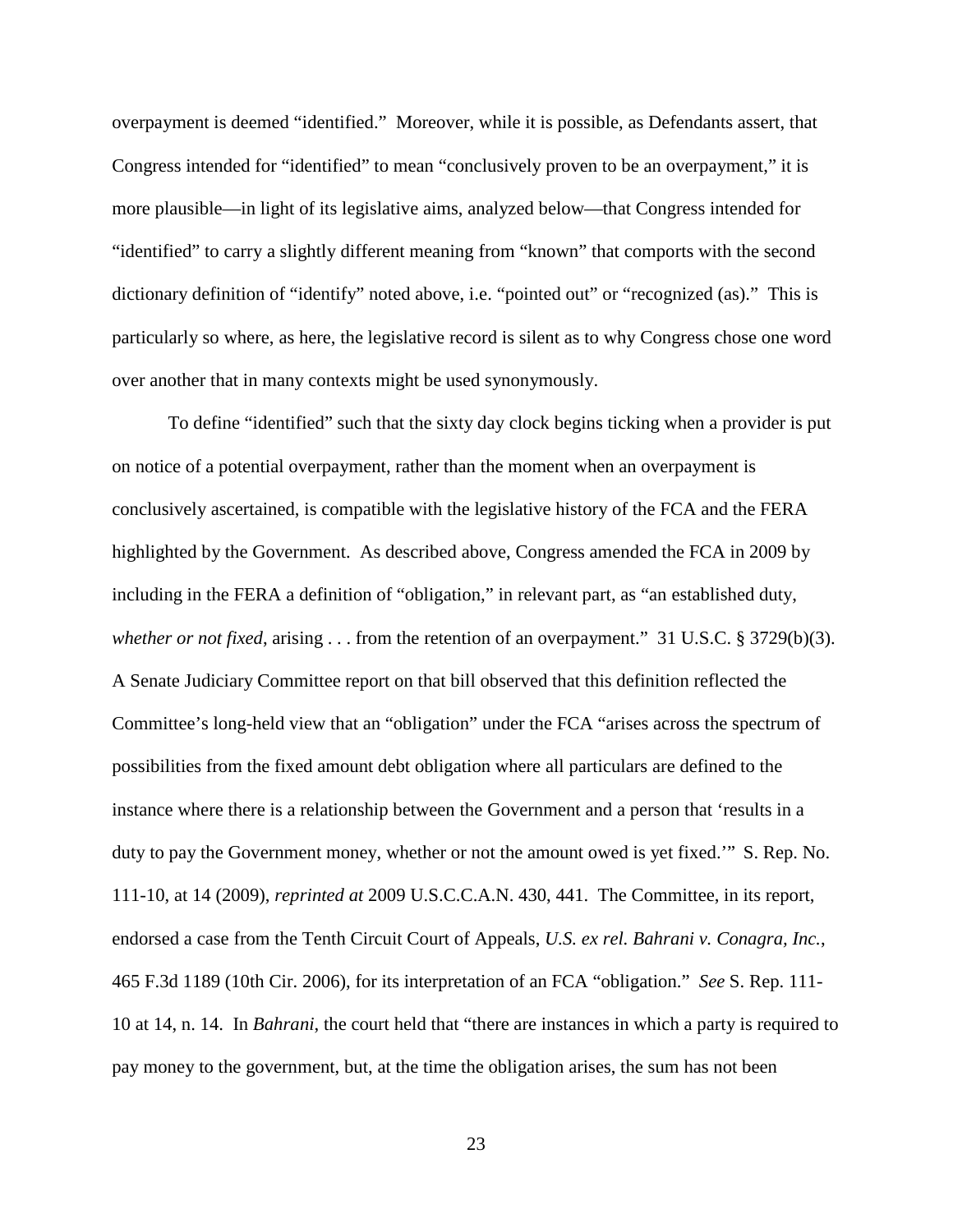overpayment is deemed "identified." Moreover, while it is possible, as Defendants assert, that Congress intended for "identified" to mean "conclusively proven to be an overpayment," it is more plausible—in light of its legislative aims, analyzed below—that Congress intended for "identified" to carry a slightly different meaning from "known" that comports with the second dictionary definition of "identify" noted above, i.e. "pointed out" or "recognized (as)." This is particularly so where, as here, the legislative record is silent as to why Congress chose one word over another that in many contexts might be used synonymously.

To define "identified" such that the sixty day clock begins ticking when a provider is put on notice of a potential overpayment, rather than the moment when an overpayment is conclusively ascertained, is compatible with the legislative history of the FCA and the FERA highlighted by the Government. As described above, Congress amended the FCA in 2009 by including in the FERA a definition of "obligation," in relevant part, as "an established duty, *whether or not fixed*, arising . . . from the retention of an overpayment." 31 U.S.C. § 3729(b)(3). A Senate Judiciary Committee report on that bill observed that this definition reflected the Committee's long-held view that an "obligation" under the FCA "arises across the spectrum of possibilities from the fixed amount debt obligation where all particulars are defined to the instance where there is a relationship between the Government and a person that 'results in a duty to pay the Government money, whether or not the amount owed is yet fixed.'" S. Rep. No. 111-10, at 14 (2009), *reprinted at* 2009 U.S.C.C.A.N. 430, 441. The Committee, in its report, endorsed a case from the Tenth Circuit Court of Appeals, *U.S. ex rel. Bahrani v. Conagra, Inc.*, 465 F.3d 1189 (10th Cir. 2006), for its interpretation of an FCA "obligation." *See* S. Rep. 111- 10 at 14, n. 14. In *Bahrani*, the court held that "there are instances in which a party is required to pay money to the government, but, at the time the obligation arises, the sum has not been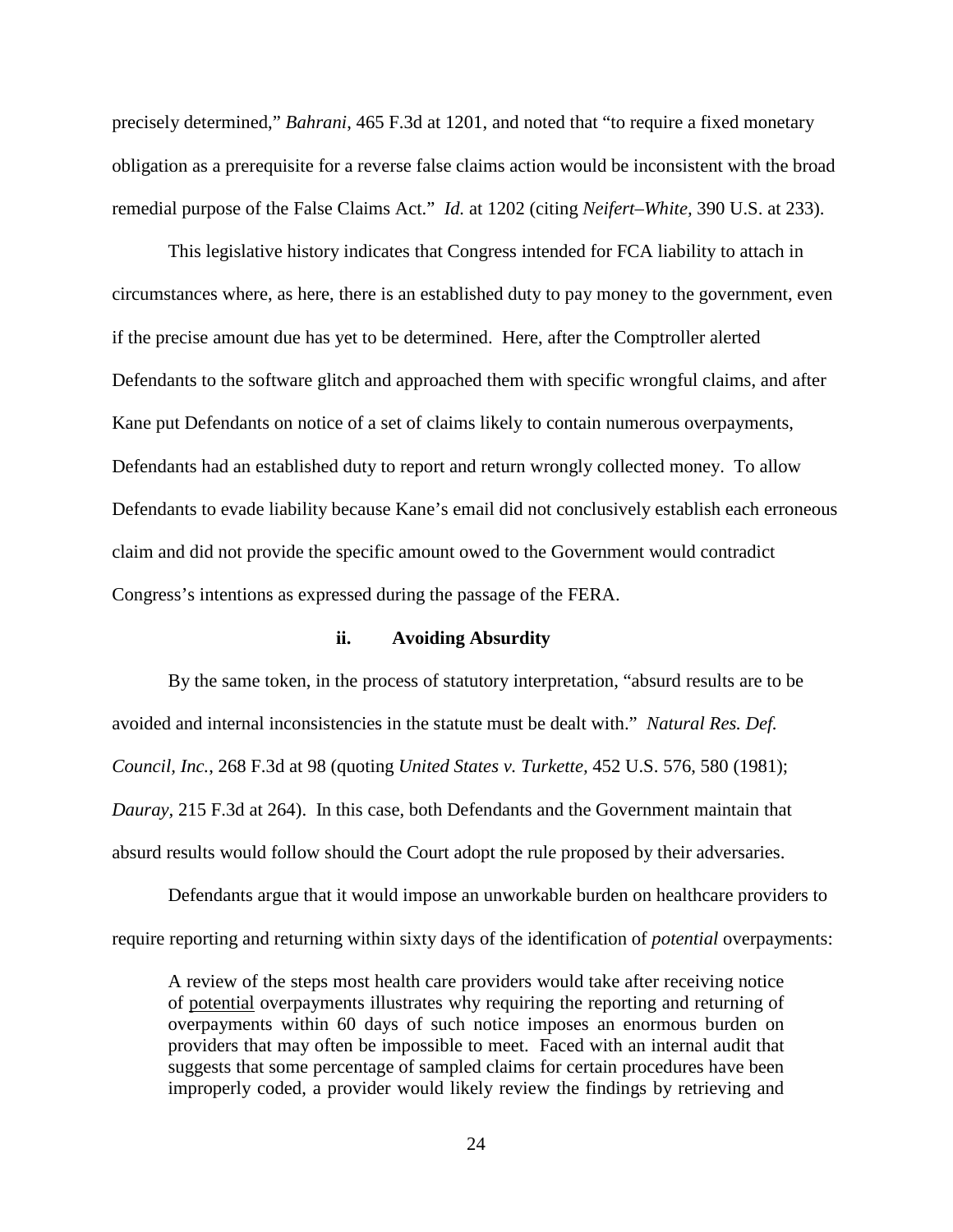precisely determined," *Bahrani*, 465 F.3d at 1201, and noted that "to require a fixed monetary obligation as a prerequisite for a reverse false claims action would be inconsistent with the broad remedial purpose of the False Claims Act." *Id.* at 1202 (citing *Neifert–White,* 390 U.S. at 233).

This legislative history indicates that Congress intended for FCA liability to attach in circumstances where, as here, there is an established duty to pay money to the government, even if the precise amount due has yet to be determined. Here, after the Comptroller alerted Defendants to the software glitch and approached them with specific wrongful claims, and after Kane put Defendants on notice of a set of claims likely to contain numerous overpayments, Defendants had an established duty to report and return wrongly collected money. To allow Defendants to evade liability because Kane's email did not conclusively establish each erroneous claim and did not provide the specific amount owed to the Government would contradict Congress's intentions as expressed during the passage of the FERA.

### **ii. Avoiding Absurdity**

By the same token, in the process of statutory interpretation, "absurd results are to be avoided and internal inconsistencies in the statute must be dealt with." *Natural Res. Def. Council, Inc.*, 268 F.3d at 98 (quoting *United States v. Turkette,* 452 U.S. 576, 580 (1981); *Dauray,* 215 F.3d at 264). In this case, both Defendants and the Government maintain that absurd results would follow should the Court adopt the rule proposed by their adversaries.

Defendants argue that it would impose an unworkable burden on healthcare providers to require reporting and returning within sixty days of the identification of *potential* overpayments:

A review of the steps most health care providers would take after receiving notice of potential overpayments illustrates why requiring the reporting and returning of overpayments within 60 days of such notice imposes an enormous burden on providers that may often be impossible to meet. Faced with an internal audit that suggests that some percentage of sampled claims for certain procedures have been improperly coded, a provider would likely review the findings by retrieving and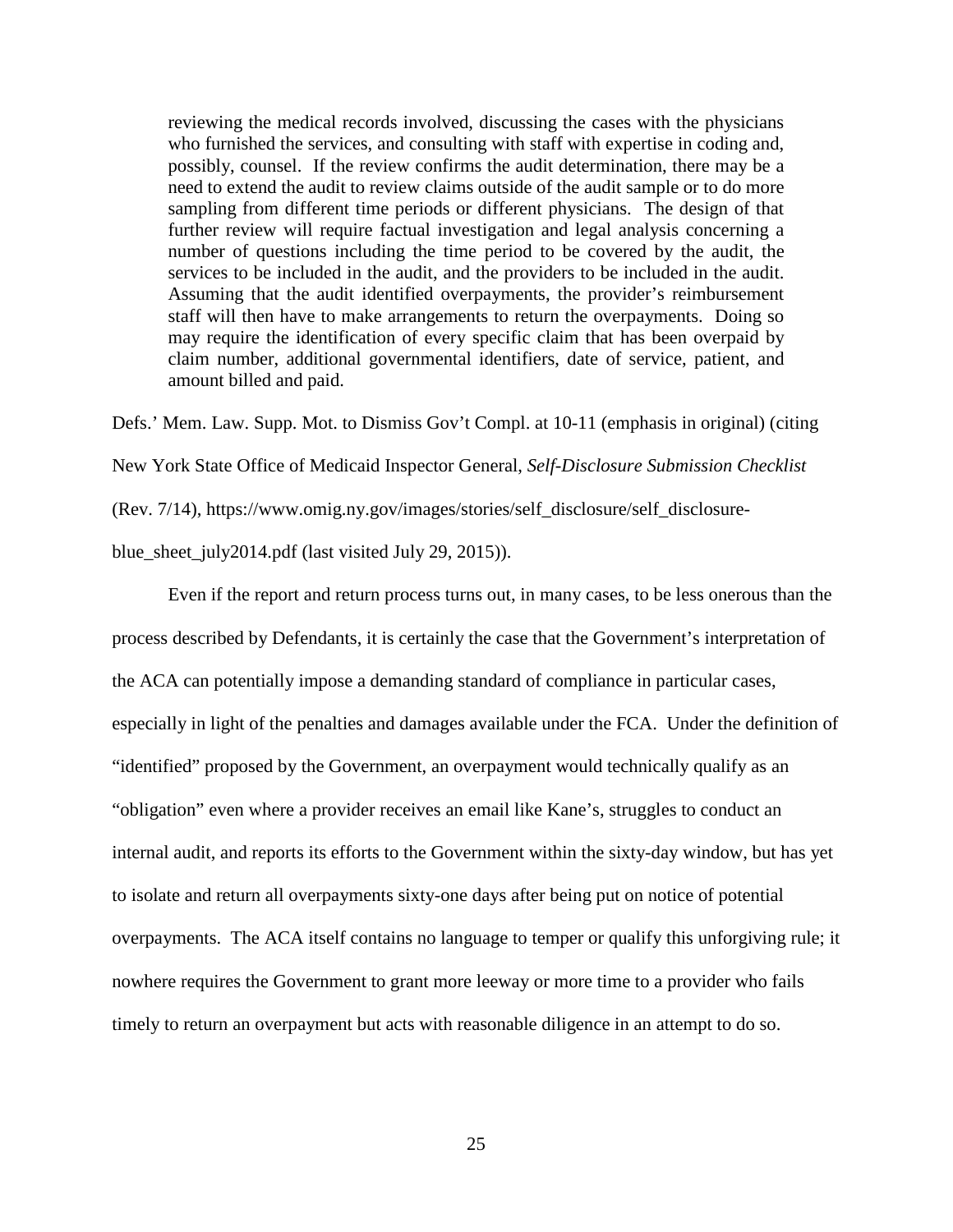reviewing the medical records involved, discussing the cases with the physicians who furnished the services, and consulting with staff with expertise in coding and, possibly, counsel. If the review confirms the audit determination, there may be a need to extend the audit to review claims outside of the audit sample or to do more sampling from different time periods or different physicians. The design of that further review will require factual investigation and legal analysis concerning a number of questions including the time period to be covered by the audit, the services to be included in the audit, and the providers to be included in the audit. Assuming that the audit identified overpayments, the provider's reimbursement staff will then have to make arrangements to return the overpayments. Doing so may require the identification of every specific claim that has been overpaid by claim number, additional governmental identifiers, date of service, patient, and amount billed and paid.

Defs.' Mem. Law. Supp. Mot. to Dismiss Gov't Compl. at 10-11 (emphasis in original) (citing

New York State Office of Medicaid Inspector General, *Self-Disclosure Submission Checklist*

(Rev. 7/14), https://www.omig.ny.gov/images/stories/self\_disclosure/self\_disclosure-

blue\_sheet\_july2014.pdf (last visited July 29, 2015)).

Even if the report and return process turns out, in many cases, to be less onerous than the process described by Defendants, it is certainly the case that the Government's interpretation of the ACA can potentially impose a demanding standard of compliance in particular cases, especially in light of the penalties and damages available under the FCA. Under the definition of "identified" proposed by the Government, an overpayment would technically qualify as an "obligation" even where a provider receives an email like Kane's, struggles to conduct an internal audit, and reports its efforts to the Government within the sixty-day window, but has yet to isolate and return all overpayments sixty-one days after being put on notice of potential overpayments. The ACA itself contains no language to temper or qualify this unforgiving rule; it nowhere requires the Government to grant more leeway or more time to a provider who fails timely to return an overpayment but acts with reasonable diligence in an attempt to do so.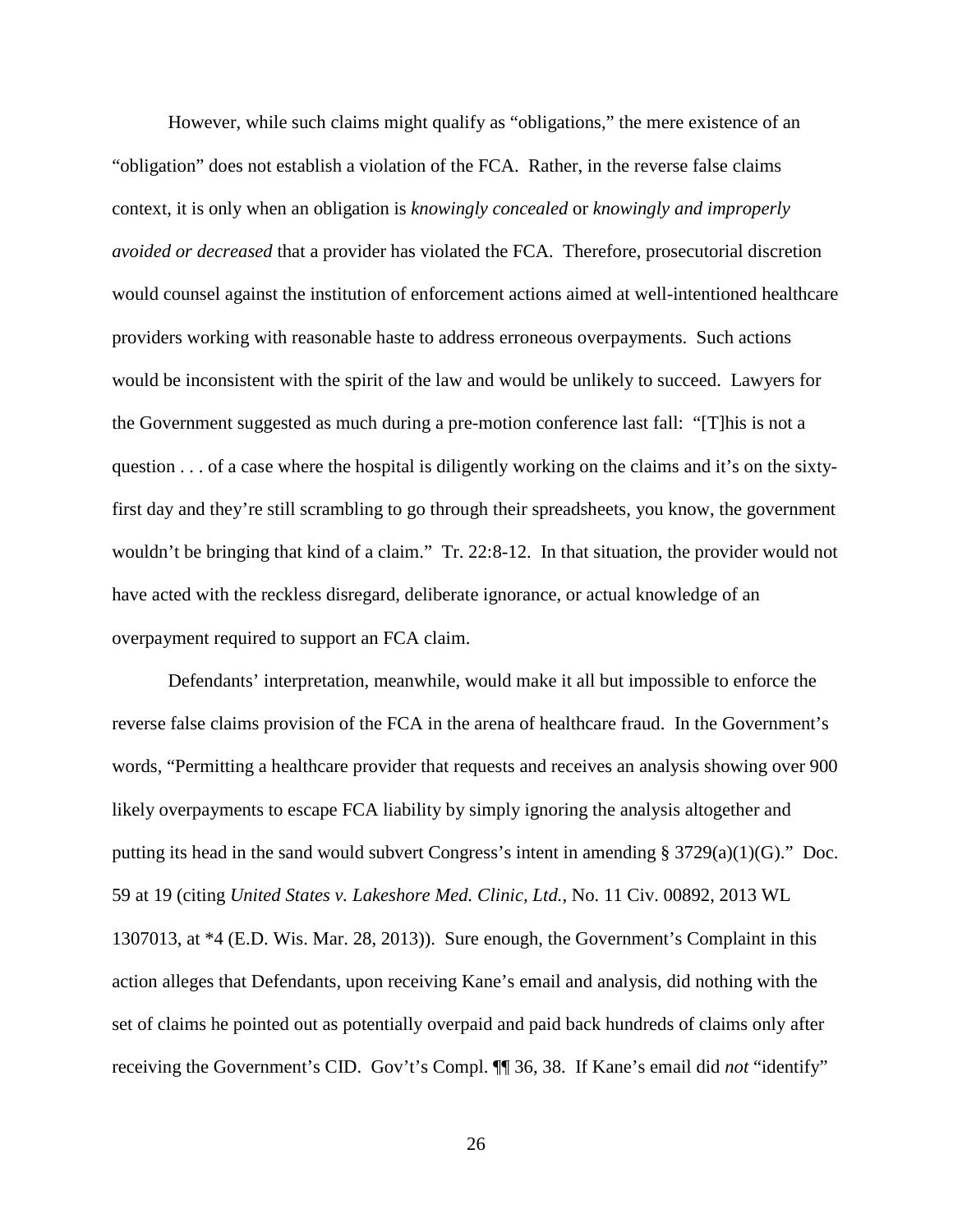However, while such claims might qualify as "obligations," the mere existence of an "obligation" does not establish a violation of the FCA. Rather, in the reverse false claims context, it is only when an obligation is *knowingly concealed* or *knowingly and improperly avoided or decreased* that a provider has violated the FCA. Therefore, prosecutorial discretion would counsel against the institution of enforcement actions aimed at well-intentioned healthcare providers working with reasonable haste to address erroneous overpayments. Such actions would be inconsistent with the spirit of the law and would be unlikely to succeed. Lawyers for the Government suggested as much during a pre-motion conference last fall: "[T]his is not a question . . . of a case where the hospital is diligently working on the claims and it's on the sixtyfirst day and they're still scrambling to go through their spreadsheets, you know, the government wouldn't be bringing that kind of a claim." Tr. 22:8-12. In that situation, the provider would not have acted with the reckless disregard, deliberate ignorance, or actual knowledge of an overpayment required to support an FCA claim.

Defendants' interpretation, meanwhile, would make it all but impossible to enforce the reverse false claims provision of the FCA in the arena of healthcare fraud. In the Government's words, "Permitting a healthcare provider that requests and receives an analysis showing over 900 likely overpayments to escape FCA liability by simply ignoring the analysis altogether and putting its head in the sand would subvert Congress's intent in amending § 3729(a)(1)(G)." Doc. 59 at 19 (citing *United States v. Lakeshore Med. Clinic, Ltd.*, No. 11 Civ. 00892, 2013 WL 1307013, at \*4 (E.D. Wis. Mar. 28, 2013)). Sure enough, the Government's Complaint in this action alleges that Defendants, upon receiving Kane's email and analysis, did nothing with the set of claims he pointed out as potentially overpaid and paid back hundreds of claims only after receiving the Government's CID. Gov't's Compl. ¶¶ 36, 38. If Kane's email did *not* "identify"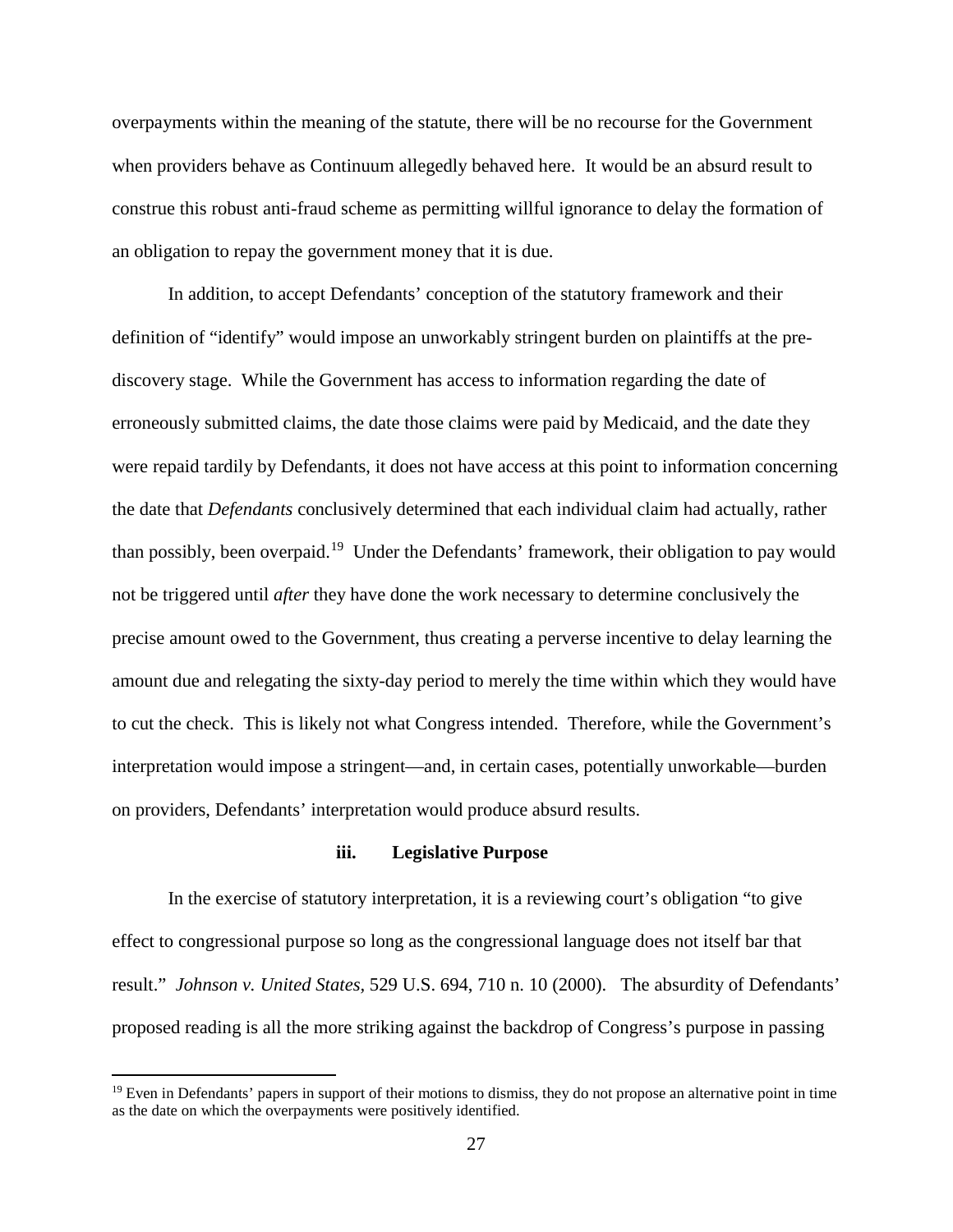overpayments within the meaning of the statute, there will be no recourse for the Government when providers behave as Continuum allegedly behaved here. It would be an absurd result to construe this robust anti-fraud scheme as permitting willful ignorance to delay the formation of an obligation to repay the government money that it is due.

In addition, to accept Defendants' conception of the statutory framework and their definition of "identify" would impose an unworkably stringent burden on plaintiffs at the prediscovery stage. While the Government has access to information regarding the date of erroneously submitted claims, the date those claims were paid by Medicaid, and the date they were repaid tardily by Defendants, it does not have access at this point to information concerning the date that *Defendants* conclusively determined that each individual claim had actually, rather than possibly, been overpaid.[19](#page-26-0) Under the Defendants' framework, their obligation to pay would not be triggered until *after* they have done the work necessary to determine conclusively the precise amount owed to the Government, thus creating a perverse incentive to delay learning the amount due and relegating the sixty-day period to merely the time within which they would have to cut the check. This is likely not what Congress intended. Therefore, while the Government's interpretation would impose a stringent—and, in certain cases, potentially unworkable—burden on providers, Defendants' interpretation would produce absurd results.

### **iii. Legislative Purpose**

In the exercise of statutory interpretation, it is a reviewing court's obligation "to give effect to congressional purpose so long as the congressional language does not itself bar that result." *Johnson v. United States,* 529 U.S. 694, 710 n. 10 (2000). The absurdity of Defendants' proposed reading is all the more striking against the backdrop of Congress's purpose in passing

<u>.</u>

<span id="page-26-0"></span> $19$  Even in Defendants' papers in support of their motions to dismiss, they do not propose an alternative point in time as the date on which the overpayments were positively identified.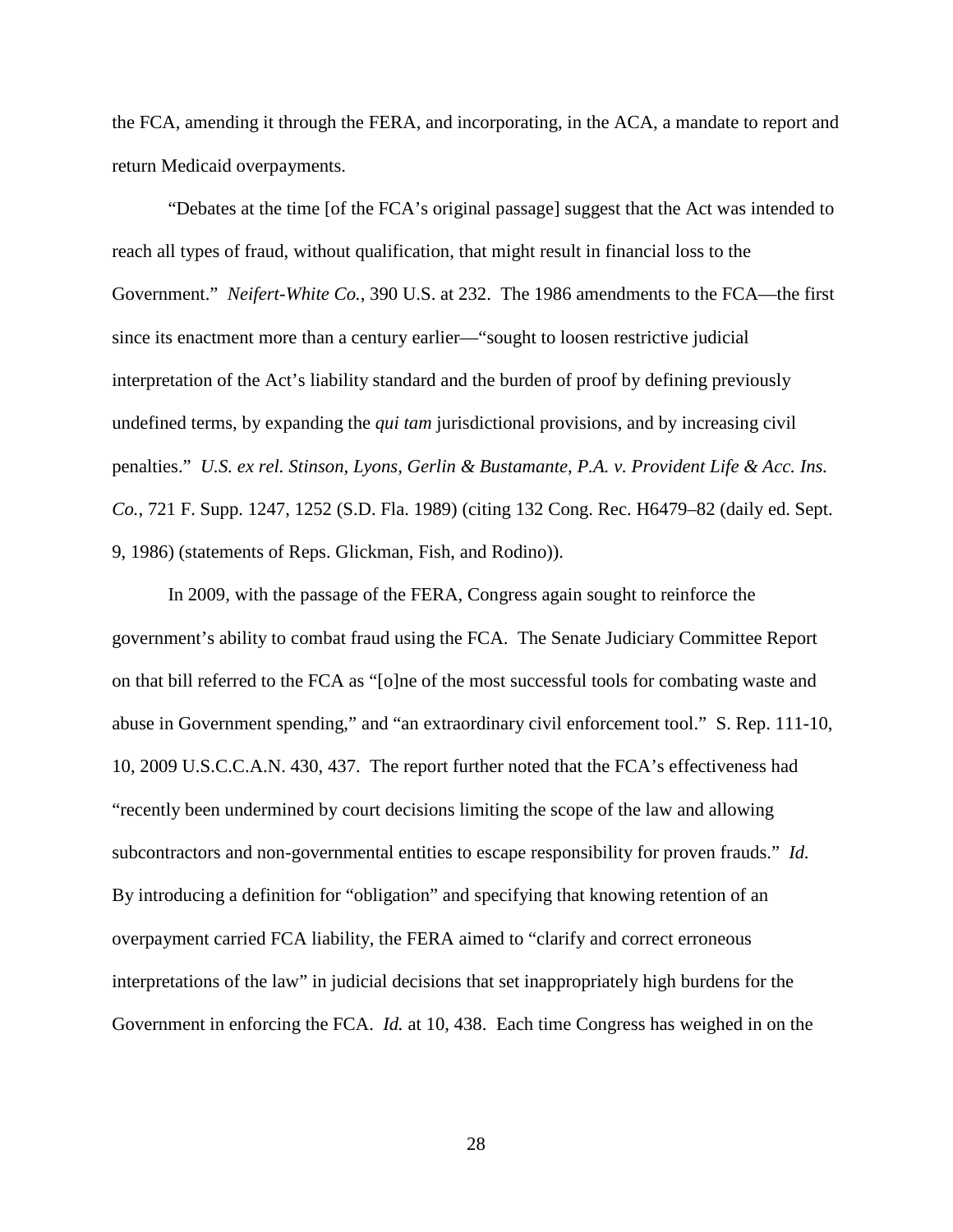the FCA, amending it through the FERA, and incorporating, in the ACA, a mandate to report and return Medicaid overpayments.

"Debates at the time [of the FCA's original passage] suggest that the Act was intended to reach all types of fraud, without qualification, that might result in financial loss to the Government." *Neifert-White Co.*, 390 U.S. at 232. The 1986 amendments to the FCA—the first since its enactment more than a century earlier—"sought to loosen restrictive judicial interpretation of the Act's liability standard and the burden of proof by defining previously undefined terms, by expanding the *qui tam* jurisdictional provisions, and by increasing civil penalties." *U.S. ex rel. Stinson, Lyons, Gerlin & Bustamante, P.A. v. Provident Life & Acc. Ins. Co.*, 721 F. Supp. 1247, 1252 (S.D. Fla. 1989) (citing 132 Cong. Rec. H6479–82 (daily ed. Sept. 9, 1986) (statements of Reps. Glickman, Fish, and Rodino)).

In 2009, with the passage of the FERA, Congress again sought to reinforce the government's ability to combat fraud using the FCA. The Senate Judiciary Committee Report on that bill referred to the FCA as "[o]ne of the most successful tools for combating waste and abuse in Government spending," and "an extraordinary civil enforcement tool." S. Rep. 111-10, 10, 2009 U.S.C.C.A.N. 430, 437. The report further noted that the FCA's effectiveness had "recently been undermined by court decisions limiting the scope of the law and allowing subcontractors and non-governmental entities to escape responsibility for proven frauds." *Id.* By introducing a definition for "obligation" and specifying that knowing retention of an overpayment carried FCA liability, the FERA aimed to "clarify and correct erroneous interpretations of the law" in judicial decisions that set inappropriately high burdens for the Government in enforcing the FCA. *Id.* at 10, 438. Each time Congress has weighed in on the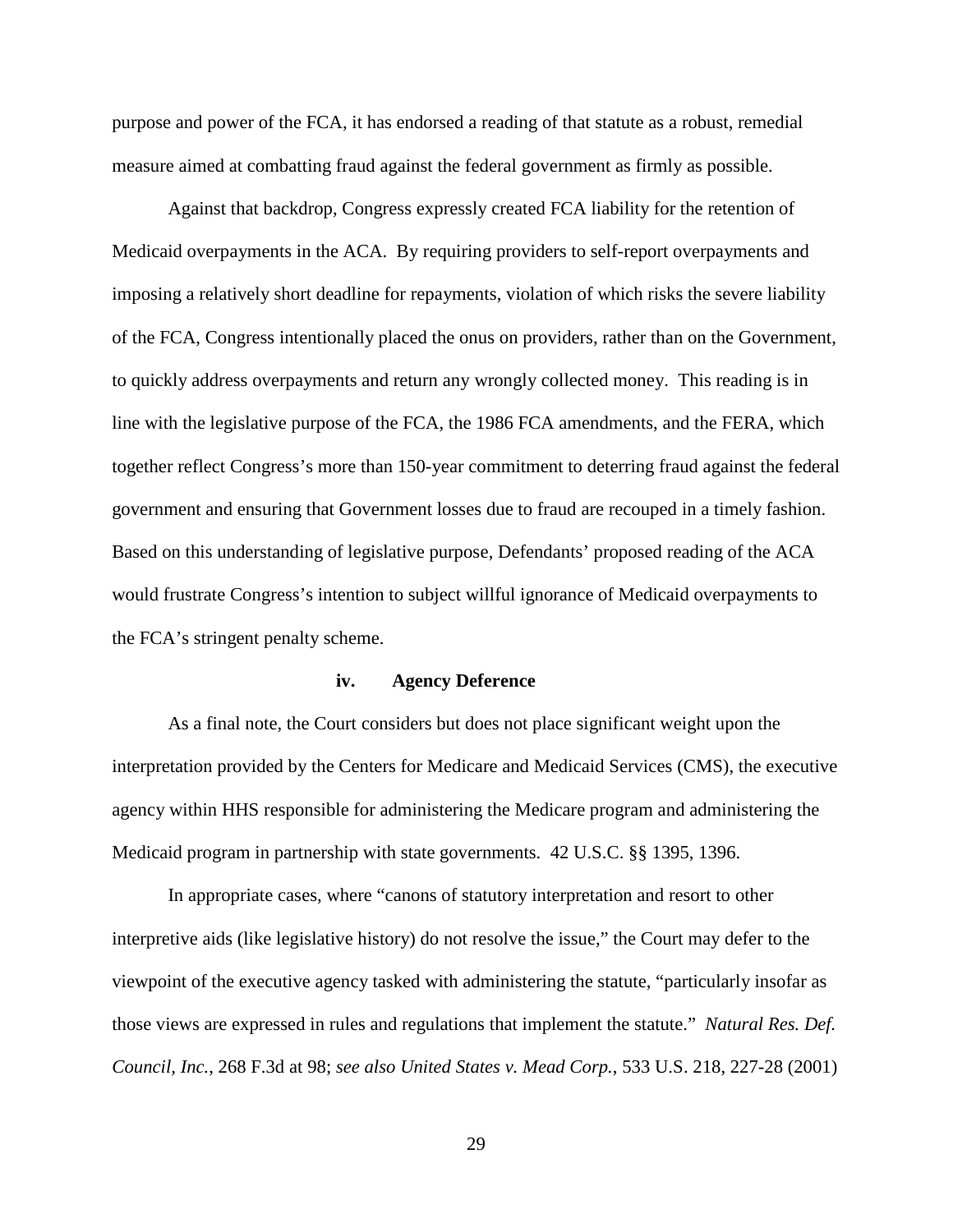purpose and power of the FCA, it has endorsed a reading of that statute as a robust, remedial measure aimed at combatting fraud against the federal government as firmly as possible.

Against that backdrop, Congress expressly created FCA liability for the retention of Medicaid overpayments in the ACA. By requiring providers to self-report overpayments and imposing a relatively short deadline for repayments, violation of which risks the severe liability of the FCA, Congress intentionally placed the onus on providers, rather than on the Government, to quickly address overpayments and return any wrongly collected money. This reading is in line with the legislative purpose of the FCA, the 1986 FCA amendments, and the FERA, which together reflect Congress's more than 150-year commitment to deterring fraud against the federal government and ensuring that Government losses due to fraud are recouped in a timely fashion. Based on this understanding of legislative purpose, Defendants' proposed reading of the ACA would frustrate Congress's intention to subject willful ignorance of Medicaid overpayments to the FCA's stringent penalty scheme.

#### **iv. Agency Deference**

As a final note, the Court considers but does not place significant weight upon the interpretation provided by the Centers for Medicare and Medicaid Services (CMS), the executive agency within HHS responsible for administering the Medicare program and administering the Medicaid program in partnership with state governments. 42 U.S.C. §§ 1395, 1396.

In appropriate cases, where "canons of statutory interpretation and resort to other interpretive aids (like legislative history) do not resolve the issue," the Court may defer to the viewpoint of the executive agency tasked with administering the statute, "particularly insofar as those views are expressed in rules and regulations that implement the statute." *Natural Res. Def. Council, Inc.*, 268 F.3d at 98; *see also United States v. Mead Corp.*, 533 U.S. 218, 227-28 (2001)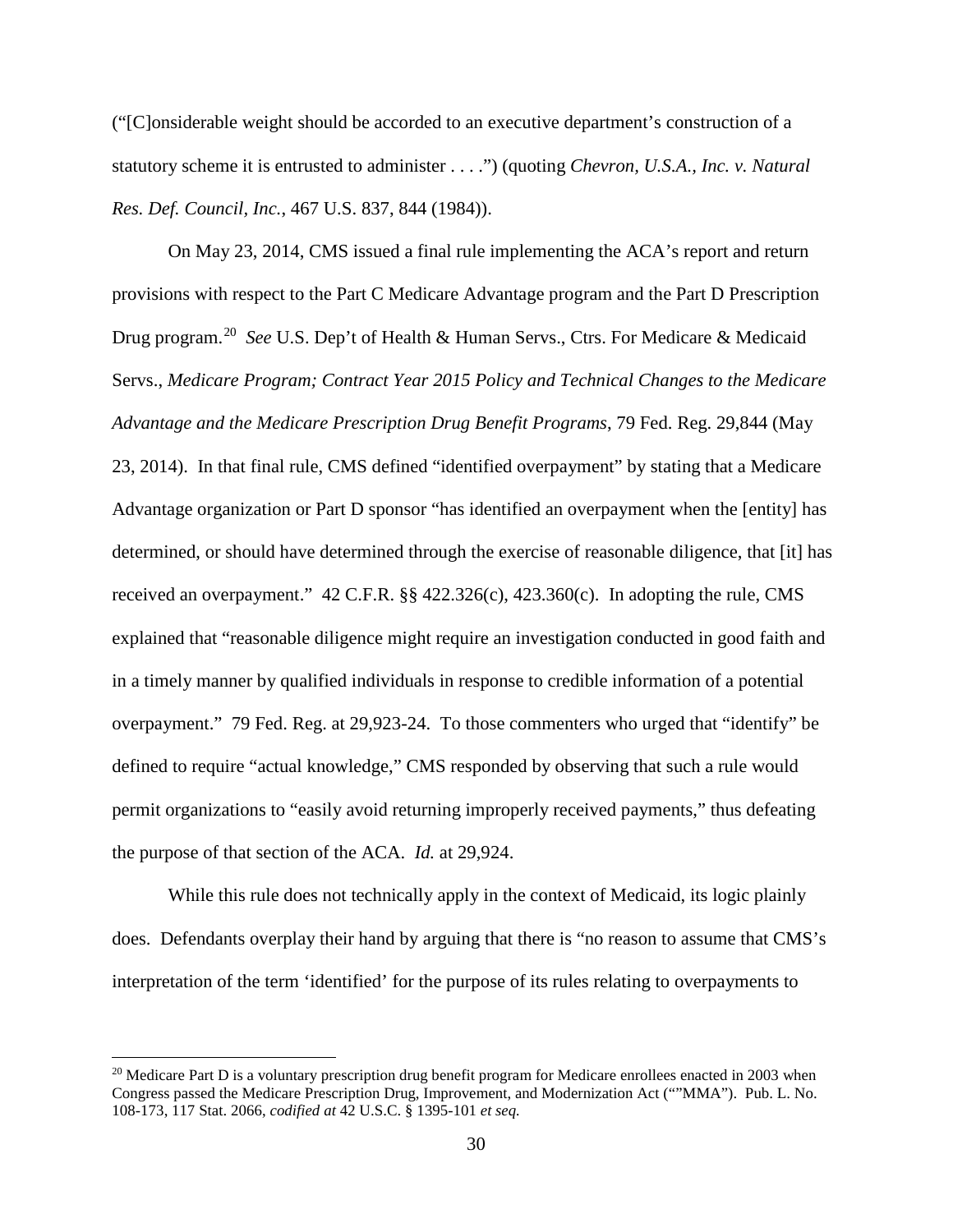("[C]onsiderable weight should be accorded to an executive department's construction of a statutory scheme it is entrusted to administer . . . .") (quoting *Chevron, U.S.A., Inc. v. Natural Res. Def. Council, Inc.*, 467 U.S. 837, 844 (1984)).

On May 23, 2014, CMS issued a final rule implementing the ACA's report and return provisions with respect to the Part C Medicare Advantage program and the Part D Prescription Drug program.<sup>[20](#page-29-0)</sup> See U.S. Dep't of Health & Human Servs., Ctrs. For Medicare & Medicaid Servs., *Medicare Program; Contract Year 2015 Policy and Technical Changes to the Medicare Advantage and the Medicare Prescription Drug Benefit Programs*, 79 Fed. Reg. 29,844 (May 23, 2014). In that final rule, CMS defined "identified overpayment" by stating that a Medicare Advantage organization or Part D sponsor "has identified an overpayment when the [entity] has determined, or should have determined through the exercise of reasonable diligence, that [it] has received an overpayment." 42 C.F.R. §§ 422.326(c), 423.360(c). In adopting the rule, CMS explained that "reasonable diligence might require an investigation conducted in good faith and in a timely manner by qualified individuals in response to credible information of a potential overpayment." 79 Fed. Reg. at 29,923-24. To those commenters who urged that "identify" be defined to require "actual knowledge," CMS responded by observing that such a rule would permit organizations to "easily avoid returning improperly received payments," thus defeating the purpose of that section of the ACA. *Id.* at 29,924.

While this rule does not technically apply in the context of Medicaid, its logic plainly does. Defendants overplay their hand by arguing that there is "no reason to assume that CMS's interpretation of the term 'identified' for the purpose of its rules relating to overpayments to

<u>.</u>

<span id="page-29-0"></span><sup>&</sup>lt;sup>20</sup> Medicare Part D is a voluntary prescription drug benefit program for Medicare enrollees enacted in 2003 when Congress passed the Medicare Prescription Drug, Improvement, and Modernization Act (""MMA"). Pub. L. No. 108-173, 117 Stat. 2066, *codified at* 42 U.S.C. § 1395-101 *et seq.*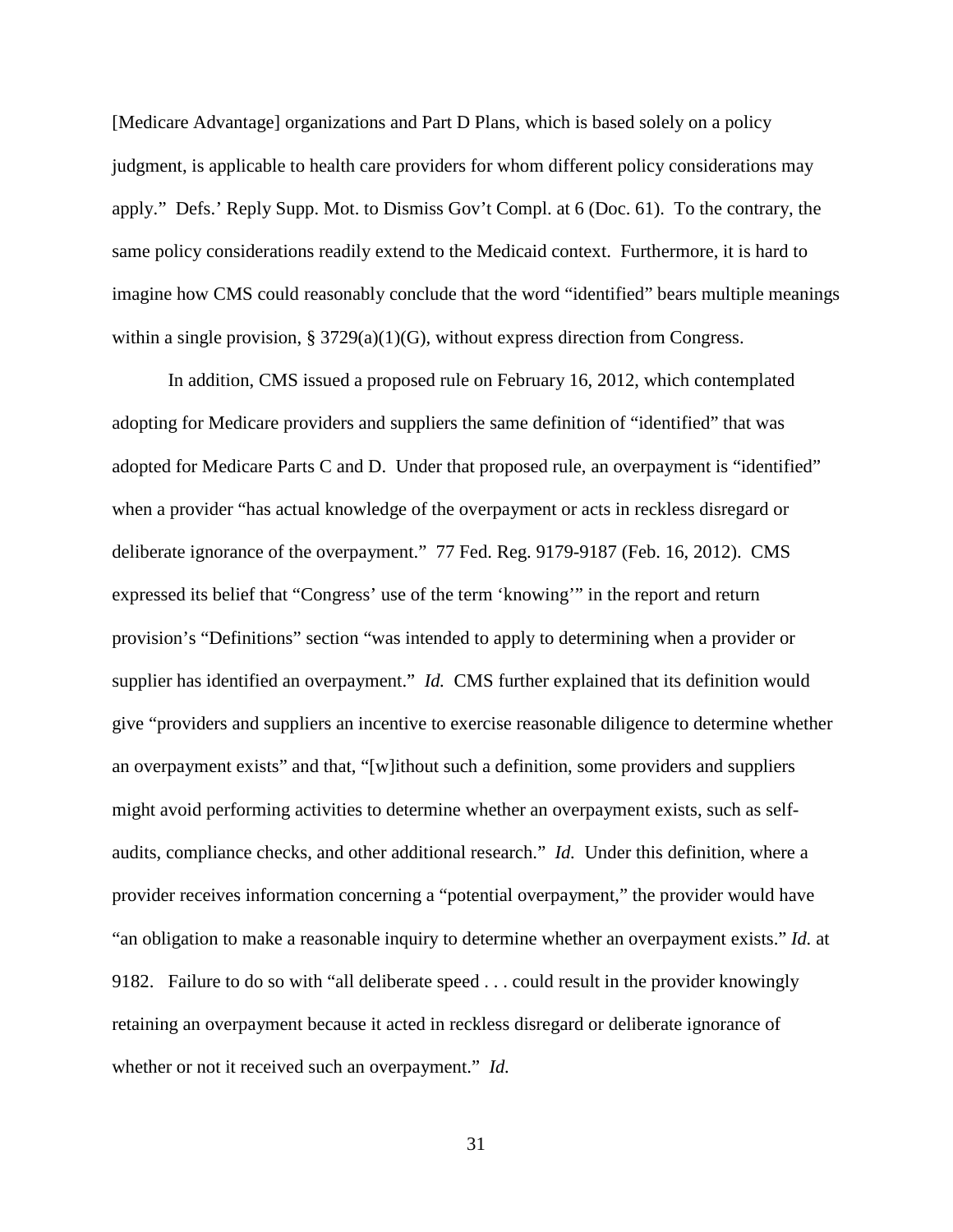[Medicare Advantage] organizations and Part D Plans, which is based solely on a policy judgment, is applicable to health care providers for whom different policy considerations may apply." Defs.' Reply Supp. Mot. to Dismiss Gov't Compl. at 6 (Doc. 61). To the contrary, the same policy considerations readily extend to the Medicaid context. Furthermore, it is hard to imagine how CMS could reasonably conclude that the word "identified" bears multiple meanings within a single provision, § 3729(a)(1)(G), without express direction from Congress.

In addition, CMS issued a proposed rule on February 16, 2012, which contemplated adopting for Medicare providers and suppliers the same definition of "identified" that was adopted for Medicare Parts C and D. Under that proposed rule, an overpayment is "identified" when a provider "has actual knowledge of the overpayment or acts in reckless disregard or deliberate ignorance of the overpayment." 77 Fed. Reg. 9179-9187 (Feb. 16, 2012). CMS expressed its belief that "Congress' use of the term 'knowing'" in the report and return provision's "Definitions" section "was intended to apply to determining when a provider or supplier has identified an overpayment." *Id.* CMS further explained that its definition would give "providers and suppliers an incentive to exercise reasonable diligence to determine whether an overpayment exists" and that, "[w]ithout such a definition, some providers and suppliers might avoid performing activities to determine whether an overpayment exists, such as selfaudits, compliance checks, and other additional research." *Id.* Under this definition, where a provider receives information concerning a "potential overpayment," the provider would have "an obligation to make a reasonable inquiry to determine whether an overpayment exists." *Id.* at 9182. Failure to do so with "all deliberate speed . . . could result in the provider knowingly retaining an overpayment because it acted in reckless disregard or deliberate ignorance of whether or not it received such an overpayment." *Id.*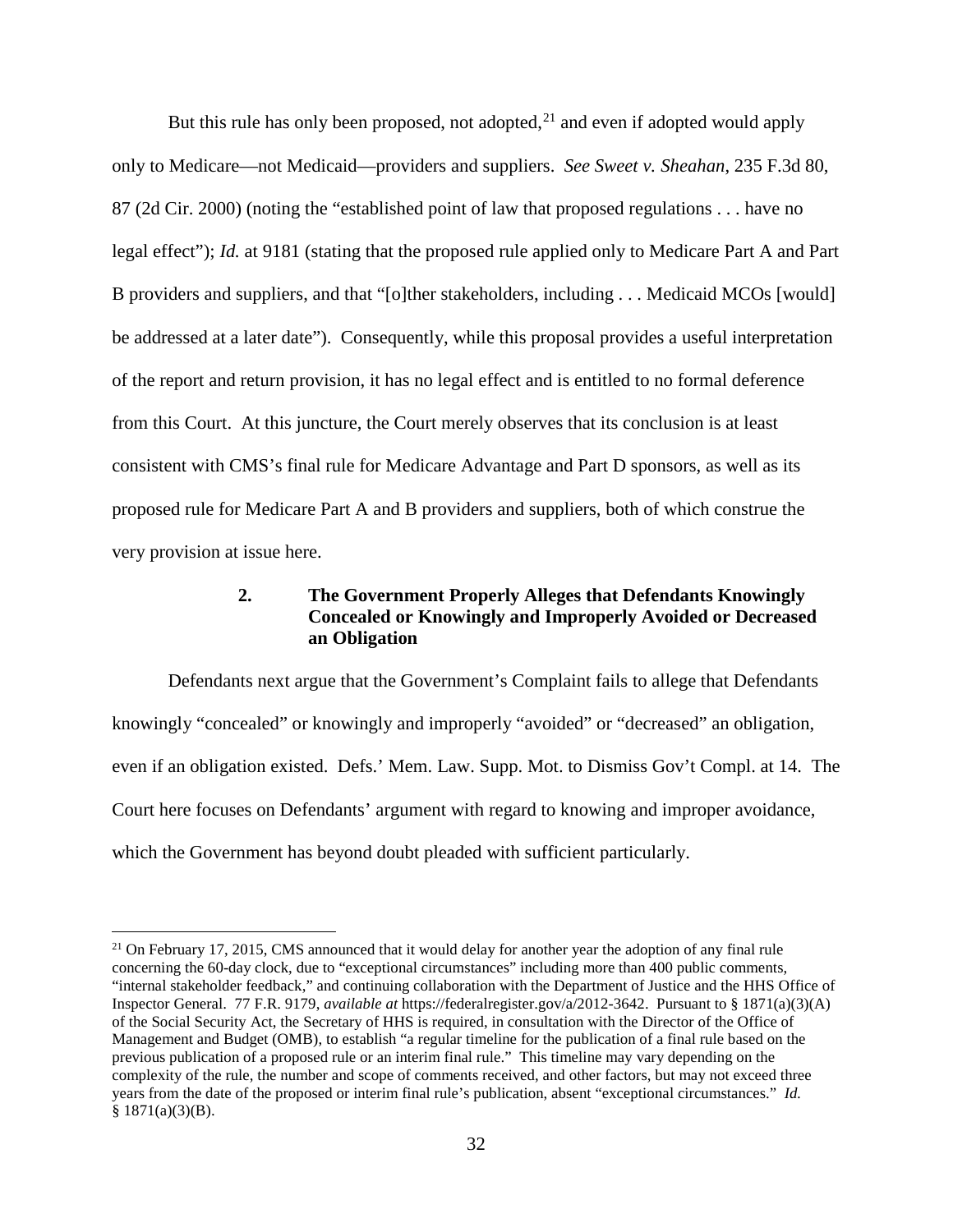But this rule has only been proposed, not adopted, $^{21}$  $^{21}$  $^{21}$  and even if adopted would apply only to Medicare—not Medicaid—providers and suppliers. *See Sweet v. Sheahan*, 235 F.3d 80, 87 (2d Cir. 2000) (noting the "established point of law that proposed regulations . . . have no legal effect"); *Id.* at 9181 (stating that the proposed rule applied only to Medicare Part A and Part B providers and suppliers, and that "[o]ther stakeholders, including . . . Medicaid MCOs [would] be addressed at a later date"). Consequently, while this proposal provides a useful interpretation of the report and return provision, it has no legal effect and is entitled to no formal deference from this Court. At this juncture, the Court merely observes that its conclusion is at least consistent with CMS's final rule for Medicare Advantage and Part D sponsors, as well as its proposed rule for Medicare Part A and B providers and suppliers, both of which construe the very provision at issue here.

# **2. The Government Properly Alleges that Defendants Knowingly Concealed or Knowingly and Improperly Avoided or Decreased an Obligation**

Defendants next argue that the Government's Complaint fails to allege that Defendants knowingly "concealed" or knowingly and improperly "avoided" or "decreased" an obligation, even if an obligation existed. Defs.' Mem. Law. Supp. Mot. to Dismiss Gov't Compl. at 14. The Court here focuses on Defendants' argument with regard to knowing and improper avoidance, which the Government has beyond doubt pleaded with sufficient particularly.

 $\overline{a}$ 

<span id="page-31-0"></span><sup>&</sup>lt;sup>21</sup> On February 17, 2015, CMS announced that it would delay for another year the adoption of any final rule concerning the 60-day clock, due to "exceptional circumstances" including more than 400 public comments, "internal stakeholder feedback," and continuing collaboration with the Department of Justice and the HHS Office of Inspector General. 77 F.R. 9179, *available at* https://federalregister.gov/a/2012-3642. Pursuant to § 1871(a)(3)(A) of the Social Security Act, the Secretary of HHS is required, in consultation with the Director of the Office of Management and Budget (OMB), to establish "a regular timeline for the publication of a final rule based on the previous publication of a proposed rule or an interim final rule." This timeline may vary depending on the complexity of the rule, the number and scope of comments received, and other factors, but may not exceed three years from the date of the proposed or interim final rule's publication, absent "exceptional circumstances." *Id.*  $§ 1871(a)(3)(B).$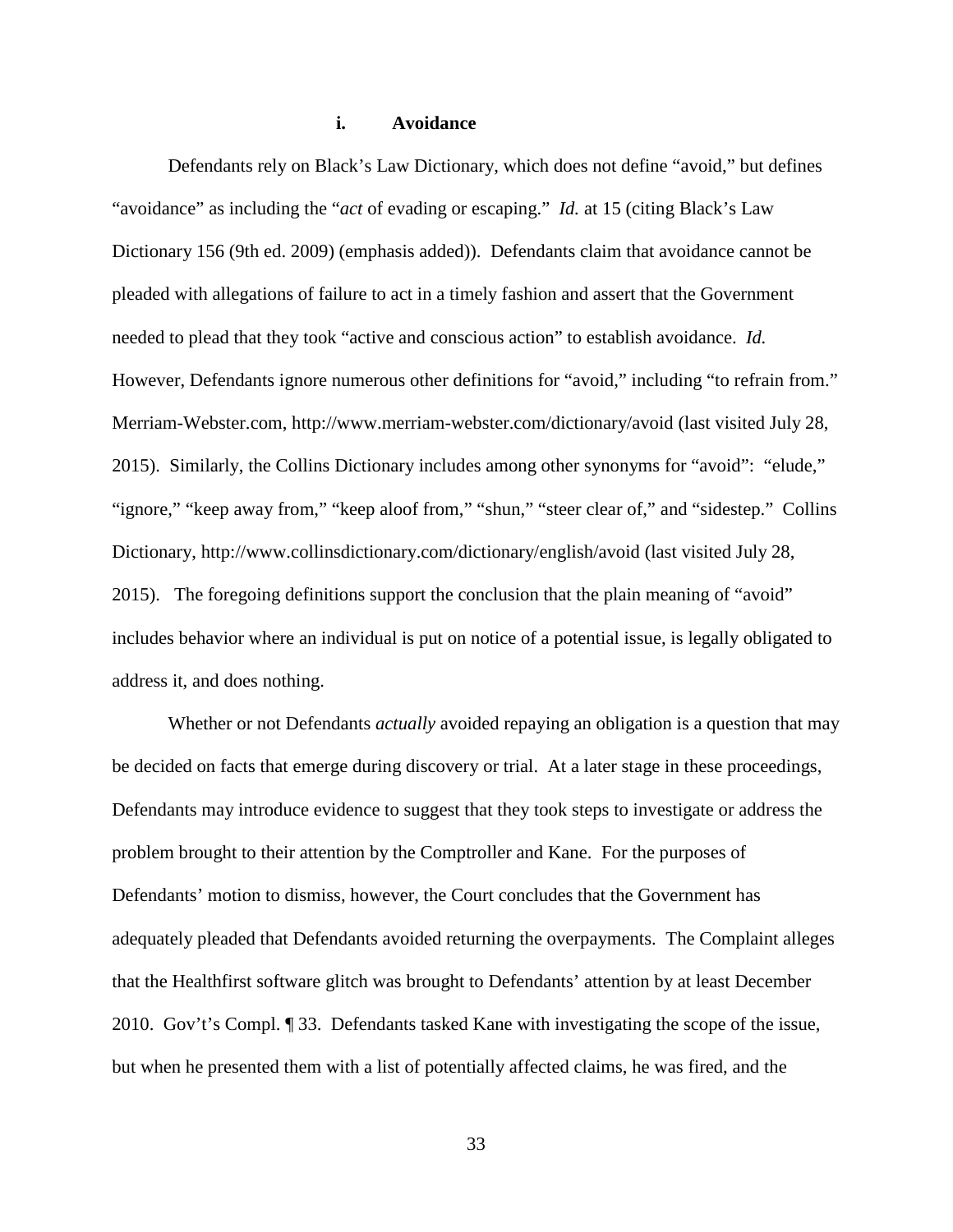## **i. Avoidance**

Defendants rely on Black's Law Dictionary, which does not define "avoid," but defines "avoidance" as including the "*act* of evading or escaping." *Id.* at 15 (citing Black's Law Dictionary 156 (9th ed. 2009) (emphasis added)). Defendants claim that avoidance cannot be pleaded with allegations of failure to act in a timely fashion and assert that the Government needed to plead that they took "active and conscious action" to establish avoidance. *Id.* However, Defendants ignore numerous other definitions for "avoid," including "to refrain from." Merriam-Webster.com, http://www.merriam-webster.com/dictionary/avoid (last visited July 28, 2015). Similarly, the Collins Dictionary includes among other synonyms for "avoid": "elude," "ignore," "keep away from," "keep aloof from," "shun," "steer clear of," and "sidestep." Collins Dictionary, http://www.collinsdictionary.com/dictionary/english/avoid (last visited July 28, 2015). The foregoing definitions support the conclusion that the plain meaning of "avoid" includes behavior where an individual is put on notice of a potential issue, is legally obligated to address it, and does nothing.

Whether or not Defendants *actually* avoided repaying an obligation is a question that may be decided on facts that emerge during discovery or trial. At a later stage in these proceedings, Defendants may introduce evidence to suggest that they took steps to investigate or address the problem brought to their attention by the Comptroller and Kane. For the purposes of Defendants' motion to dismiss, however, the Court concludes that the Government has adequately pleaded that Defendants avoided returning the overpayments. The Complaint alleges that the Healthfirst software glitch was brought to Defendants' attention by at least December 2010. Gov't's Compl. ¶ 33. Defendants tasked Kane with investigating the scope of the issue, but when he presented them with a list of potentially affected claims, he was fired, and the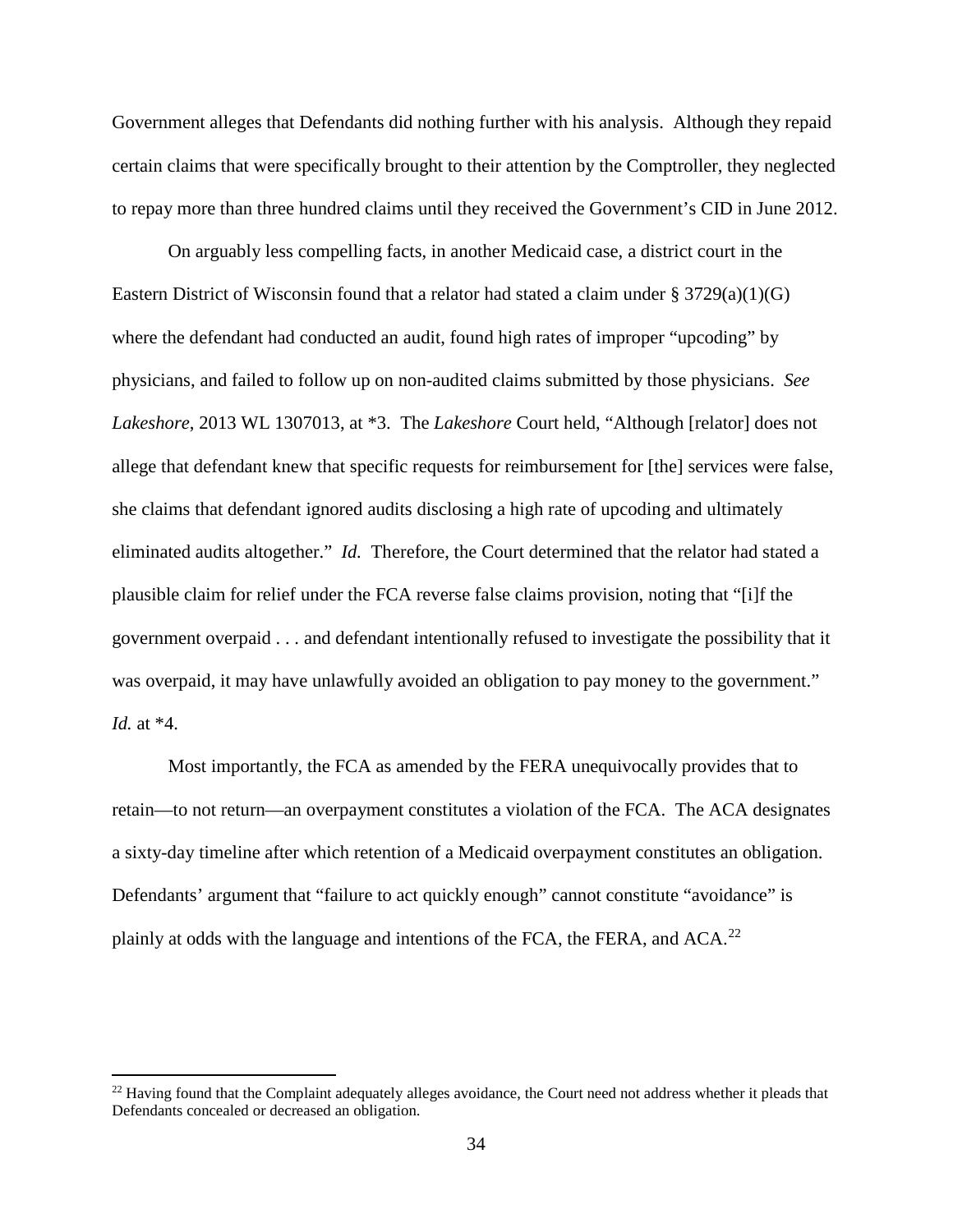Government alleges that Defendants did nothing further with his analysis. Although they repaid certain claims that were specifically brought to their attention by the Comptroller, they neglected to repay more than three hundred claims until they received the Government's CID in June 2012.

On arguably less compelling facts, in another Medicaid case, a district court in the Eastern District of Wisconsin found that a relator had stated a claim under  $\S 3729(a)(1)(G)$ where the defendant had conducted an audit, found high rates of improper "upcoding" by physicians, and failed to follow up on non-audited claims submitted by those physicians. *See Lakeshore*, 2013 WL 1307013, at \*3. The *Lakeshore* Court held, "Although [relator] does not allege that defendant knew that specific requests for reimbursement for [the] services were false, she claims that defendant ignored audits disclosing a high rate of upcoding and ultimately eliminated audits altogether." *Id.* Therefore, the Court determined that the relator had stated a plausible claim for relief under the FCA reverse false claims provision, noting that "[i]f the government overpaid . . . and defendant intentionally refused to investigate the possibility that it was overpaid, it may have unlawfully avoided an obligation to pay money to the government." *Id.* at \*4.

Most importantly, the FCA as amended by the FERA unequivocally provides that to retain—to not return—an overpayment constitutes a violation of the FCA. The ACA designates a sixty-day timeline after which retention of a Medicaid overpayment constitutes an obligation. Defendants' argument that "failure to act quickly enough" cannot constitute "avoidance" is plainly at odds with the language and intentions of the FCA, the FERA, and  $ACA$ .<sup>[22](#page-33-0)</sup>

<u>.</u>

<span id="page-33-0"></span> $^{22}$  Having found that the Complaint adequately alleges avoidance, the Court need not address whether it pleads that Defendants concealed or decreased an obligation.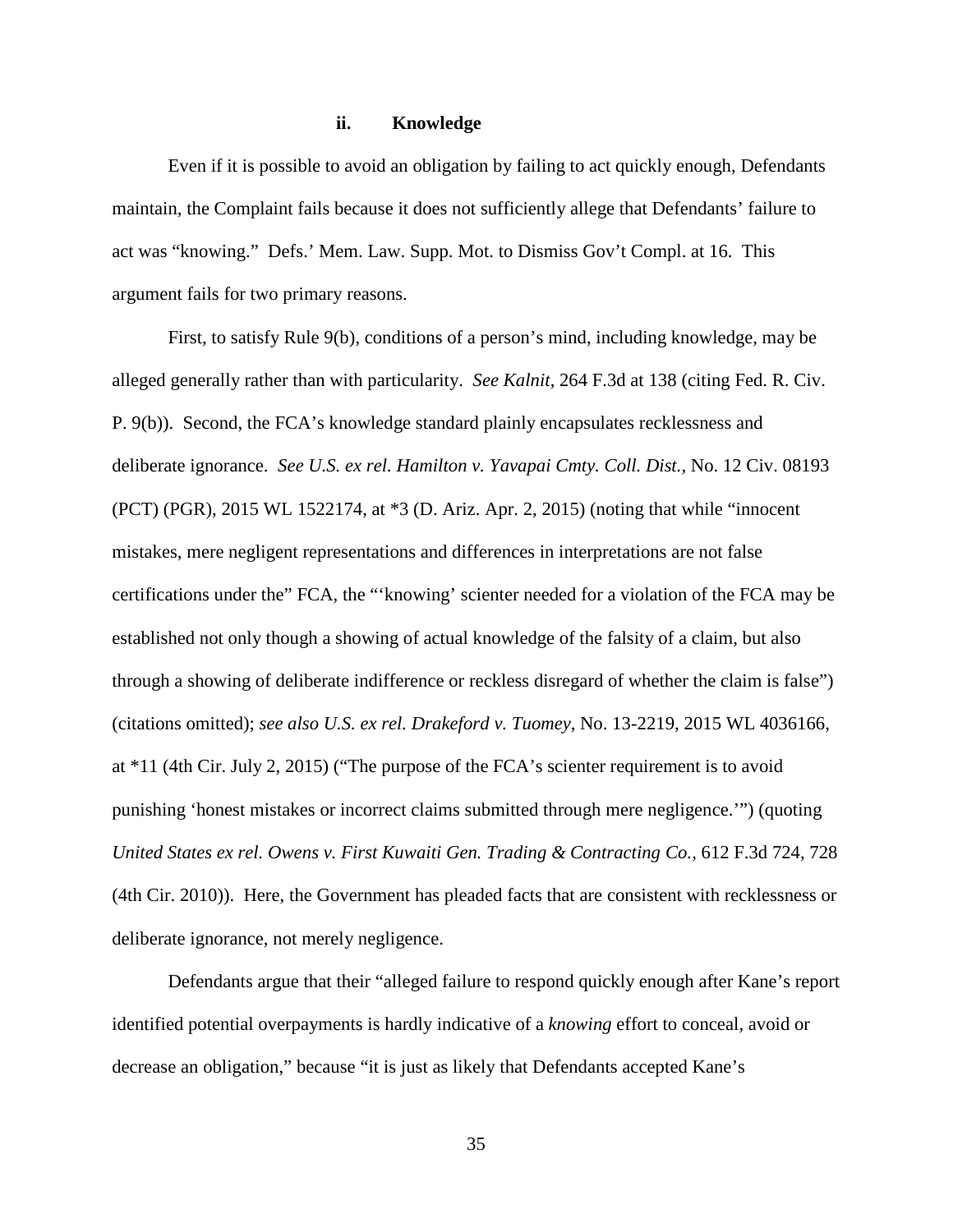#### **ii. Knowledge**

Even if it is possible to avoid an obligation by failing to act quickly enough, Defendants maintain, the Complaint fails because it does not sufficiently allege that Defendants' failure to act was "knowing." Defs.' Mem. Law. Supp. Mot. to Dismiss Gov't Compl. at 16. This argument fails for two primary reasons.

First, to satisfy Rule 9(b), conditions of a person's mind, including knowledge, may be alleged generally rather than with particularity. *See Kalnit*, 264 F.3d at 138 (citing Fed. R. Civ. P. 9(b)). Second, the FCA's knowledge standard plainly encapsulates recklessness and deliberate ignorance. *See U.S. ex rel. Hamilton v. Yavapai Cmty. Coll. Dist.*, No. 12 Civ. 08193 (PCT) (PGR), 2015 WL 1522174, at \*3 (D. Ariz. Apr. 2, 2015) (noting that while "innocent mistakes, mere negligent representations and differences in interpretations are not false certifications under the" FCA, the "'knowing' scienter needed for a violation of the FCA may be established not only though a showing of actual knowledge of the falsity of a claim, but also through a showing of deliberate indifference or reckless disregard of whether the claim is false") (citations omitted); *see also U.S. ex rel. Drakeford v. Tuomey*, No. 13-2219, 2015 WL 4036166, at \*11 (4th Cir. July 2, 2015) ("The purpose of the FCA's scienter requirement is to avoid punishing 'honest mistakes or incorrect claims submitted through mere negligence.'") (quoting *United States ex rel. Owens v. First Kuwaiti Gen. Trading & Contracting Co.,* 612 F.3d 724, 728 (4th Cir. 2010)). Here, the Government has pleaded facts that are consistent with recklessness or deliberate ignorance, not merely negligence.

Defendants argue that their "alleged failure to respond quickly enough after Kane's report identified potential overpayments is hardly indicative of a *knowing* effort to conceal, avoid or decrease an obligation," because "it is just as likely that Defendants accepted Kane's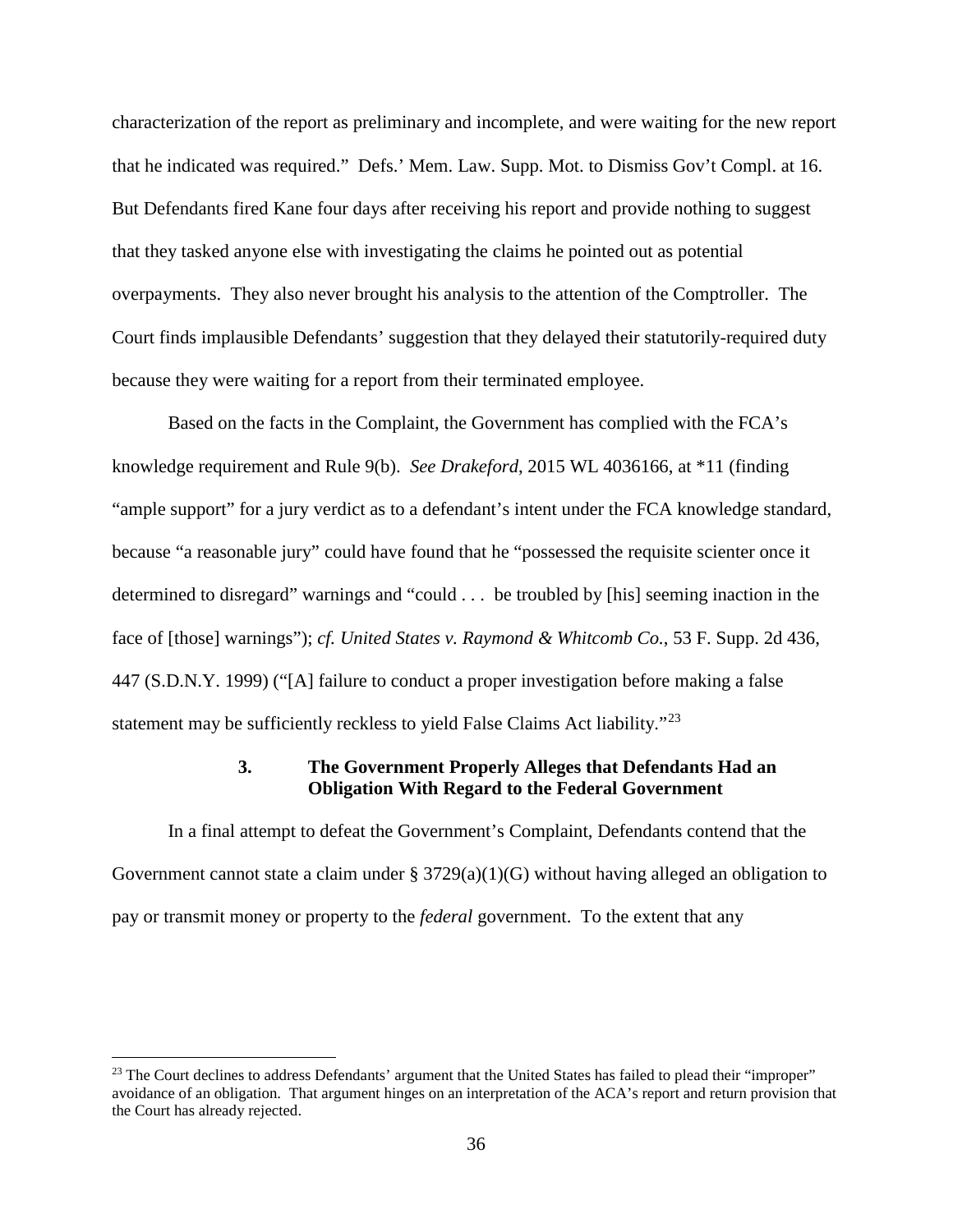characterization of the report as preliminary and incomplete, and were waiting for the new report that he indicated was required." Defs.' Mem. Law. Supp. Mot. to Dismiss Gov't Compl. at 16. But Defendants fired Kane four days after receiving his report and provide nothing to suggest that they tasked anyone else with investigating the claims he pointed out as potential overpayments. They also never brought his analysis to the attention of the Comptroller. The Court finds implausible Defendants' suggestion that they delayed their statutorily-required duty because they were waiting for a report from their terminated employee.

Based on the facts in the Complaint, the Government has complied with the FCA's knowledge requirement and Rule 9(b). *See Drakeford*, 2015 WL 4036166, at \*11 (finding "ample support" for a jury verdict as to a defendant's intent under the FCA knowledge standard, because "a reasonable jury" could have found that he "possessed the requisite scienter once it determined to disregard" warnings and "could . . . be troubled by [his] seeming inaction in the face of [those] warnings"); *cf. United States v. Raymond & Whitcomb Co.*, 53 F. Supp. 2d 436, 447 (S.D.N.Y. 1999) ("[A] failure to conduct a proper investigation before making a false statement may be sufficiently reckless to yield False Claims Act liability."<sup>[23](#page-35-0)</sup>

# **3. The Government Properly Alleges that Defendants Had an Obligation With Regard to the Federal Government**

In a final attempt to defeat the Government's Complaint, Defendants contend that the Government cannot state a claim under  $\S 3729(a)(1)(G)$  without having alleged an obligation to pay or transmit money or property to the *federal* government. To the extent that any

<u>.</u>

<span id="page-35-0"></span><sup>&</sup>lt;sup>23</sup> The Court declines to address Defendants' argument that the United States has failed to plead their "improper" avoidance of an obligation. That argument hinges on an interpretation of the ACA's report and return provision that the Court has already rejected.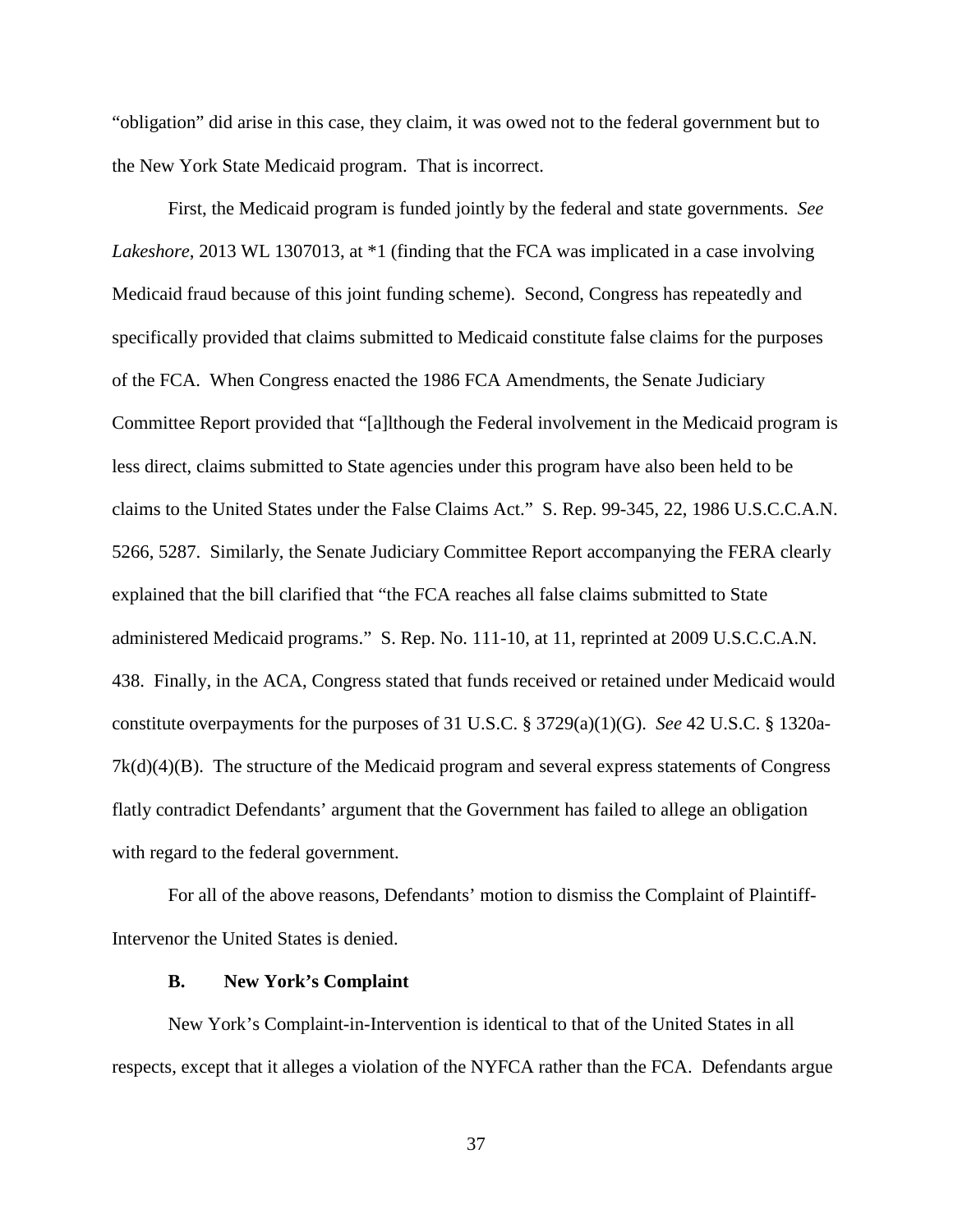"obligation" did arise in this case, they claim, it was owed not to the federal government but to the New York State Medicaid program. That is incorrect.

First, the Medicaid program is funded jointly by the federal and state governments. *See Lakeshore*, 2013 WL 1307013, at \*1 (finding that the FCA was implicated in a case involving Medicaid fraud because of this joint funding scheme). Second, Congress has repeatedly and specifically provided that claims submitted to Medicaid constitute false claims for the purposes of the FCA. When Congress enacted the 1986 FCA Amendments, the Senate Judiciary Committee Report provided that "[a]lthough the Federal involvement in the Medicaid program is less direct, claims submitted to State agencies under this program have also been held to be claims to the United States under the False Claims Act." S. Rep. 99-345, 22, 1986 U.S.C.C.A.N. 5266, 5287. Similarly, the Senate Judiciary Committee Report accompanying the FERA clearly explained that the bill clarified that "the FCA reaches all false claims submitted to State administered Medicaid programs." S. Rep. No. 111-10, at 11, reprinted at 2009 U.S.C.C.A.N. 438. Finally, in the ACA, Congress stated that funds received or retained under Medicaid would constitute overpayments for the purposes of 31 U.S.C. § 3729(a)(1)(G). *See* 42 U.S.C. § 1320a- $7k(d)(4)(B)$ . The structure of the Medicaid program and several express statements of Congress flatly contradict Defendants' argument that the Government has failed to allege an obligation with regard to the federal government.

For all of the above reasons, Defendants' motion to dismiss the Complaint of Plaintiff-Intervenor the United States is denied.

#### **B. New York's Complaint**

New York's Complaint-in-Intervention is identical to that of the United States in all respects, except that it alleges a violation of the NYFCA rather than the FCA. Defendants argue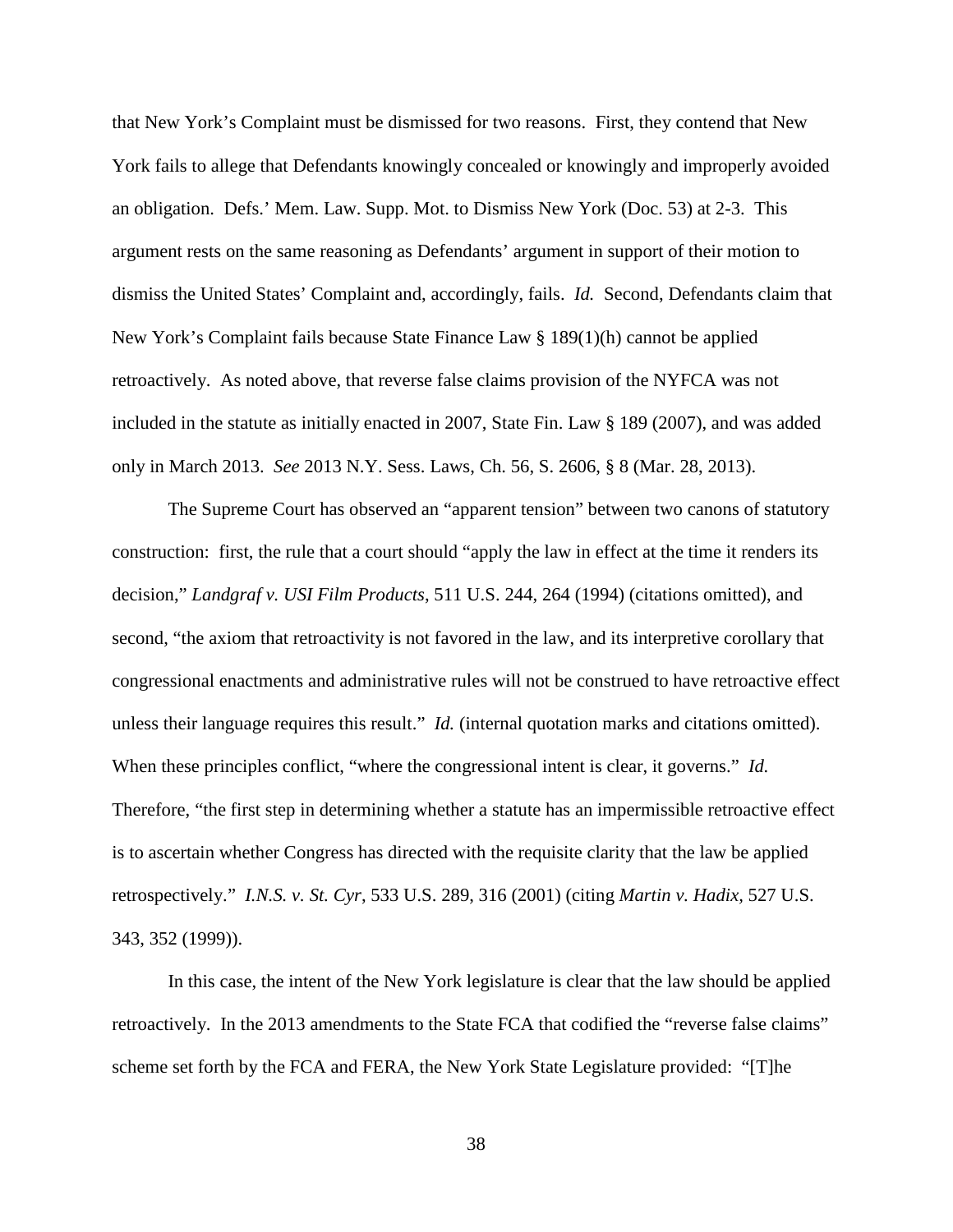that New York's Complaint must be dismissed for two reasons. First, they contend that New York fails to allege that Defendants knowingly concealed or knowingly and improperly avoided an obligation. Defs.' Mem. Law. Supp. Mot. to Dismiss New York (Doc. 53) at 2-3. This argument rests on the same reasoning as Defendants' argument in support of their motion to dismiss the United States' Complaint and, accordingly, fails. *Id.* Second, Defendants claim that New York's Complaint fails because State Finance Law § 189(1)(h) cannot be applied retroactively. As noted above, that reverse false claims provision of the NYFCA was not included in the statute as initially enacted in 2007, State Fin. Law § 189 (2007), and was added only in March 2013. *See* 2013 N.Y. Sess. Laws, Ch. 56, S. 2606, § 8 (Mar. 28, 2013).

The Supreme Court has observed an "apparent tension" between two canons of statutory construction: first, the rule that a court should "apply the law in effect at the time it renders its decision," *Landgraf v. USI Film Products*, 511 U.S. 244, 264 (1994) (citations omitted), and second, "the axiom that retroactivity is not favored in the law, and its interpretive corollary that congressional enactments and administrative rules will not be construed to have retroactive effect unless their language requires this result." *Id.* (internal quotation marks and citations omitted). When these principles conflict, "where the congressional intent is clear, it governs." *Id.* Therefore, "the first step in determining whether a statute has an impermissible retroactive effect is to ascertain whether Congress has directed with the requisite clarity that the law be applied retrospectively." *I.N.S. v. St. Cyr*, 533 U.S. 289, 316 (2001) (citing *Martin v. Hadix,* 527 U.S. 343, 352 (1999)).

In this case, the intent of the New York legislature is clear that the law should be applied retroactively. In the 2013 amendments to the State FCA that codified the "reverse false claims" scheme set forth by the FCA and FERA, the New York State Legislature provided: "[T]he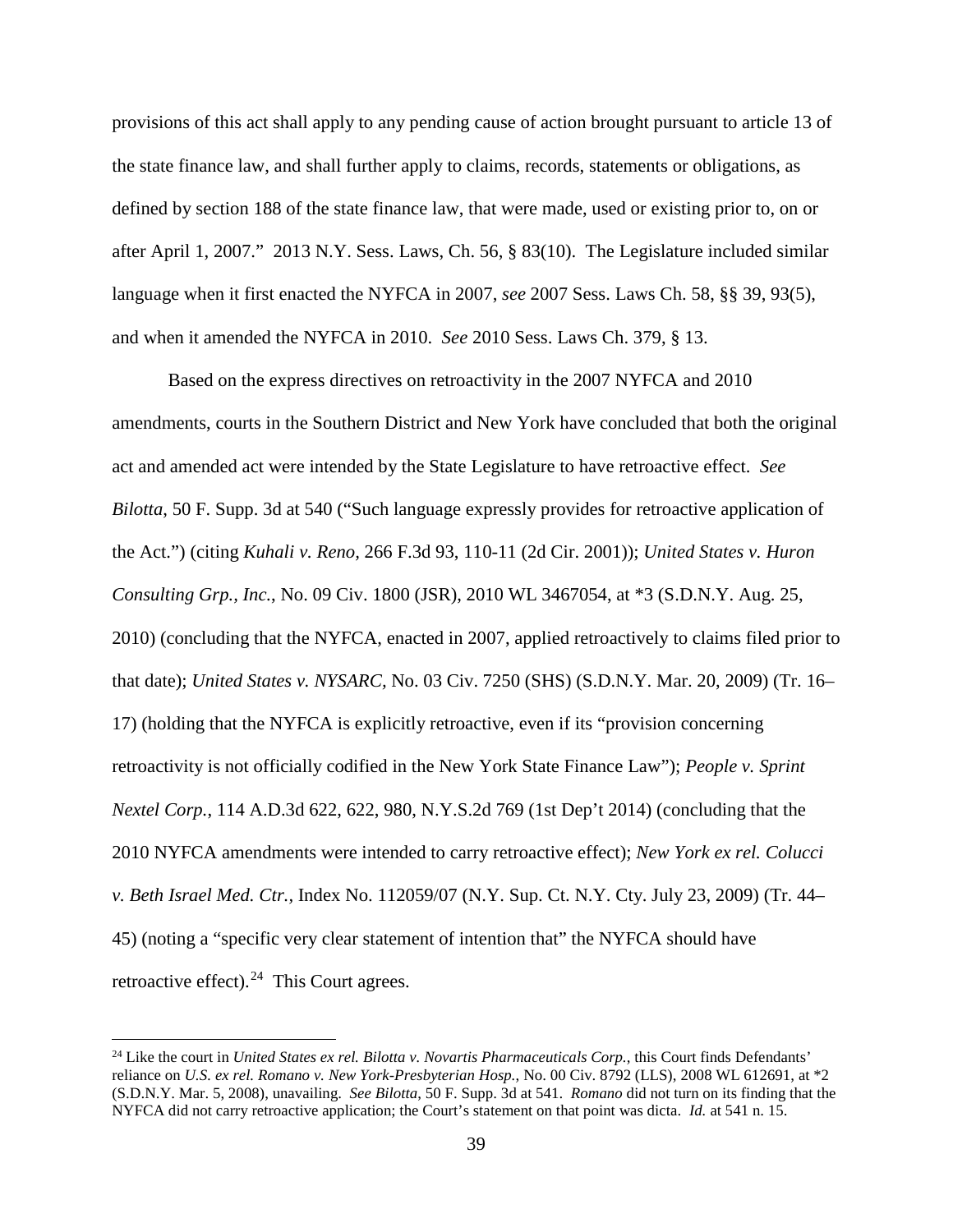provisions of this act shall apply to any pending cause of action brought pursuant to article 13 of the state finance law, and shall further apply to claims, records, statements or obligations, as defined by section 188 of the state finance law, that were made, used or existing prior to, on or after April 1, 2007." 2013 N.Y. Sess. Laws, Ch. 56, § 83(10). The Legislature included similar language when it first enacted the NYFCA in 2007, *see* 2007 Sess. Laws Ch. 58, §§ 39, 93(5), and when it amended the NYFCA in 2010. *See* 2010 Sess. Laws Ch. 379, § 13.

Based on the express directives on retroactivity in the 2007 NYFCA and 2010 amendments, courts in the Southern District and New York have concluded that both the original act and amended act were intended by the State Legislature to have retroactive effect. *See Bilotta*, 50 F. Supp. 3d at 540 ("Such language expressly provides for retroactive application of the Act.") (citing *Kuhali v. Reno,* 266 F.3d 93, 110-11 (2d Cir. 2001)); *United States v. Huron Consulting Grp., Inc.*, No. 09 Civ. 1800 (JSR), 2010 WL 3467054, at \*3 (S.D.N.Y. Aug. 25, 2010) (concluding that the NYFCA, enacted in 2007, applied retroactively to claims filed prior to that date); *United States v. NYSARC,* No. 03 Civ. 7250 (SHS) (S.D.N.Y. Mar. 20, 2009) (Tr. 16– 17) (holding that the NYFCA is explicitly retroactive, even if its "provision concerning retroactivity is not officially codified in the New York State Finance Law"); *People v. Sprint Nextel Corp.*, 114 A.D.3d 622, 622, 980, N.Y.S.2d 769 (1st Dep't 2014) (concluding that the 2010 NYFCA amendments were intended to carry retroactive effect); *New York ex rel. Colucci v. Beth Israel Med. Ctr.,* Index No. 112059/07 (N.Y. Sup. Ct. N.Y. Cty. July 23, 2009) (Tr. 44– 45) (noting a "specific very clear statement of intention that" the NYFCA should have retroactive effect). $24$  This Court agrees.

 $\overline{a}$ 

<span id="page-38-0"></span><sup>24</sup> Like the court in *United States ex rel. Bilotta v. Novartis Pharmaceuticals Corp.*, this Court finds Defendants' reliance on *U.S. ex rel. Romano v. New York-Presbyterian Hosp.*, No. 00 Civ. 8792 (LLS), 2008 WL 612691, at \*2 (S.D.N.Y. Mar. 5, 2008), unavailing. *See Bilotta*, 50 F. Supp. 3d at 541. *Romano* did not turn on its finding that the NYFCA did not carry retroactive application; the Court's statement on that point was dicta. *Id.* at 541 n. 15.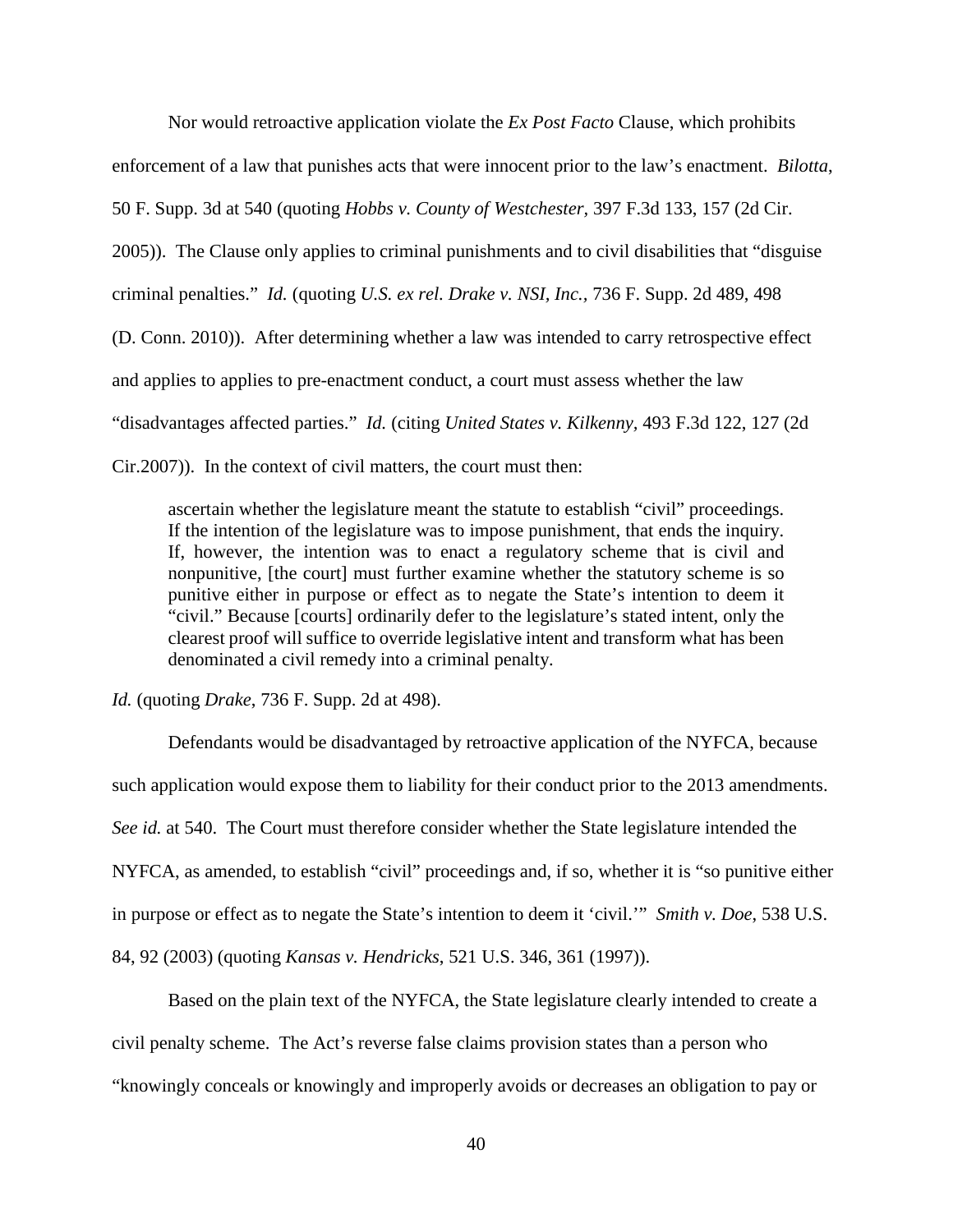Nor would retroactive application violate the *Ex Post Facto* Clause, which prohibits enforcement of a law that punishes acts that were innocent prior to the law's enactment. *Bilotta*, 50 F. Supp. 3d at 540 (quoting *Hobbs v. County of Westchester,* 397 F.3d 133, 157 (2d Cir. 2005)). The Clause only applies to criminal punishments and to civil disabilities that "disguise criminal penalties." *Id.* (quoting *U.S. ex rel. Drake v. NSI, Inc.,* 736 F. Supp. 2d 489, 498 (D. Conn. 2010)). After determining whether a law was intended to carry retrospective effect and applies to applies to pre-enactment conduct, a court must assess whether the law "disadvantages affected parties." *Id.* (citing *United States v. Kilkenny,* 493 F.3d 122, 127 (2d Cir.2007)). In the context of civil matters, the court must then:

ascertain whether the legislature meant the statute to establish "civil" proceedings. If the intention of the legislature was to impose punishment, that ends the inquiry. If, however, the intention was to enact a regulatory scheme that is civil and nonpunitive, [the court] must further examine whether the statutory scheme is so punitive either in purpose or effect as to negate the State's intention to deem it "civil." Because [courts] ordinarily defer to the legislature's stated intent, only the clearest proof will suffice to override legislative intent and transform what has been denominated a civil remedy into a criminal penalty.

*Id.* (quoting *Drake*, 736 F. Supp. 2d at 498).

 Defendants would be disadvantaged by retroactive application of the NYFCA, because such application would expose them to liability for their conduct prior to the 2013 amendments. *See id.* at 540. The Court must therefore consider whether the State legislature intended the NYFCA, as amended, to establish "civil" proceedings and, if so, whether it is "so punitive either in purpose or effect as to negate the State's intention to deem it 'civil.'" *Smith v. Doe*, 538 U.S. 84, 92 (2003) (quoting *Kansas v. Hendricks*, 521 U.S. 346, 361 (1997)).

Based on the plain text of the NYFCA, the State legislature clearly intended to create a civil penalty scheme. The Act's reverse false claims provision states than a person who "knowingly conceals or knowingly and improperly avoids or decreases an obligation to pay or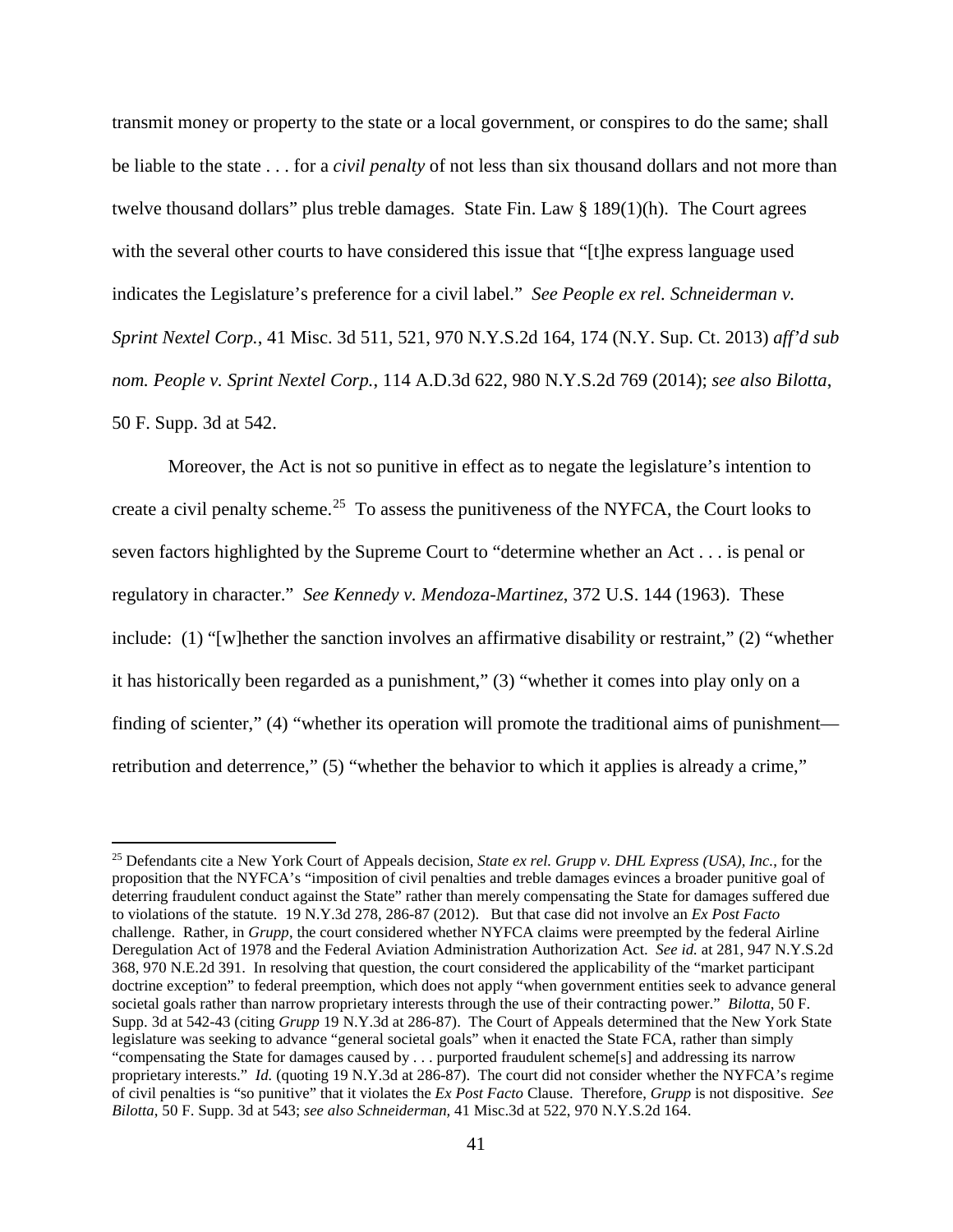transmit money or property to the state or a local government, or conspires to do the same; shall be liable to the state . . . for a *civil penalty* of not less than six thousand dollars and not more than twelve thousand dollars" plus treble damages. State Fin. Law § 189(1)(h). The Court agrees with the several other courts to have considered this issue that "[t]he express language used indicates the Legislature's preference for a civil label." *See People ex rel. Schneiderman v. Sprint Nextel Corp.*, 41 Misc. 3d 511, 521, 970 N.Y.S.2d 164, 174 (N.Y. Sup. Ct. 2013) *aff'd sub nom. People v. Sprint Nextel Corp.*, 114 A.D.3d 622, 980 N.Y.S.2d 769 (2014); *see also Bilotta*, 50 F. Supp. 3d at 542.

Moreover, the Act is not so punitive in effect as to negate the legislature's intention to create a civil penalty scheme.<sup>[25](#page-40-0)</sup> To assess the punitiveness of the NYFCA, the Court looks to seven factors highlighted by the Supreme Court to "determine whether an Act . . . is penal or regulatory in character." *See Kennedy v. Mendoza-Martinez*, 372 U.S. 144 (1963). These include: (1) "[w]hether the sanction involves an affirmative disability or restraint," (2) "whether it has historically been regarded as a punishment," (3) "whether it comes into play only on a finding of scienter," (4) "whether its operation will promote the traditional aims of punishment retribution and deterrence," (5) "whether the behavior to which it applies is already a crime,"

<u>.</u>

<span id="page-40-0"></span><sup>25</sup> Defendants cite a New York Court of Appeals decision, *State ex rel. Grupp v. DHL Express (USA), Inc.*, for the proposition that the NYFCA's "imposition of civil penalties and treble damages evinces a broader punitive goal of deterring fraudulent conduct against the State" rather than merely compensating the State for damages suffered due to violations of the statute. 19 N.Y.3d 278, 286-87 (2012). But that case did not involve an *Ex Post Facto*  challenge. Rather, in *Grupp*, the court considered whether NYFCA claims were preempted by the federal Airline Deregulation Act of 1978 and the Federal Aviation Administration Authorization Act. *See id.* at 281, 947 N.Y.S.2d 368, 970 N.E.2d 391. In resolving that question, the court considered the applicability of the "market participant doctrine exception" to federal preemption, which does not apply "when government entities seek to advance general societal goals rather than narrow proprietary interests through the use of their contracting power." *Bilotta*, 50 F. Supp. 3d at 542-43 (citing *Grupp* 19 N.Y.3d at 286-87). The Court of Appeals determined that the New York State legislature was seeking to advance "general societal goals" when it enacted the State FCA, rather than simply "compensating the State for damages caused by . . . purported fraudulent scheme[s] and addressing its narrow proprietary interests." *Id.* (quoting 19 N.Y.3d at 286-87). The court did not consider whether the NYFCA's regime of civil penalties is "so punitive" that it violates the *Ex Post Facto* Clause. Therefore, *Grupp* is not dispositive. *See Bilotta*, 50 F. Supp. 3d at 543; *see also Schneiderman,* 41 Misc.3d at 522, 970 N.Y.S.2d 164.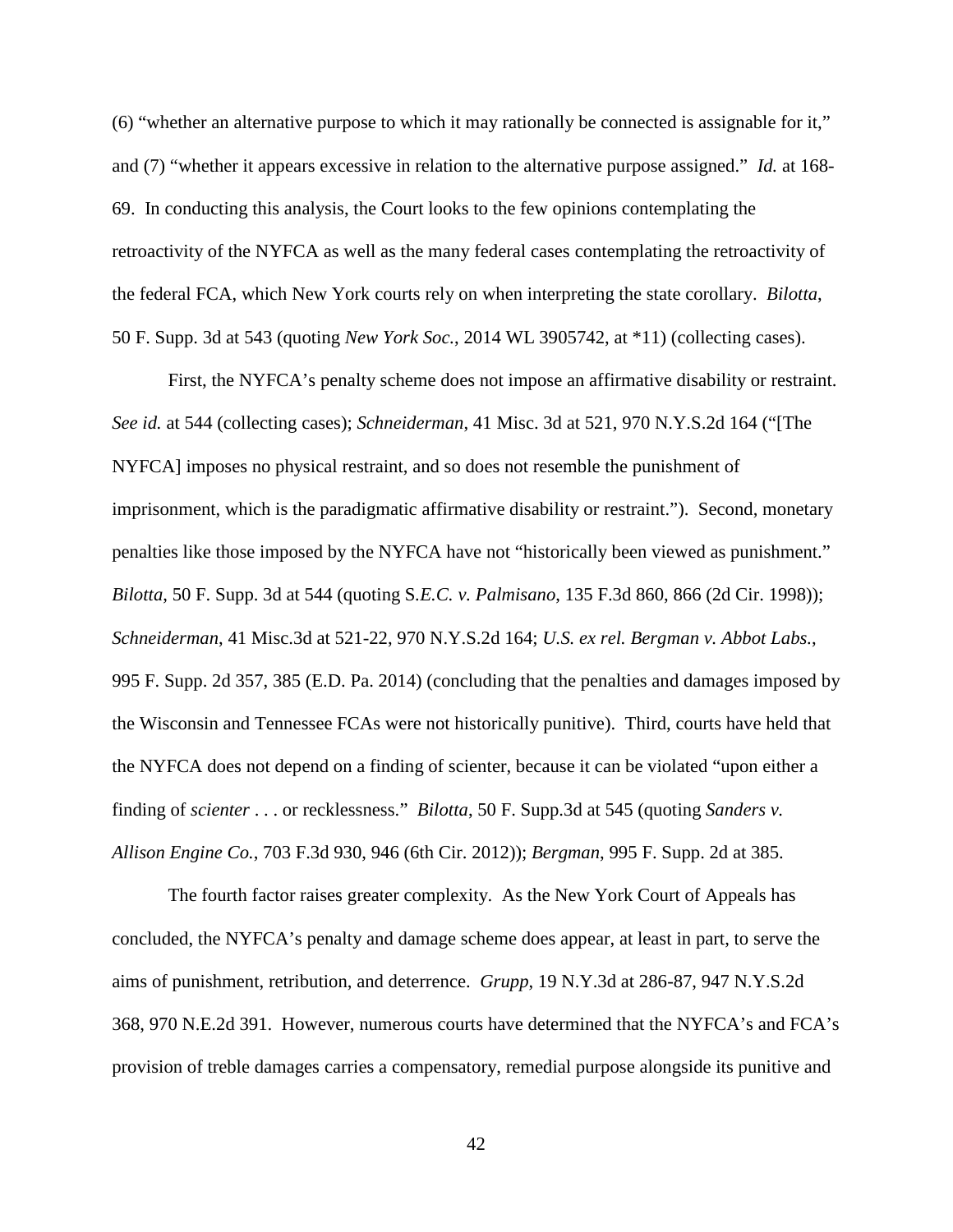(6) "whether an alternative purpose to which it may rationally be connected is assignable for it," and (7) "whether it appears excessive in relation to the alternative purpose assigned." *Id.* at 168- 69. In conducting this analysis, the Court looks to the few opinions contemplating the retroactivity of the NYFCA as well as the many federal cases contemplating the retroactivity of the federal FCA, which New York courts rely on when interpreting the state corollary. *Bilotta*, 50 F. Supp. 3d at 543 (quoting *New York Soc.*, 2014 WL 3905742, at \*11) (collecting cases).

First, the NYFCA's penalty scheme does not impose an affirmative disability or restraint. *See id.* at 544 (collecting cases); *Schneiderman*, 41 Misc. 3d at 521, 970 N.Y.S.2d 164 ("[The NYFCA] imposes no physical restraint, and so does not resemble the punishment of imprisonment, which is the paradigmatic affirmative disability or restraint."). Second, monetary penalties like those imposed by the NYFCA have not "historically been viewed as punishment." *Bilotta*, 50 F. Supp. 3d at 544 (quoting S*.E.C. v. Palmisano*, 135 F.3d 860, 866 (2d Cir. 1998)); *Schneiderman*, 41 Misc.3d at 521-22, 970 N.Y.S.2d 164; *U.S. ex rel. Bergman v. Abbot Labs.*, 995 F. Supp. 2d 357, 385 (E.D. Pa. 2014) (concluding that the penalties and damages imposed by the Wisconsin and Tennessee FCAs were not historically punitive). Third, courts have held that the NYFCA does not depend on a finding of scienter, because it can be violated "upon either a finding of *scienter* . . . or recklessness." *Bilotta*, 50 F. Supp.3d at 545 (quoting *Sanders v. Allison Engine Co.*, 703 F.3d 930, 946 (6th Cir. 2012)); *Bergman*, 995 F. Supp. 2d at 385.

The fourth factor raises greater complexity. As the New York Court of Appeals has concluded, the NYFCA's penalty and damage scheme does appear, at least in part, to serve the aims of punishment, retribution, and deterrence. *Grupp*, 19 N.Y.3d at 286-87, 947 N.Y.S.2d 368, 970 N.E.2d 391. However, numerous courts have determined that the NYFCA's and FCA's provision of treble damages carries a compensatory, remedial purpose alongside its punitive and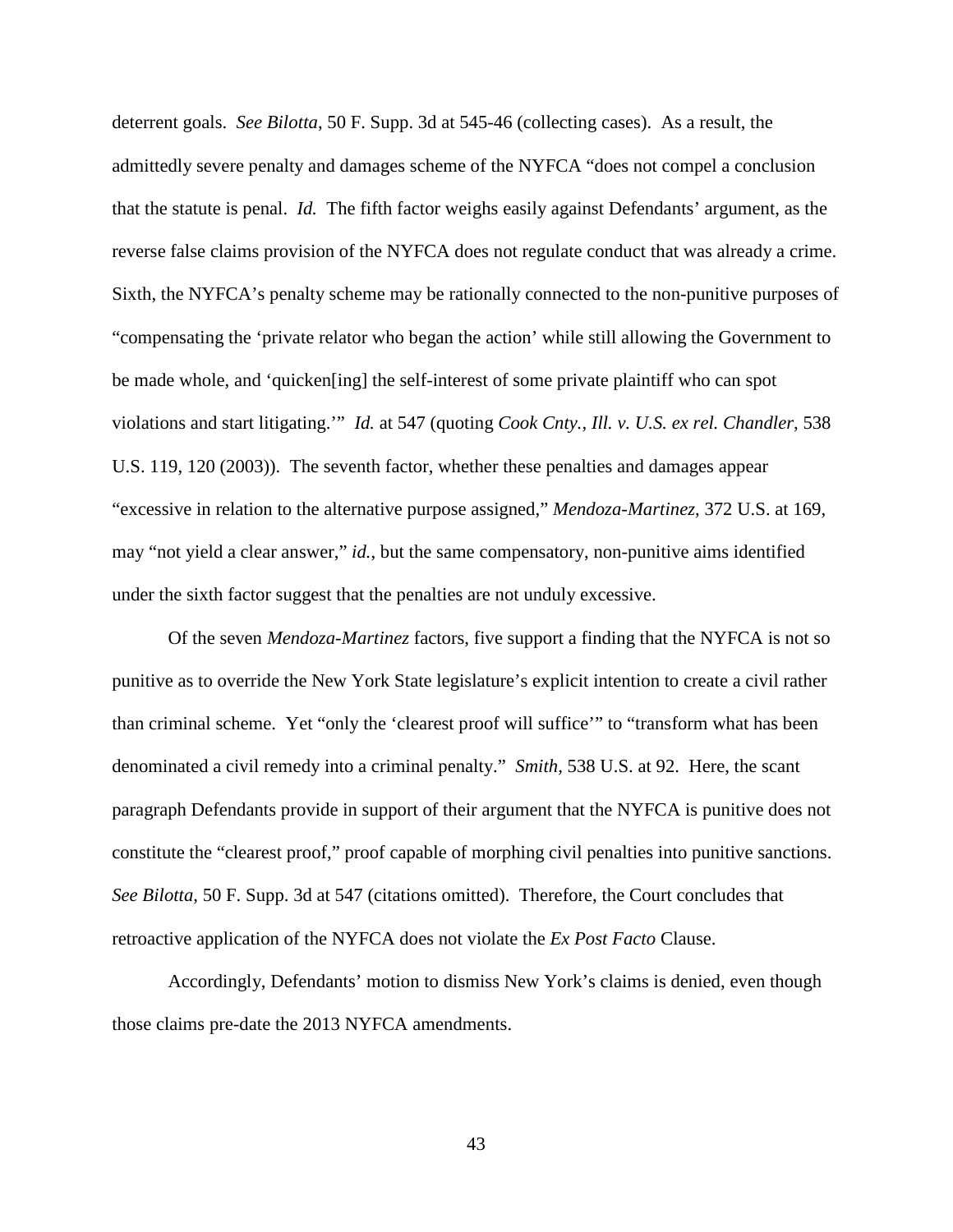deterrent goals. *See Bilotta*, 50 F. Supp. 3d at 545-46 (collecting cases). As a result, the admittedly severe penalty and damages scheme of the NYFCA "does not compel a conclusion that the statute is penal. *Id.* The fifth factor weighs easily against Defendants' argument, as the reverse false claims provision of the NYFCA does not regulate conduct that was already a crime. Sixth, the NYFCA's penalty scheme may be rationally connected to the non-punitive purposes of "compensating the 'private relator who began the action' while still allowing the Government to be made whole, and 'quicken[ing] the self-interest of some private plaintiff who can spot violations and start litigating.'" *Id.* at 547 (quoting *Cook Cnty., Ill. v. U.S. ex rel. Chandler*, 538 U.S. 119, 120 (2003)). The seventh factor, whether these penalties and damages appear "excessive in relation to the alternative purpose assigned," *Mendoza-Martinez*, 372 U.S. at 169, may "not yield a clear answer," *id.*, but the same compensatory, non-punitive aims identified under the sixth factor suggest that the penalties are not unduly excessive.

Of the seven *Mendoza-Martinez* factors, five support a finding that the NYFCA is not so punitive as to override the New York State legislature's explicit intention to create a civil rather than criminal scheme. Yet "only the 'clearest proof will suffice'" to "transform what has been denominated a civil remedy into a criminal penalty." *Smith,* 538 U.S. at 92. Here, the scant paragraph Defendants provide in support of their argument that the NYFCA is punitive does not constitute the "clearest proof," proof capable of morphing civil penalties into punitive sanctions. *See Bilotta*, 50 F. Supp. 3d at 547 (citations omitted). Therefore, the Court concludes that retroactive application of the NYFCA does not violate the *Ex Post Facto* Clause.

Accordingly, Defendants' motion to dismiss New York's claims is denied, even though those claims pre-date the 2013 NYFCA amendments.